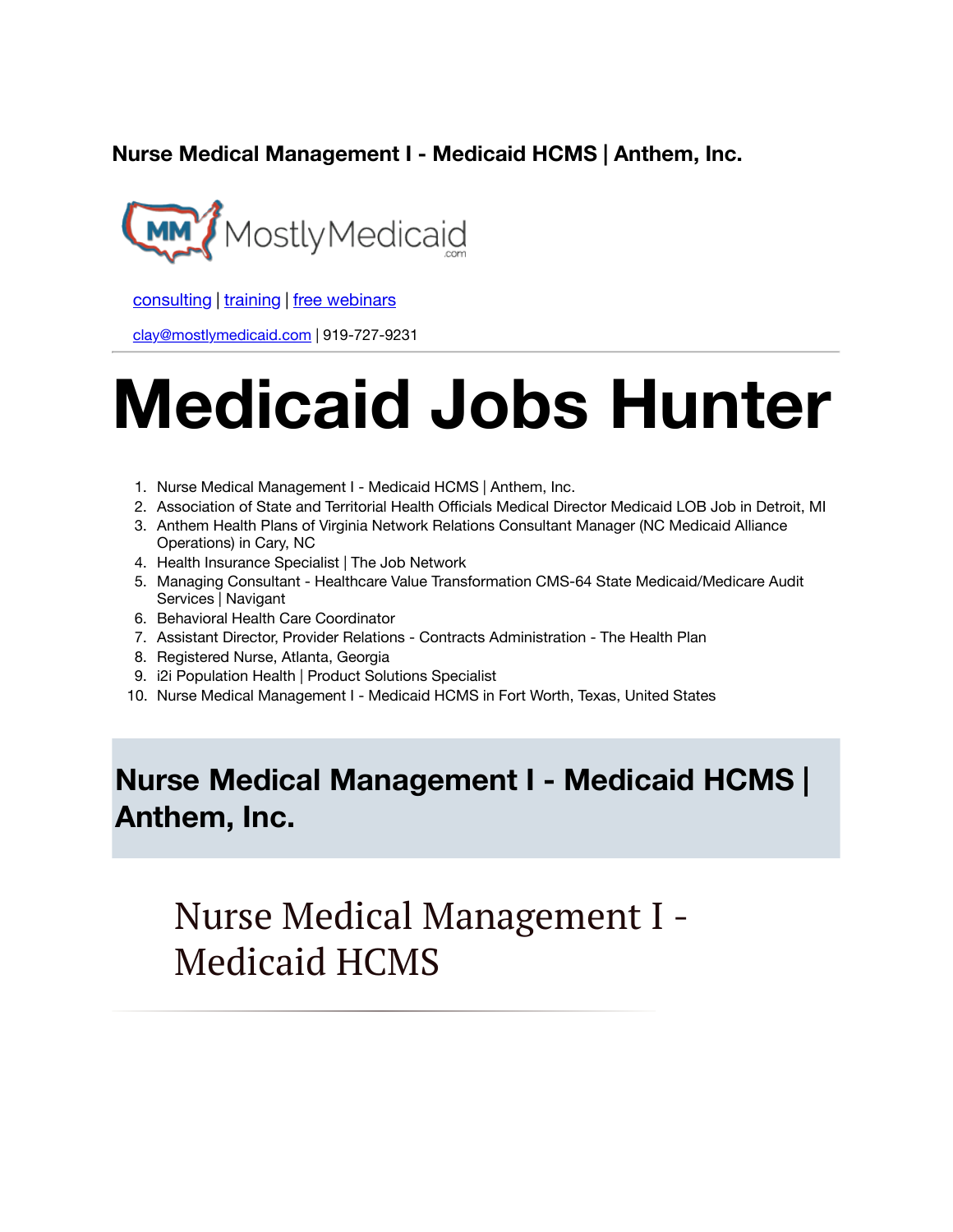**Nurse Medical Management I - Medicaid HCMS | Anthem, Inc.**



[consulting](http://bit.ly/2L815p0) | [training](http://bit.ly/2zL1l4r) | [free webinars](http://bit.ly/2ccl593) 

[clay@mostlymedicaid.com](mailto:clay@mostlymedicaid.com) | 919-727-9231

# **Medicaid Jobs Hunter**

- 1. Nurse Medical Management I Medicaid HCMS | Anthem, Inc.
- 2. Association of State and Territorial Health Officials Medical Director Medicaid LOB Job in Detroit, MI
- 3. Anthem Health Plans of Virginia Network Relations Consultant Manager (NC Medicaid Alliance Operations) in Cary, NC
- 4. Health Insurance Specialist | The Job Network
- 5. Managing Consultant Healthcare Value Transformation CMS-64 State Medicaid/Medicare Audit Services | Navigant
- 6. Behavioral Health Care Coordinator
- 7. Assistant Director, Provider Relations Contracts Administration The Health Plan
- 8. Registered Nurse, Atlanta, Georgia
- 9. i2i Population Health | Product Solutions Specialist
- 10. Nurse Medical Management I Medicaid HCMS in Fort Worth, Texas, United States

### **Nurse Medical Management I - Medicaid HCMS | Anthem, Inc.**

Nurse Medical Management I - Medicaid HCMS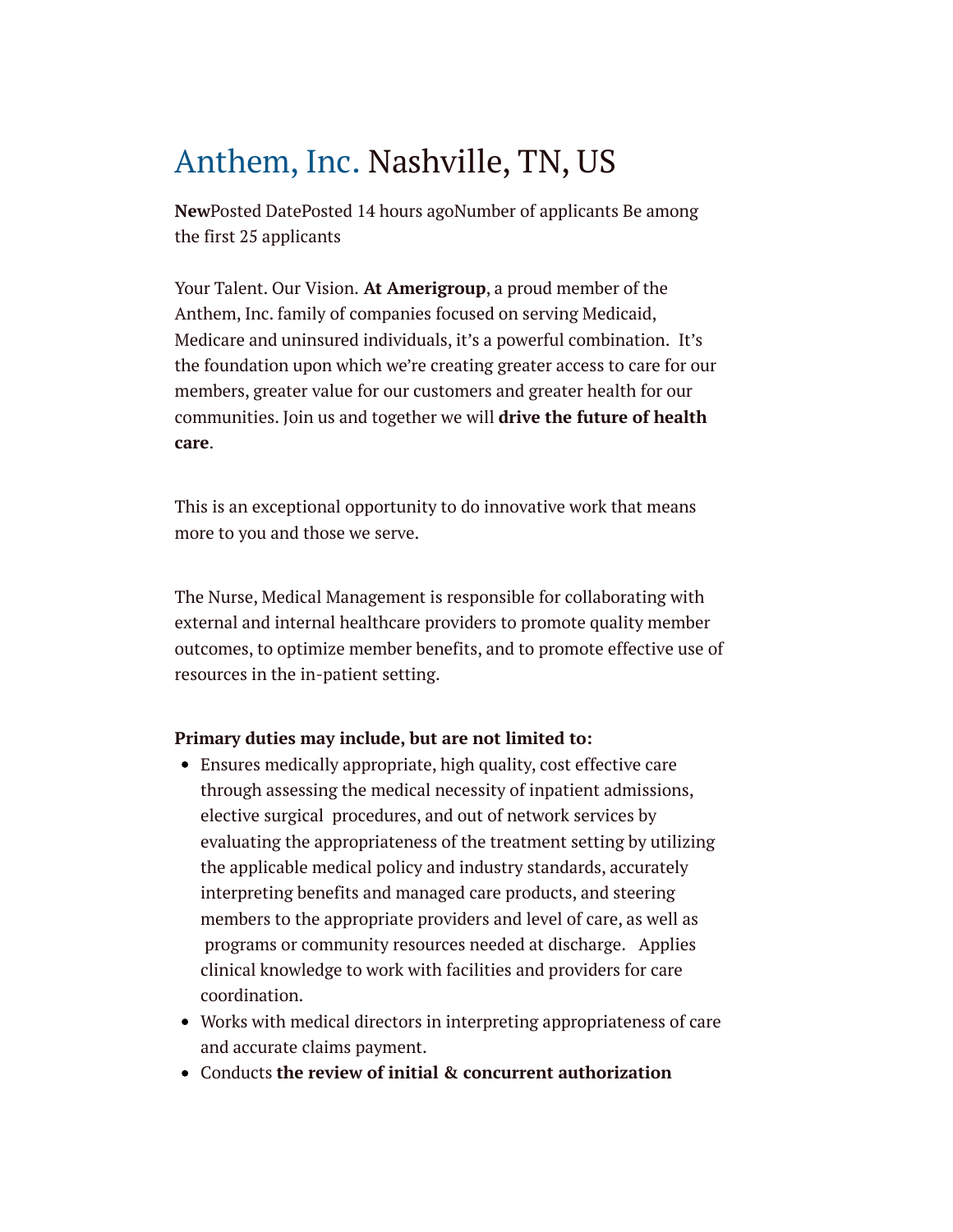# [Anthem, Inc. N](https://www.linkedin.com/company/antheminc/life/)ashville, TN, US

**New**Posted DatePosted 14 hours agoNumber of applicants Be among the first 25 applicants

Your Talent. Our Vision. **At Amerigroup**, a proud member of the Anthem, Inc. family of companies focused on serving Medicaid, Medicare and uninsured individuals, it's a powerful combination. It's the foundation upon which we're creating greater access to care for our members, greater value for our customers and greater health for our communities. Join us and together we will **drive the future of health care**.

This is an exceptional opportunity to do innovative work that means more to you and those we serve.

The Nurse, Medical Management is responsible for collaborating with external and internal healthcare providers to promote quality member outcomes, to optimize member benefits, and to promote effective use of resources in the in-patient setting.

### **Primary duties may include, but are not limited to:**

- Ensures medically appropriate, high quality, cost effective care through assessing the medical necessity of inpatient admissions, elective surgical procedures, and out of network services by evaluating the appropriateness of the treatment setting by utilizing the applicable medical policy and industry standards, accurately interpreting benefits and managed care products, and steering members to the appropriate providers and level of care, as well as programs or community resources needed at discharge. Applies clinical knowledge to work with facilities and providers for care coordination.
- Works with medical directors in interpreting appropriateness of care and accurate claims payment.
- Conducts **the review of initial & concurrent authorization**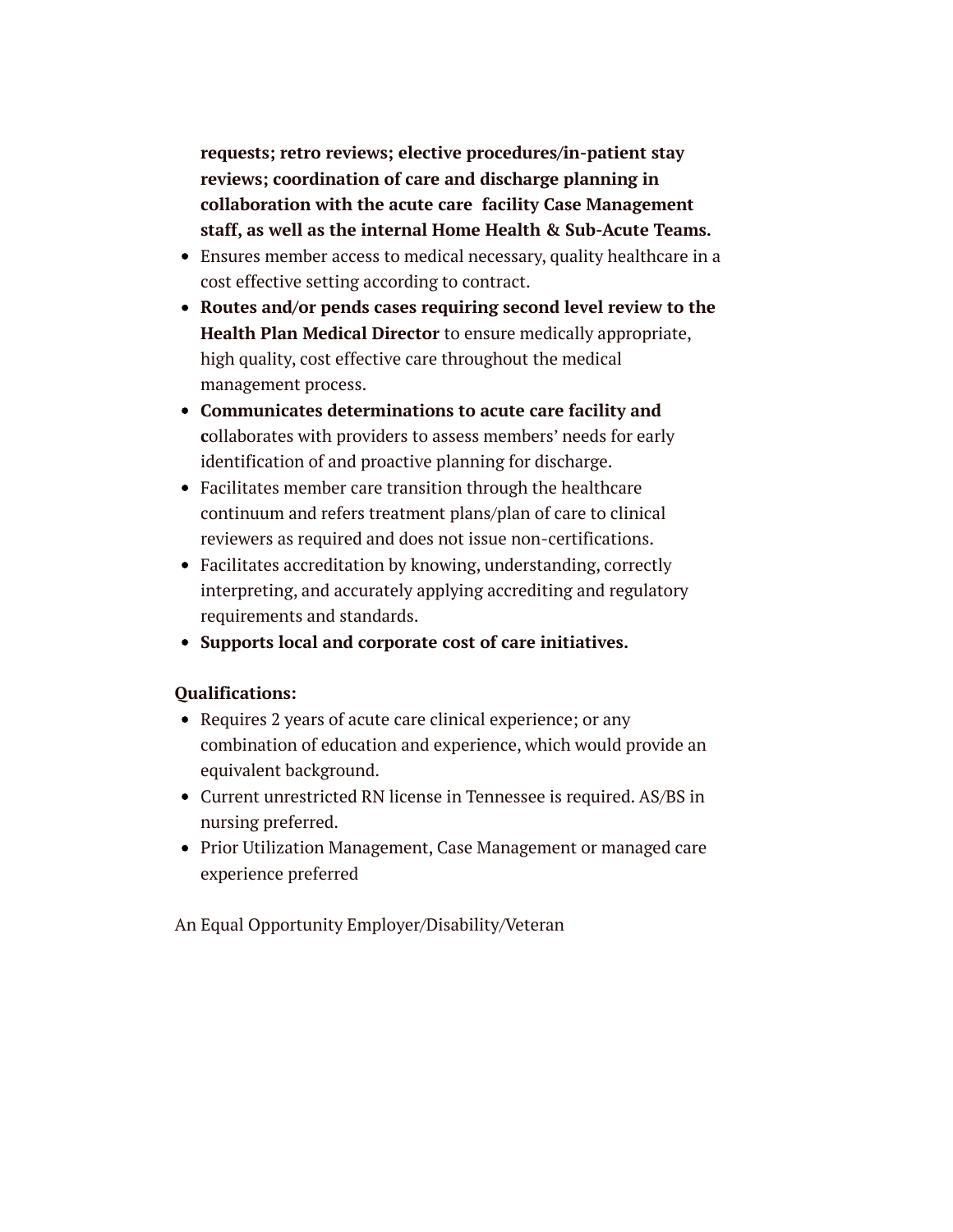**requests; retro reviews; elective procedures/in-patient stay reviews; coordination of care and discharge planning in collaboration with the acute care facility Case Management staff, as well as the internal Home Health & Sub-Acute Teams.**

- Ensures member access to medical necessary, quality healthcare in a cost effective setting according to contract.
- **Routes and/or pends cases requiring second level review to the Health Plan Medical Director** to ensure medically appropriate, high quality, cost effective care throughout the medical management process.
- **Communicates determinations to acute care facility and c**ollaborates with providers to assess members' needs for early identification of and proactive planning for discharge.
- Facilitates member care transition through the healthcare continuum and refers treatment plans/plan of care to clinical reviewers as required and does not issue non-certifications.
- Facilitates accreditation by knowing, understanding, correctly interpreting, and accurately applying accrediting and regulatory requirements and standards.
- **Supports local and corporate cost of care initiatives.**

### **Qualifications:**

- Requires 2 years of acute care clinical experience; or any combination of education and experience, which would provide an equivalent background.
- Current unrestricted RN license in Tennessee is required. AS/BS in nursing preferred.
- Prior Utilization Management, Case Management or managed care experience preferred

An Equal Opportunity Employer/Disability/Veteran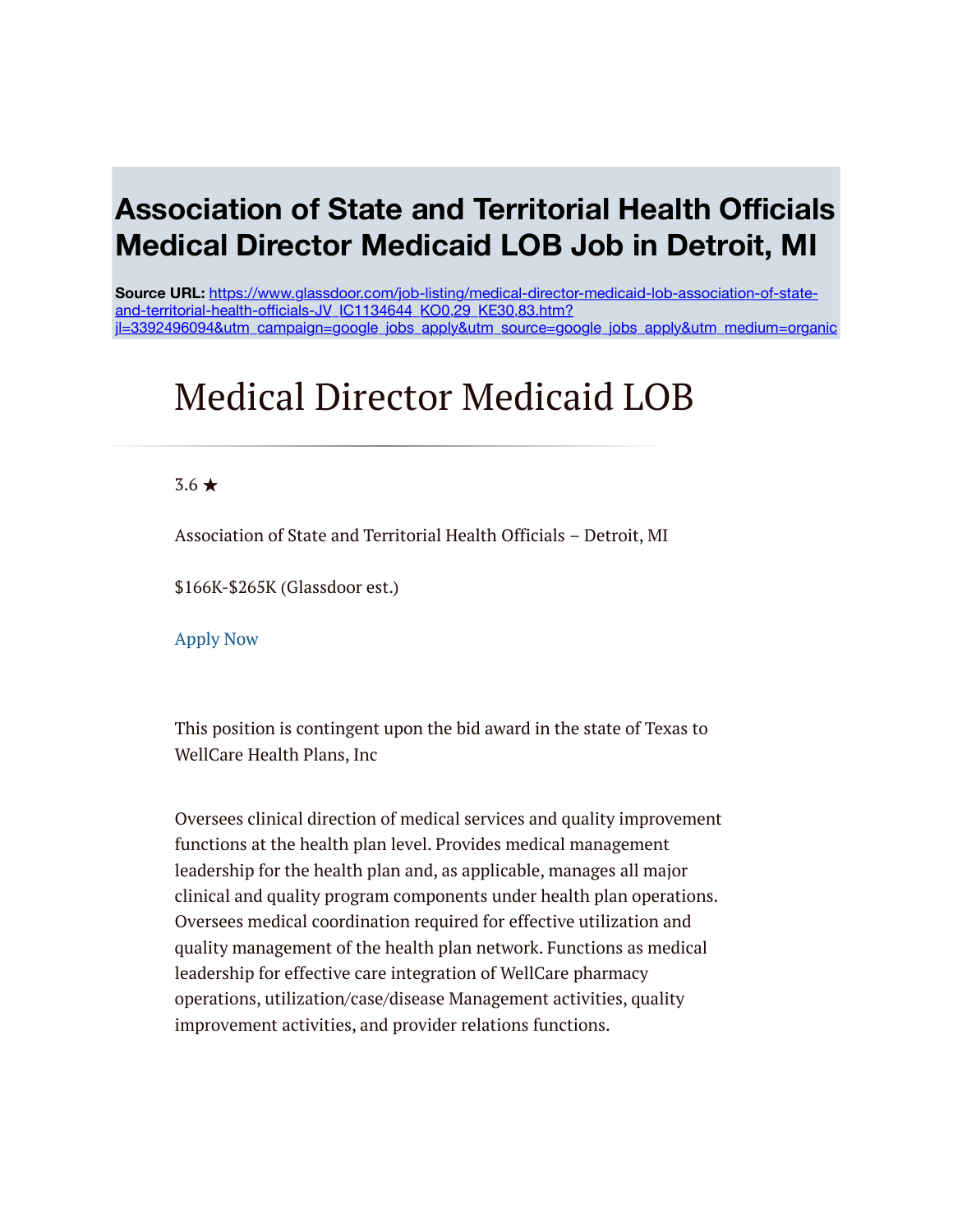### **Association of State and Territorial Health Officials Medical Director Medicaid LOB Job in Detroit, MI**

**Source URL:** https://www.glassdoor.com/job-listing/medical-director-medicaid-lob-association-of-stateand-territorial-health-officials-JV\_IC1134644\_KO0,29\_KE30,83.htm? [jl=3392496094&utm\\_campaign=google\\_jobs\\_apply&utm\\_source=google\\_jobs\\_apply&utm\\_medium=organic](https://www.glassdoor.com/job-listing/medical-director-medicaid-lob-association-of-state-and-territorial-health-officials-JV_IC1134644_KO0,29_KE30,83.htm?jl=3392496094&utm_campaign=google_jobs_apply&utm_source=google_jobs_apply&utm_medium=organic)

# Medical Director Medicaid LOB

### 3.6 ★

Association of State and Territorial Health Officials – Detroit, MI

\$166K-\$265K (Glassdoor est.)

[Apply Now](https://www.glassdoor.com/partner/jobListing.htm?pos=101&ao=4120&s=321&guid=0000016df333b2e2b8df0d596964190e&src=GD_JOB_VIEW&t=NS&vt=w&cs=1_962f06d4&cb=1571743314659&jobListingId=3392496094&cid=6833394567&cguid=0000016df333b2dd85920d1f88394eae)

This position is contingent upon the bid award in the state of Texas to WellCare Health Plans, Inc

Oversees clinical direction of medical services and quality improvement functions at the health plan level. Provides medical management leadership for the health plan and, as applicable, manages all major clinical and quality program components under health plan operations. Oversees medical coordination required for effective utilization and quality management of the health plan network. Functions as medical leadership for effective care integration of WellCare pharmacy operations, utilization/case/disease Management activities, quality improvement activities, and provider relations functions.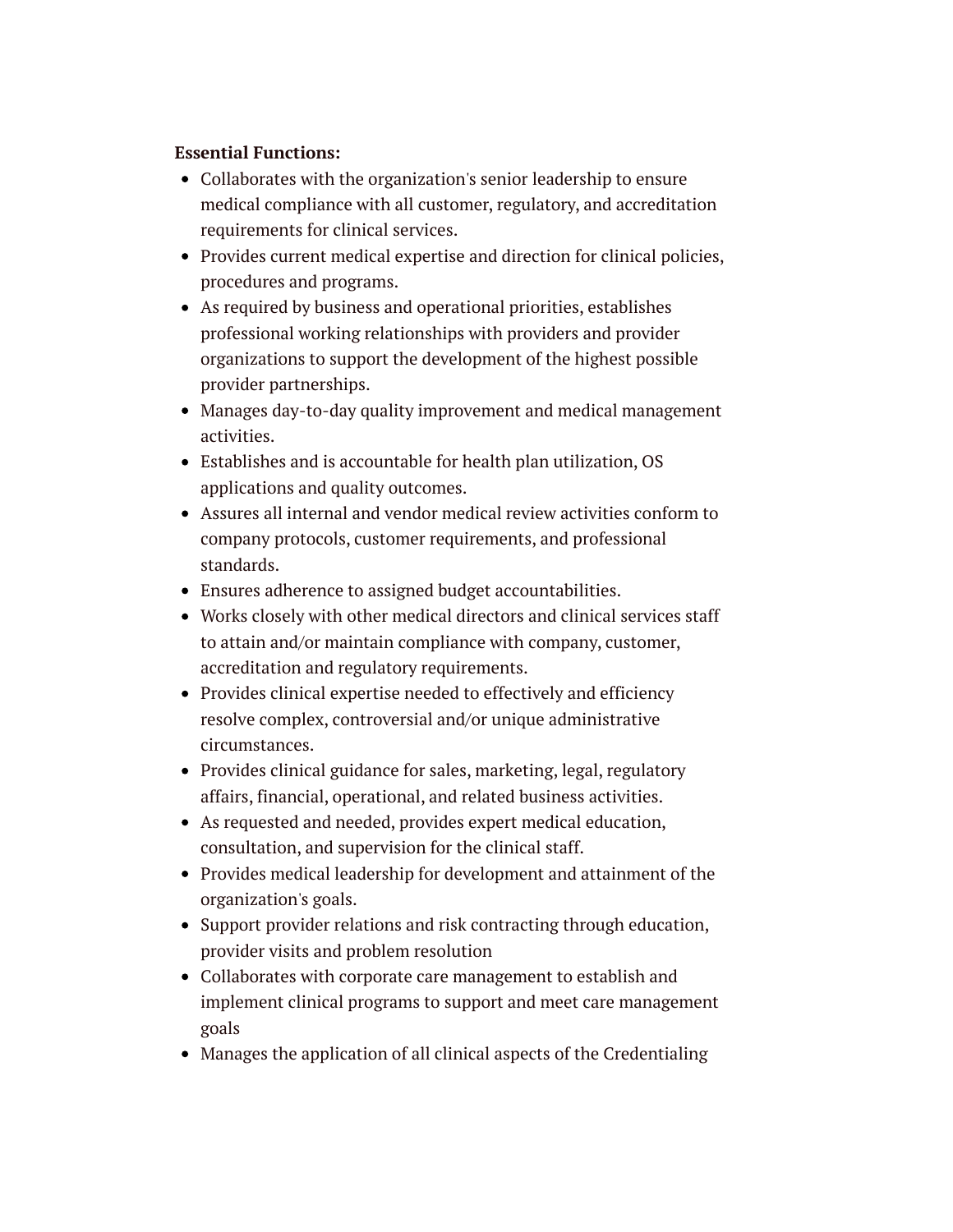### **Essential Functions:**

- Collaborates with the organization's senior leadership to ensure medical compliance with all customer, regulatory, and accreditation requirements for clinical services.
- Provides current medical expertise and direction for clinical policies, procedures and programs.
- As required by business and operational priorities, establishes professional working relationships with providers and provider organizations to support the development of the highest possible provider partnerships.
- Manages day-to-day quality improvement and medical management activities.
- Establishes and is accountable for health plan utilization, OS applications and quality outcomes.
- Assures all internal and vendor medical review activities conform to company protocols, customer requirements, and professional standards.
- Ensures adherence to assigned budget accountabilities.
- Works closely with other medical directors and clinical services staff to attain and/or maintain compliance with company, customer, accreditation and regulatory requirements.
- Provides clinical expertise needed to effectively and efficiency resolve complex, controversial and/or unique administrative circumstances.
- Provides clinical guidance for sales, marketing, legal, regulatory affairs, financial, operational, and related business activities.
- As requested and needed, provides expert medical education, consultation, and supervision for the clinical staff.
- Provides medical leadership for development and attainment of the organization's goals.
- Support provider relations and risk contracting through education, provider visits and problem resolution
- Collaborates with corporate care management to establish and implement clinical programs to support and meet care management goals
- Manages the application of all clinical aspects of the Credentialing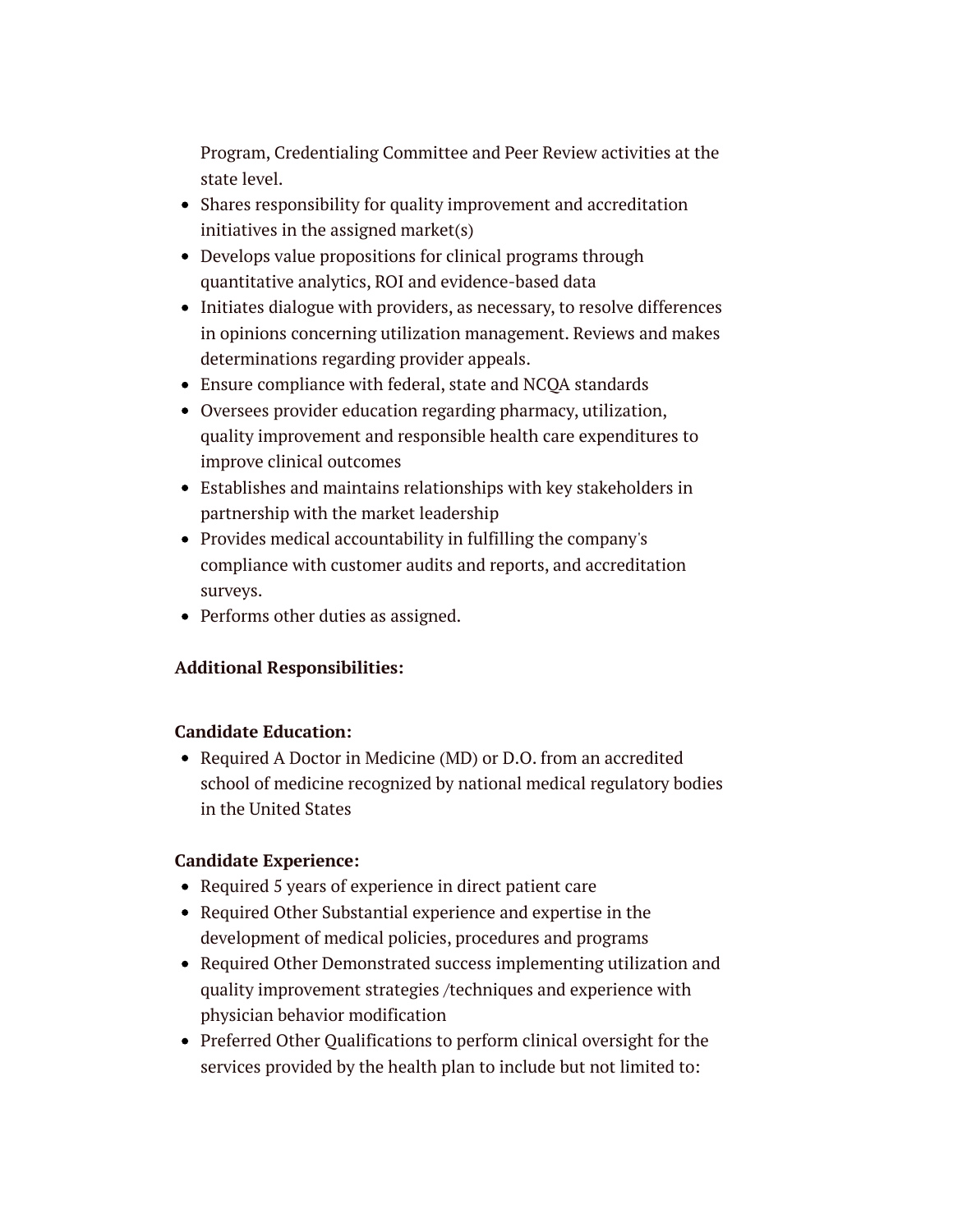Program, Credentialing Committee and Peer Review activities at the state level.

- Shares responsibility for quality improvement and accreditation initiatives in the assigned market(s)
- Develops value propositions for clinical programs through quantitative analytics, ROI and evidence-based data
- Initiates dialogue with providers, as necessary, to resolve differences in opinions concerning utilization management. Reviews and makes determinations regarding provider appeals.
- Ensure compliance with federal, state and NCQA standards
- Oversees provider education regarding pharmacy, utilization, quality improvement and responsible health care expenditures to improve clinical outcomes
- Establishes and maintains relationships with key stakeholders in partnership with the market leadership
- Provides medical accountability in fulfilling the company's compliance with customer audits and reports, and accreditation surveys.
- Performs other duties as assigned.

### **Additional Responsibilities:**

### **Candidate Education:**

Required A Doctor in Medicine (MD) or D.O. from an accredited school of medicine recognized by national medical regulatory bodies in the United States

### **Candidate Experience:**

- Required 5 years of experience in direct patient care
- Required Other Substantial experience and expertise in the development of medical policies, procedures and programs
- Required Other Demonstrated success implementing utilization and quality improvement strategies /techniques and experience with physician behavior modification
- Preferred Other Qualifications to perform clinical oversight for the services provided by the health plan to include but not limited to: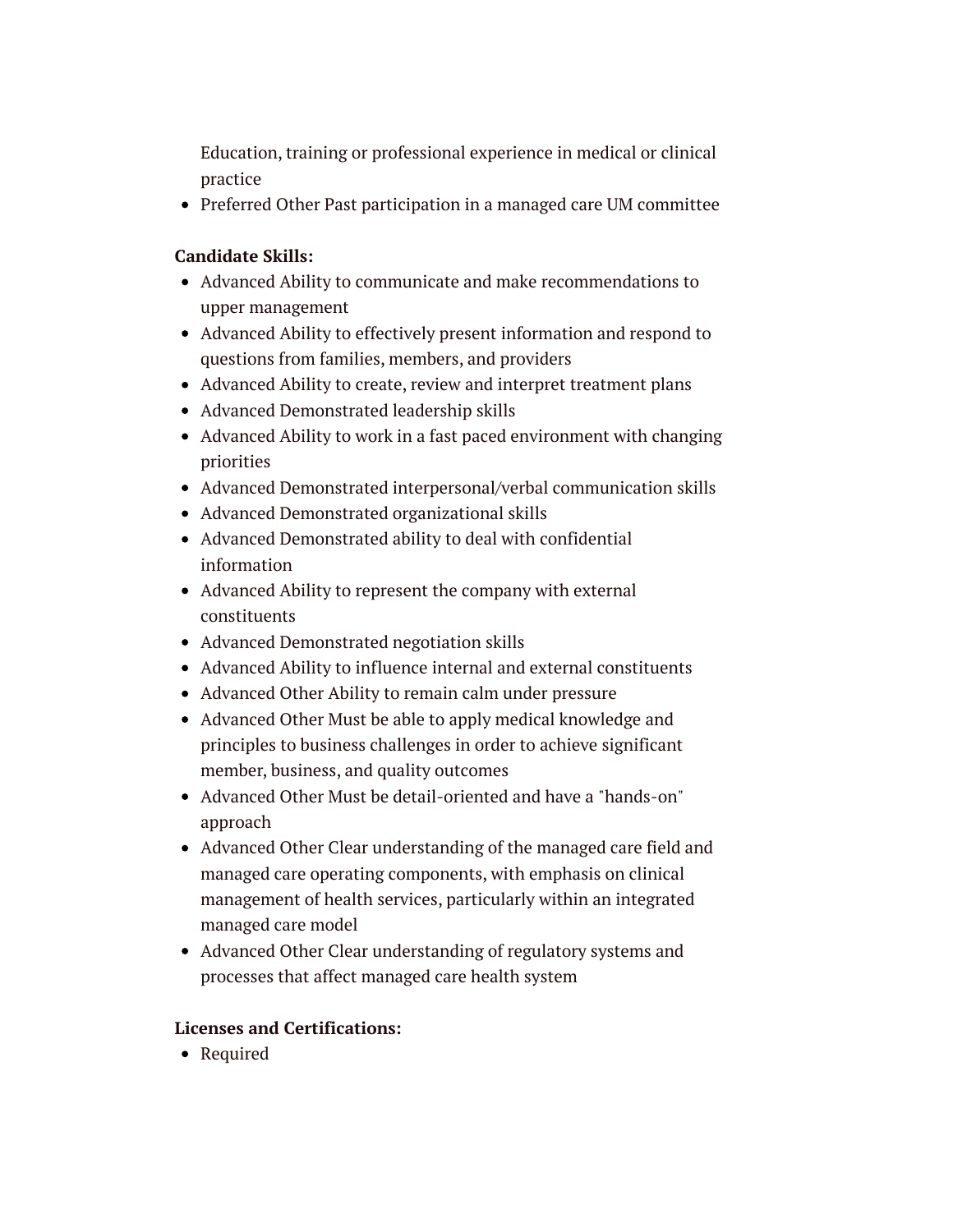Education, training or professional experience in medical or clinical practice

Preferred Other Past participation in a managed care UM committee

### **Candidate Skills:**

- Advanced Ability to communicate and make recommendations to upper management
- Advanced Ability to effectively present information and respond to questions from families, members, and providers
- Advanced Ability to create, review and interpret treatment plans
- Advanced Demonstrated leadership skills
- Advanced Ability to work in a fast paced environment with changing priorities
- Advanced Demonstrated interpersonal/verbal communication skills
- Advanced Demonstrated organizational skills
- Advanced Demonstrated ability to deal with confidential information
- Advanced Ability to represent the company with external constituents
- Advanced Demonstrated negotiation skills
- Advanced Ability to influence internal and external constituents
- Advanced Other Ability to remain calm under pressure
- Advanced Other Must be able to apply medical knowledge and principles to business challenges in order to achieve significant member, business, and quality outcomes
- Advanced Other Must be detail-oriented and have a "hands-on" approach
- Advanced Other Clear understanding of the managed care field and managed care operating components, with emphasis on clinical management of health services, particularly within an integrated managed care model
- Advanced Other Clear understanding of regulatory systems and processes that affect managed care health system

### **Licenses and Certifications:**

• Required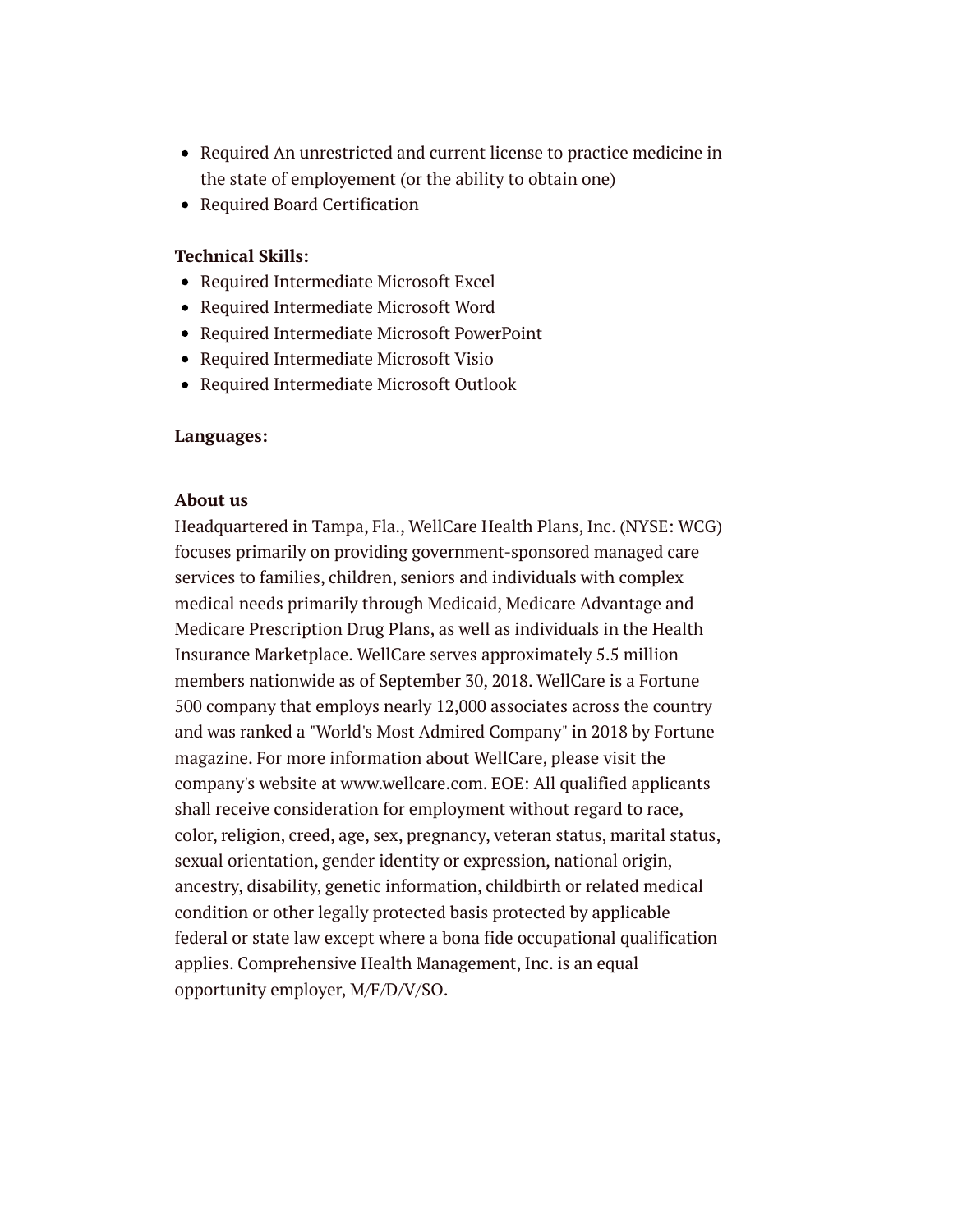- Required An unrestricted and current license to practice medicine in the state of employement (or the ability to obtain one)
- Required Board Certification

### **Technical Skills:**

- Required Intermediate Microsoft Excel
- Required Intermediate Microsoft Word
- Required Intermediate Microsoft PowerPoint
- Required Intermediate Microsoft Visio
- Required Intermediate Microsoft Outlook

#### **Languages:**

#### **About us**

Headquartered in Tampa, Fla., WellCare Health Plans, Inc. (NYSE: WCG) focuses primarily on providing government-sponsored managed care services to families, children, seniors and individuals with complex medical needs primarily through Medicaid, Medicare Advantage and Medicare Prescription Drug Plans, as well as individuals in the Health Insurance Marketplace. WellCare serves approximately 5.5 million members nationwide as of September 30, 2018. WellCare is a Fortune 500 company that employs nearly 12,000 associates across the country and was ranked a "World's Most Admired Company" in 2018 by Fortune magazine. For more information about WellCare, please visit the company's website at www.wellcare.com. EOE: All qualified applicants shall receive consideration for employment without regard to race, color, religion, creed, age, sex, pregnancy, veteran status, marital status, sexual orientation, gender identity or expression, national origin, ancestry, disability, genetic information, childbirth or related medical condition or other legally protected basis protected by applicable federal or state law except where a bona fide occupational qualification applies. Comprehensive Health Management, Inc. is an equal opportunity employer, M/F/D/V/SO.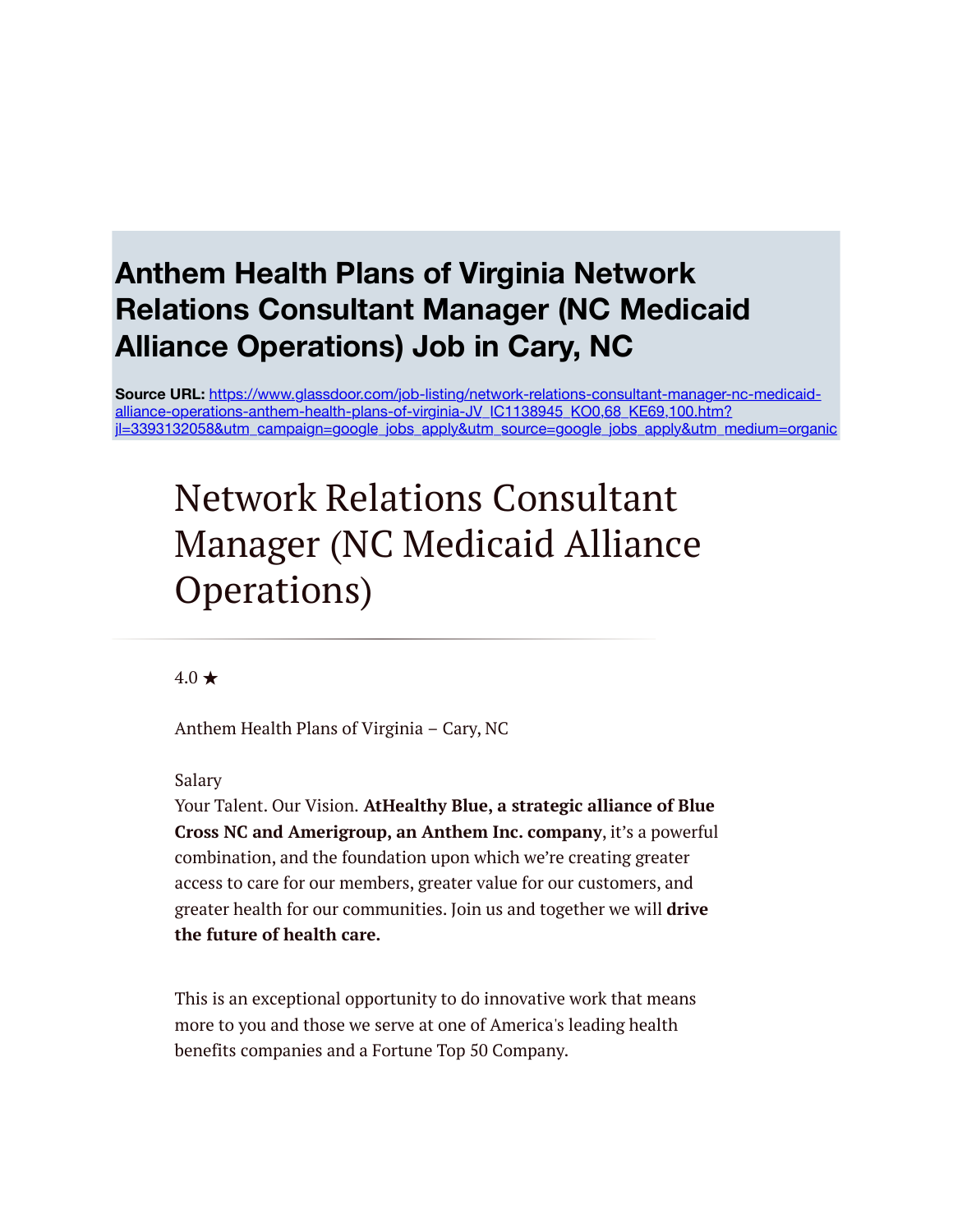### **Anthem Health Plans of Virginia Network Relations Consultant Manager (NC Medicaid Alliance Operations) Job in Cary, NC**

**Source URL:** https://www.glassdoor.com/job-listing/network-relations-consultant-manager-nc-medicaidalliance-operations-anthem-health-plans-of-virginia-JV\_IC1138945\_KO0,68\_KE69,100.htm? [jl=3393132058&utm\\_campaign=google\\_jobs\\_apply&utm\\_source=google\\_jobs\\_apply&utm\\_medium=organic](https://www.glassdoor.com/job-listing/network-relations-consultant-manager-nc-medicaid-alliance-operations-anthem-health-plans-of-virginia-JV_IC1138945_KO0,68_KE69,100.htm?jl=3393132058&utm_campaign=google_jobs_apply&utm_source=google_jobs_apply&utm_medium=organic)

# Network Relations Consultant Manager (NC Medicaid Alliance Operations)

### $4.0 \star$

Anthem Health Plans of Virginia – Cary, NC

Salary

Your Talent. Our Vision. **AtHealthy Blue, a strategic alliance of Blue Cross NC and Amerigroup, an Anthem Inc. company**, it's a powerful combination, and the foundation upon which we're creating greater access to care for our members, greater value for our customers, and greater health for our communities. Join us and together we will **drive the future of health care.**

This is an exceptional opportunity to do innovative work that means more to you and those we serve at one of America's leading health benefits companies and a Fortune Top 50 Company.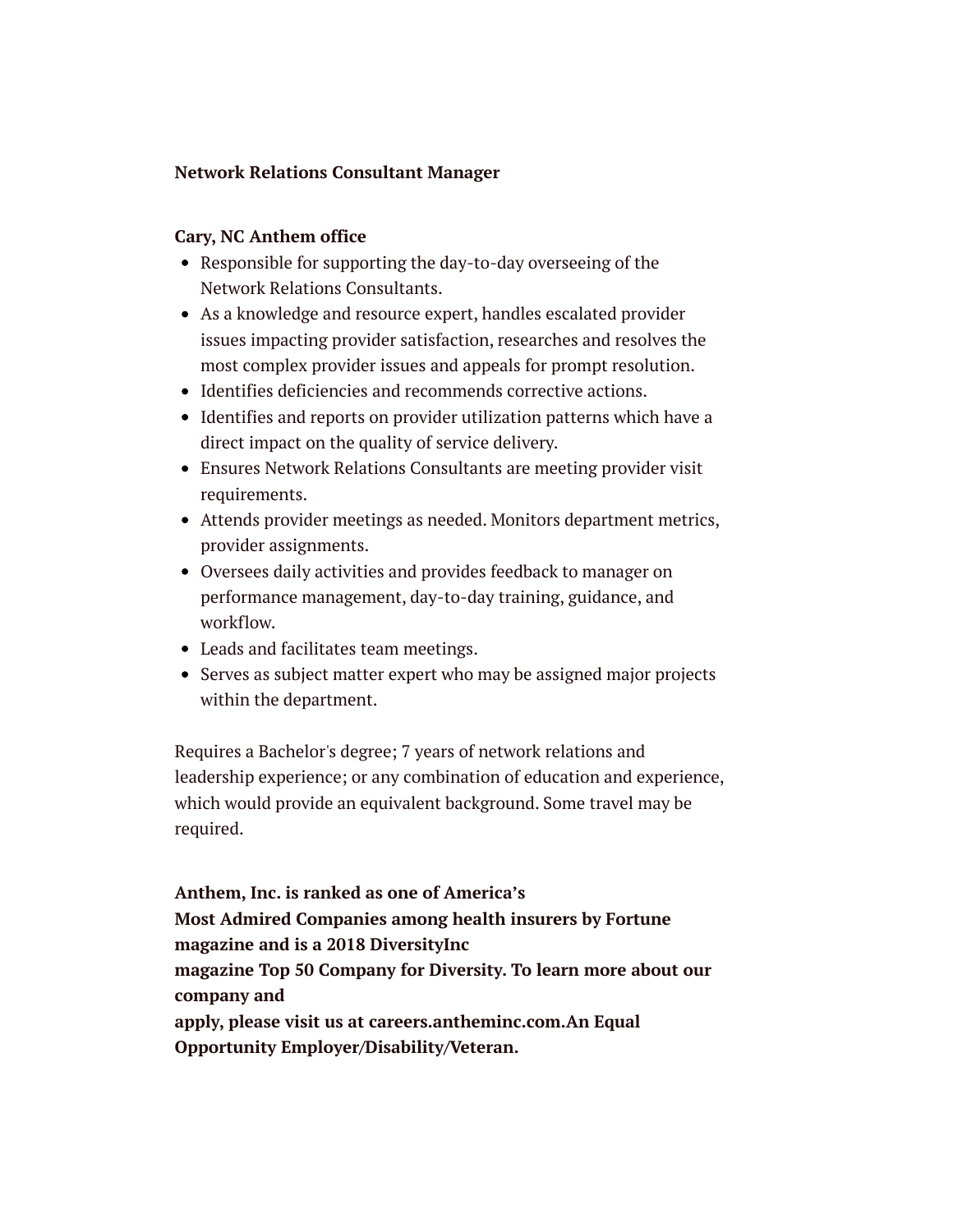### **Network Relations Consultant Manager**

### **Cary, NC Anthem office**

- Responsible for supporting the day-to-day overseeing of the Network Relations Consultants.
- As a knowledge and resource expert, handles escalated provider issues impacting provider satisfaction, researches and resolves the most complex provider issues and appeals for prompt resolution.
- Identifies deficiencies and recommends corrective actions.
- Identifies and reports on provider utilization patterns which have a direct impact on the quality of service delivery.
- Ensures Network Relations Consultants are meeting provider visit requirements.
- Attends provider meetings as needed. Monitors department metrics, provider assignments.
- Oversees daily activities and provides feedback to manager on performance management, day-to-day training, guidance, and workflow.
- Leads and facilitates team meetings.
- Serves as subject matter expert who may be assigned major projects within the department.

Requires a Bachelor's degree; 7 years of network relations and leadership experience; or any combination of education and experience, which would provide an equivalent background. Some travel may be required.

**Anthem, Inc. is ranked as one of America's Most Admired Companies among health insurers by Fortune magazine and is a 2018 DiversityInc magazine Top 50 Company for Diversity. To learn more about our company and apply, please visit us at careers.antheminc.com.An Equal Opportunity Employer/Disability/Veteran.**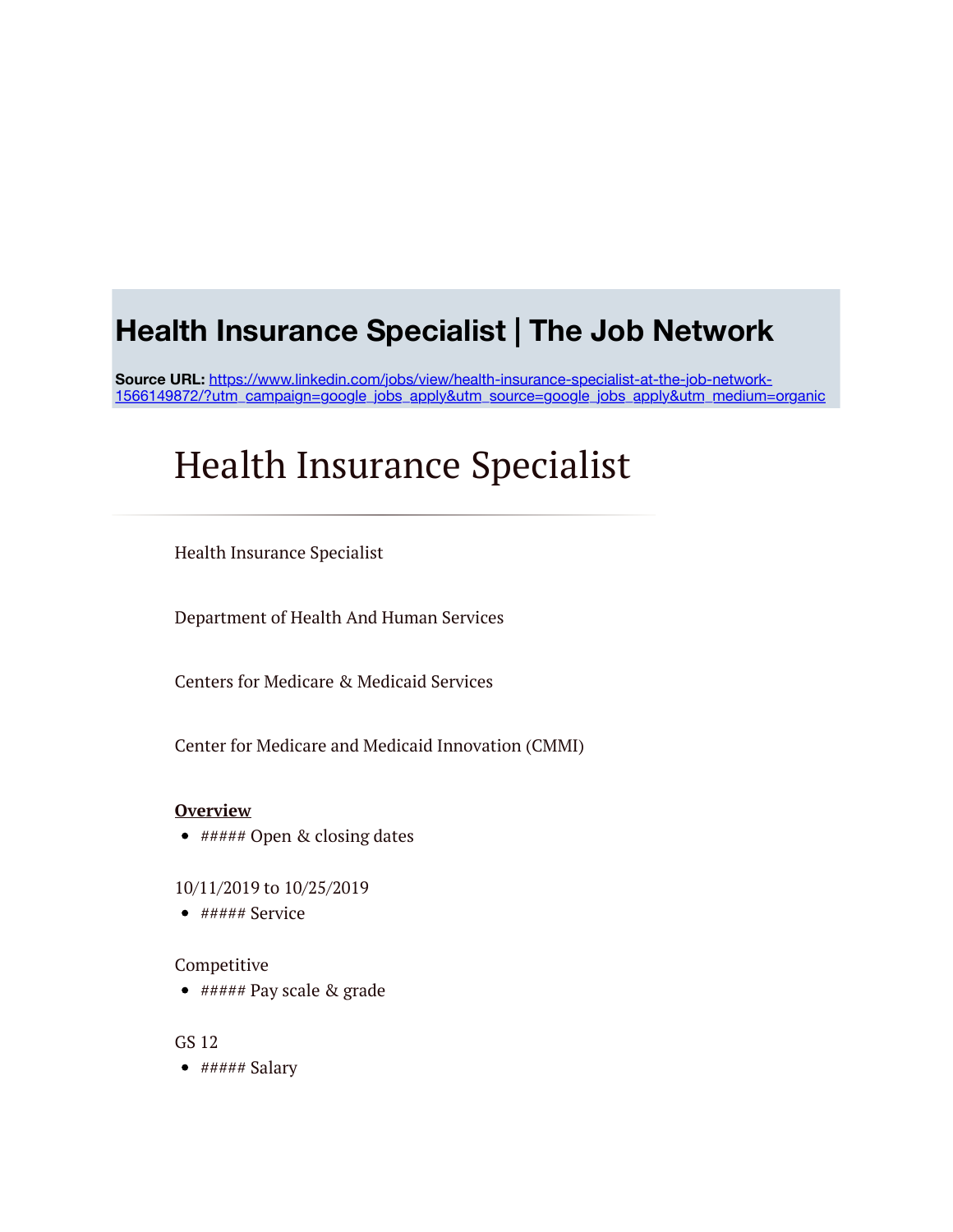### **Health Insurance Specialist | The Job Network**

**Source URL:** https://www.linkedin.com/jobs/view/health-insurance-specialist-at-the-job-network-[1566149872/?utm\\_campaign=google\\_jobs\\_apply&utm\\_source=google\\_jobs\\_apply&utm\\_medium=organic](https://www.linkedin.com/jobs/view/health-insurance-specialist-at-the-job-network-1566149872/?utm_campaign=google_jobs_apply&utm_source=google_jobs_apply&utm_medium=organic)

# Health Insurance Specialist

Health Insurance Specialist

Department of Health And Human Services

Centers for Medicare & Medicaid Services

Center for Medicare and Medicaid Innovation (CMMI)

#### **Overview**

- ##### Open & closing dates
- 10/11/2019 to 10/25/2019
- $\bullet$  ##### Service

#### Competitive

 $\bullet$  ##### Pay scale & grade

GS 12

 $\bullet$  ##### Salary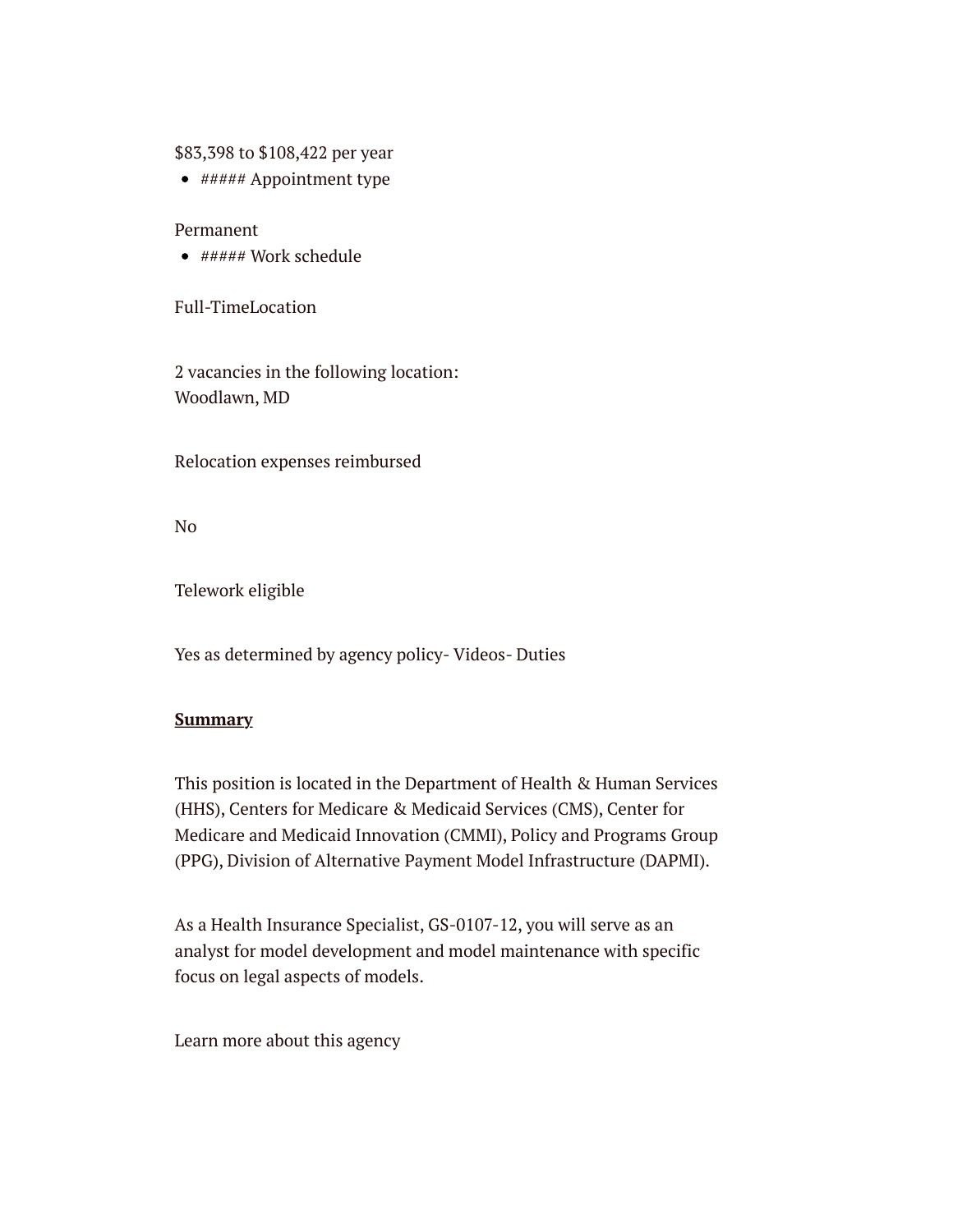\$83,398 to \$108,422 per year

 $\bullet$  ##### Appointment type

Permanent

 $*$ ##### Work schedule

Full-TimeLocation

2 vacancies in the following location: Woodlawn, MD

Relocation expenses reimbursed

No

Telework eligible

Yes as determined by agency policy- Videos- Duties

### **Summary**

This position is located in the Department of Health & Human Services (HHS), Centers for Medicare & Medicaid Services (CMS), Center for Medicare and Medicaid Innovation (CMMI), Policy and Programs Group (PPG), Division of Alternative Payment Model Infrastructure (DAPMI).

As a Health Insurance Specialist, GS-0107-12, you will serve as an analyst for model development and model maintenance with specific focus on legal aspects of models.

Learn more about this agency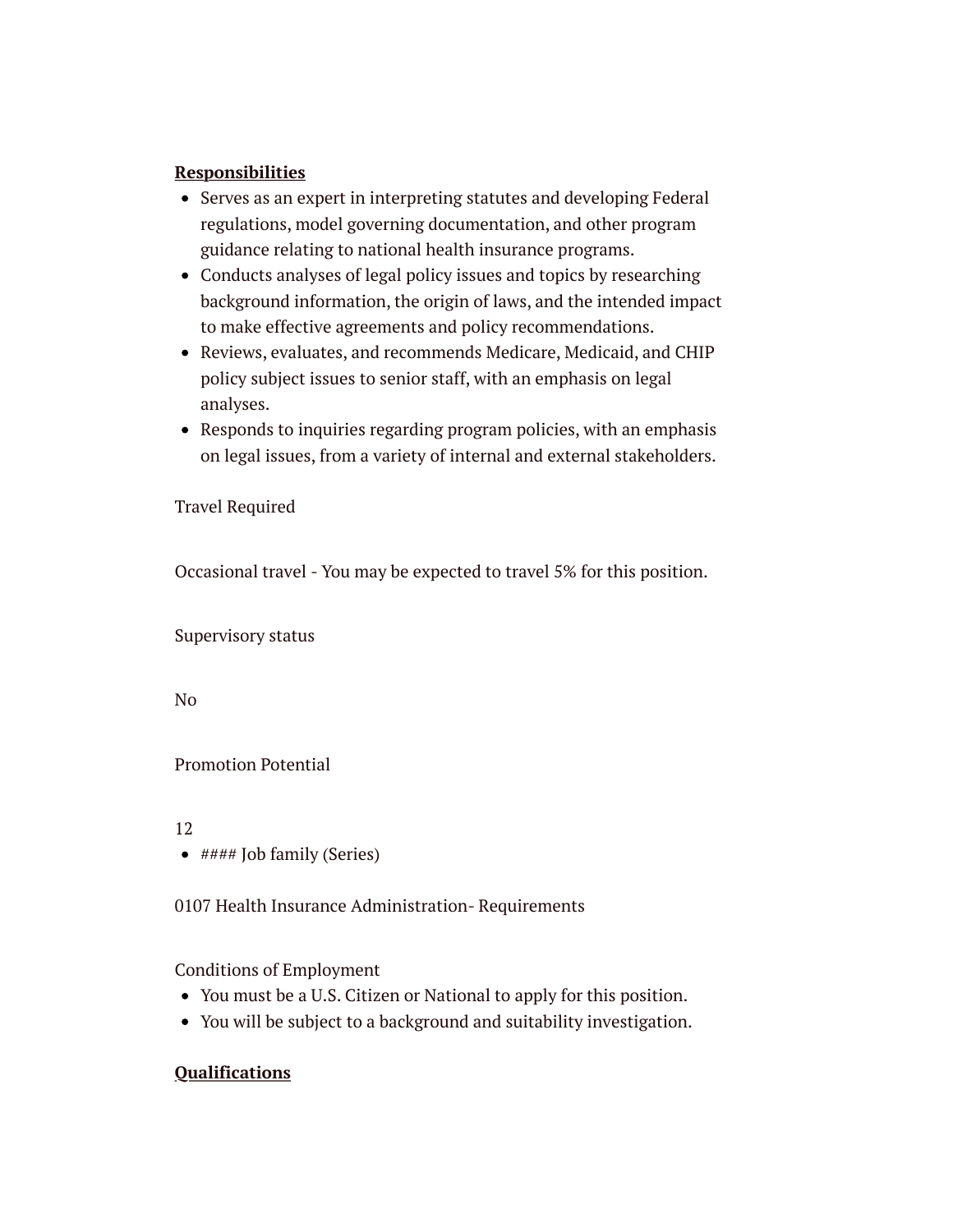### **Responsibilities**

- Serves as an expert in interpreting statutes and developing Federal regulations, model governing documentation, and other program guidance relating to national health insurance programs.
- Conducts analyses of legal policy issues and topics by researching background information, the origin of laws, and the intended impact to make effective agreements and policy recommendations.
- Reviews, evaluates, and recommends Medicare, Medicaid, and CHIP policy subject issues to senior staff, with an emphasis on legal analyses.
- Responds to inquiries regarding program policies, with an emphasis on legal issues, from a variety of internal and external stakeholders.

Travel Required

Occasional travel - You may be expected to travel 5% for this position.

Supervisory status

No

### Promotion Potential

12

 $\bullet$  #### Job family (Series)

0107 Health Insurance Administration- Requirements

Conditions of Employment

- You must be a U.S. Citizen or National to apply for this position.
- You will be subject to a background and suitability investigation.

### **Qualifications**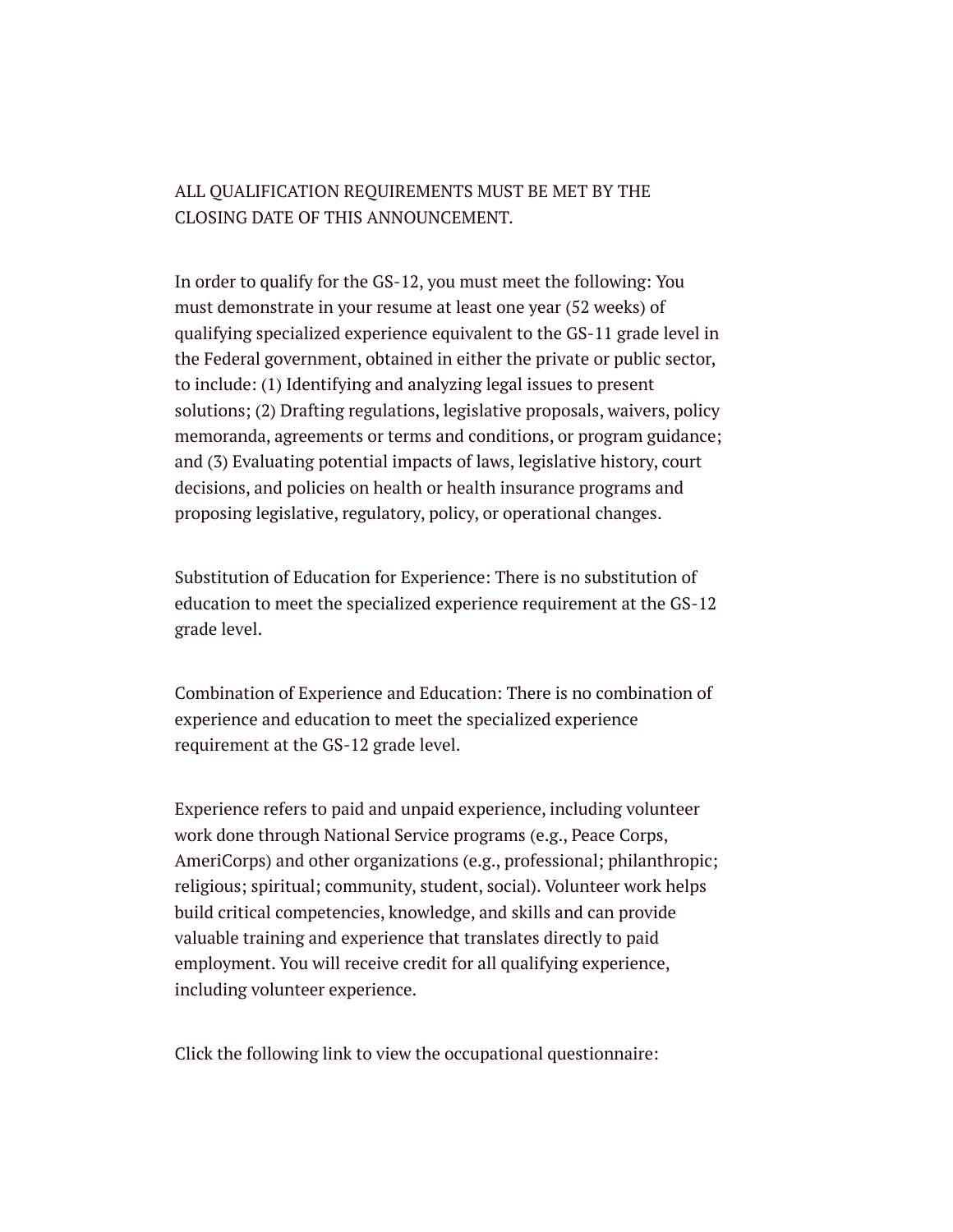### ALL QUALIFICATION REQUIREMENTS MUST BE MET BY THE CLOSING DATE OF THIS ANNOUNCEMENT.

In order to qualify for the GS-12, you must meet the following: You must demonstrate in your resume at least one year (52 weeks) of qualifying specialized experience equivalent to the GS-11 grade level in the Federal government, obtained in either the private or public sector, to include: (1) Identifying and analyzing legal issues to present solutions; (2) Drafting regulations, legislative proposals, waivers, policy memoranda, agreements or terms and conditions, or program guidance; and (3) Evaluating potential impacts of laws, legislative history, court decisions, and policies on health or health insurance programs and proposing legislative, regulatory, policy, or operational changes.

Substitution of Education for Experience: There is no substitution of education to meet the specialized experience requirement at the GS-12 grade level.

Combination of Experience and Education: There is no combination of experience and education to meet the specialized experience requirement at the GS-12 grade level.

Experience refers to paid and unpaid experience, including volunteer work done through National Service programs (e.g., Peace Corps, AmeriCorps) and other organizations (e.g., professional; philanthropic; religious; spiritual; community, student, social). Volunteer work helps build critical competencies, knowledge, and skills and can provide valuable training and experience that translates directly to paid employment. You will receive credit for all qualifying experience, including volunteer experience.

Click the following link to view the occupational questionnaire: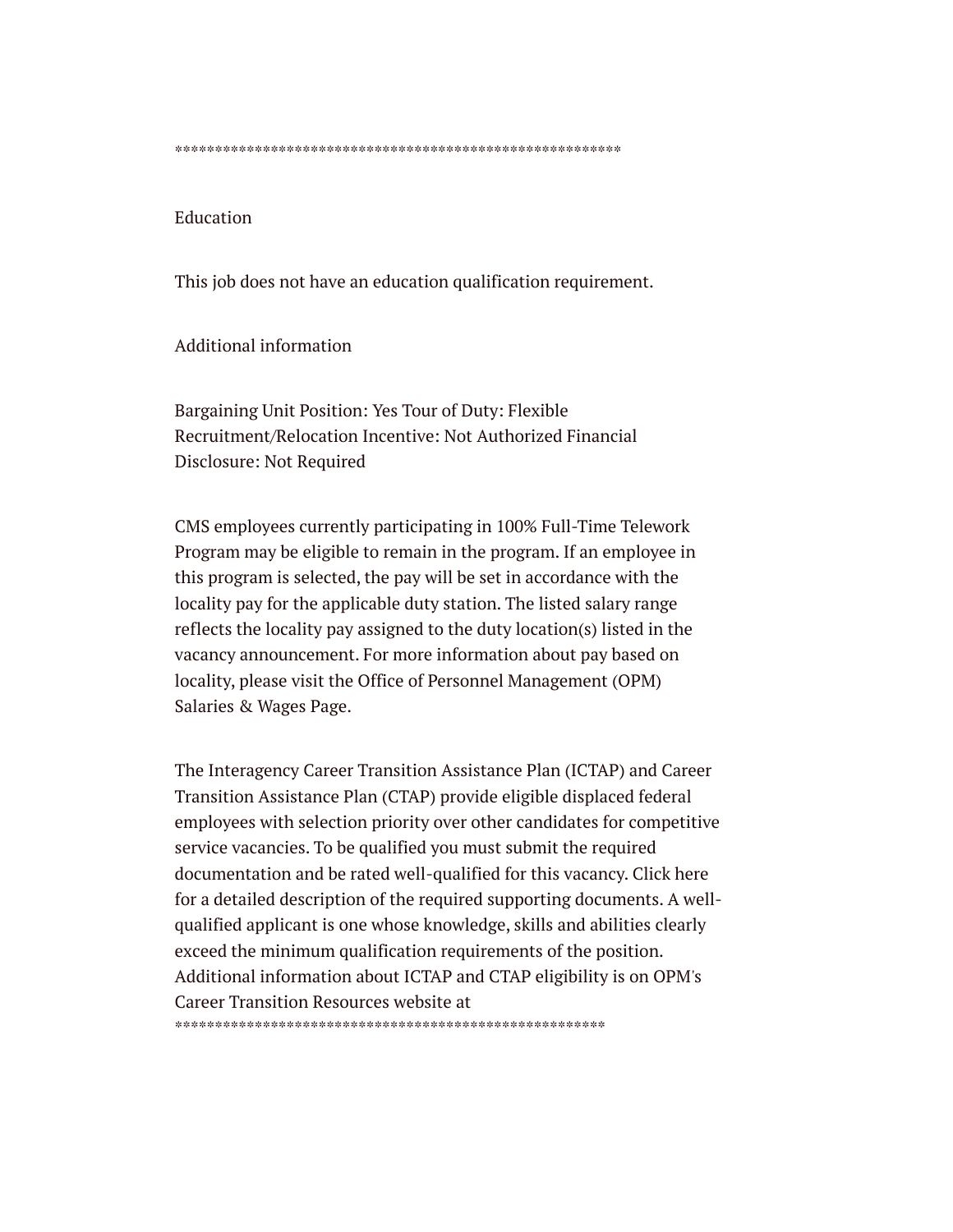\*\*\*\*\*\*\*\*\*\*\*\*\*\*\*\*\*\*\*\*\*\*\*\*\*\*\*\*\*\*\*\*\*\*\*\*\*\*\*\*\*\*\*\*\*\*\*\*\*\*\*\*\*\*\*\*

### Education

This job does not have an education qualification requirement.

Additional information

Bargaining Unit Position: Yes Tour of Duty: Flexible Recruitment/Relocation Incentive: Not Authorized Financial Disclosure: Not Required

CMS employees currently participating in 100% Full-Time Telework Program may be eligible to remain in the program. If an employee in this program is selected, the pay will be set in accordance with the locality pay for the applicable duty station. The listed salary range reflects the locality pay assigned to the duty location(s) listed in the vacancy announcement. For more information about pay based on locality, please visit the Office of Personnel Management (OPM) Salaries & Wages Page.

The Interagency Career Transition Assistance Plan (ICTAP) and Career Transition Assistance Plan (CTAP) provide eligible displaced federal employees with selection priority over other candidates for competitive service vacancies. To be qualified you must submit the required documentation and be rated well-qualified for this vacancy. Click here for a detailed description of the required supporting documents. A wellqualified applicant is one whose knowledge, skills and abilities clearly exceed the minimum qualification requirements of the position. Additional information about ICTAP and CTAP eligibility is on OPM's Career Transition Resources website at \*\*\*\*\*\*\*\*\*\*\*\*\*\*\*\*\*\*\*\*\*\*\*\*\*\*\*\*\*\*\*\*\*\*\*\*\*\*\*\*\*\*\*\*\*\*\*\*\*\*\*\*\*\*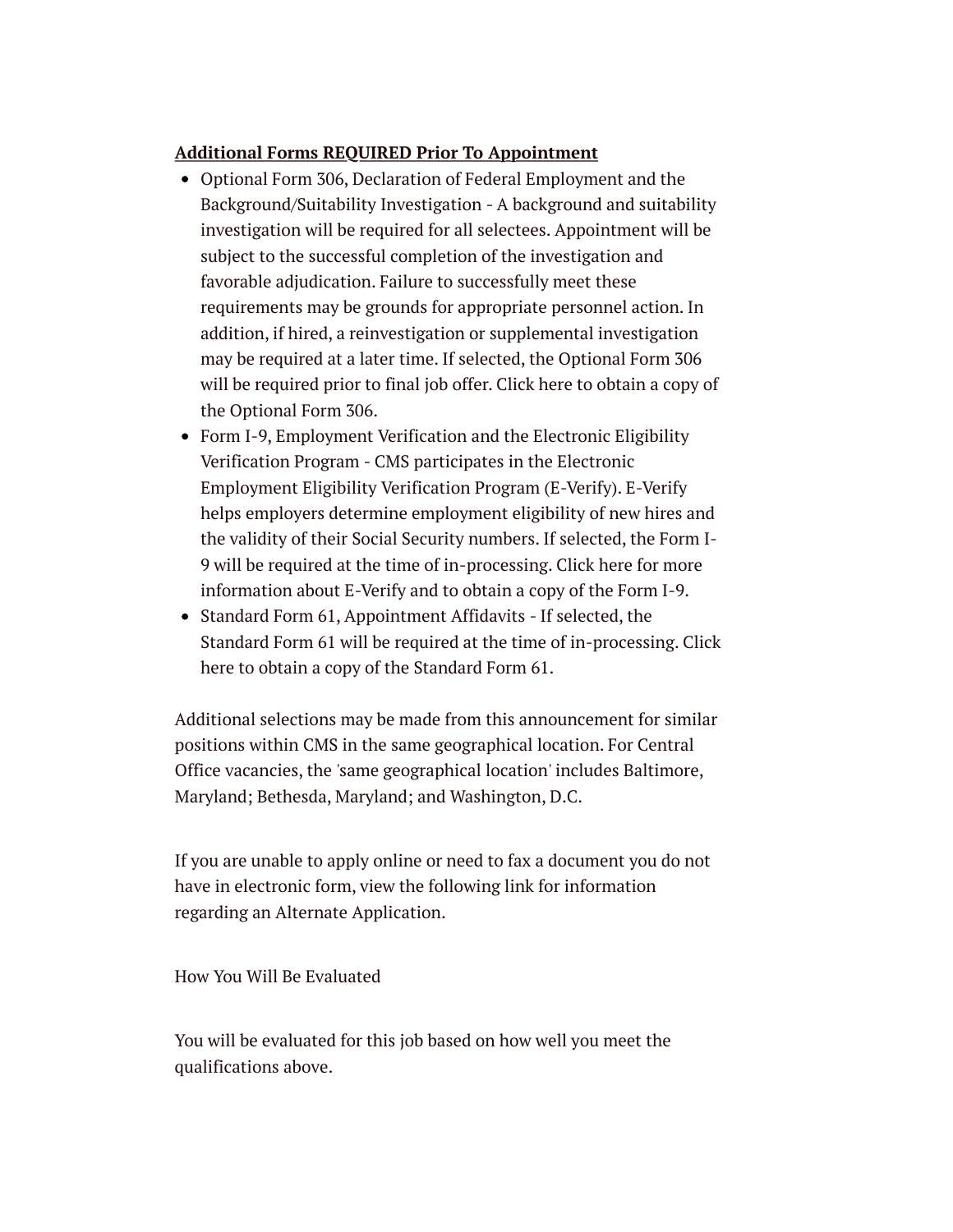### **Additional Forms REQUIRED Prior To Appointment**

- Optional Form 306, Declaration of Federal Employment and the Background/Suitability Investigation - A background and suitability investigation will be required for all selectees. Appointment will be subject to the successful completion of the investigation and favorable adjudication. Failure to successfully meet these requirements may be grounds for appropriate personnel action. In addition, if hired, a reinvestigation or supplemental investigation may be required at a later time. If selected, the Optional Form 306 will be required prior to final job offer. Click here to obtain a copy of the Optional Form 306.
- Form I-9, Employment Verification and the Electronic Eligibility Verification Program - CMS participates in the Electronic Employment Eligibility Verification Program (E-Verify). E-Verify helps employers determine employment eligibility of new hires and the validity of their Social Security numbers. If selected, the Form I-9 will be required at the time of in-processing. Click here for more information about E-Verify and to obtain a copy of the Form I-9.
- Standard Form 61, Appointment Affidavits If selected, the Standard Form 61 will be required at the time of in-processing. Click here to obtain a copy of the Standard Form 61.

Additional selections may be made from this announcement for similar positions within CMS in the same geographical location. For Central Office vacancies, the 'same geographical location' includes Baltimore, Maryland; Bethesda, Maryland; and Washington, D.C.

If you are unable to apply online or need to fax a document you do not have in electronic form, view the following link for information regarding an Alternate Application.

How You Will Be Evaluated

You will be evaluated for this job based on how well you meet the qualifications above.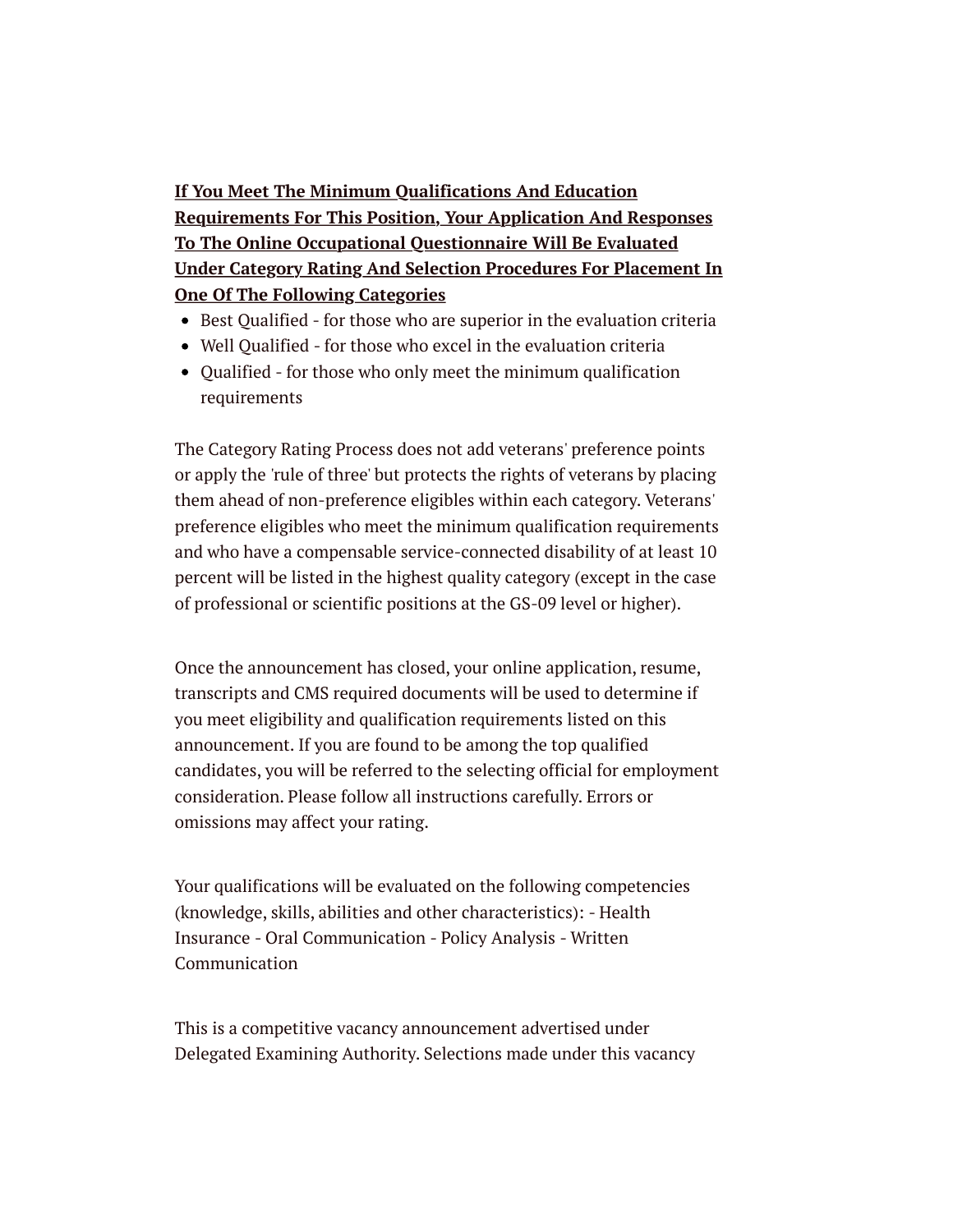**If You Meet The Minimum Qualifications And Education Requirements For This Position, Your Application And Responses To The Online Occupational Questionnaire Will Be Evaluated Under Category Rating And Selection Procedures For Placement In One Of The Following Categories**

- Best Qualified for those who are superior in the evaluation criteria
- Well Qualified for those who excel in the evaluation criteria
- Qualified for those who only meet the minimum qualification requirements

The Category Rating Process does not add veterans' preference points or apply the 'rule of three' but protects the rights of veterans by placing them ahead of non-preference eligibles within each category. Veterans' preference eligibles who meet the minimum qualification requirements and who have a compensable service-connected disability of at least 10 percent will be listed in the highest quality category (except in the case of professional or scientific positions at the GS-09 level or higher).

Once the announcement has closed, your online application, resume, transcripts and CMS required documents will be used to determine if you meet eligibility and qualification requirements listed on this announcement. If you are found to be among the top qualified candidates, you will be referred to the selecting official for employment consideration. Please follow all instructions carefully. Errors or omissions may affect your rating.

Your qualifications will be evaluated on the following competencies (knowledge, skills, abilities and other characteristics): - Health Insurance - Oral Communication - Policy Analysis - Written Communication

This is a competitive vacancy announcement advertised under Delegated Examining Authority. Selections made under this vacancy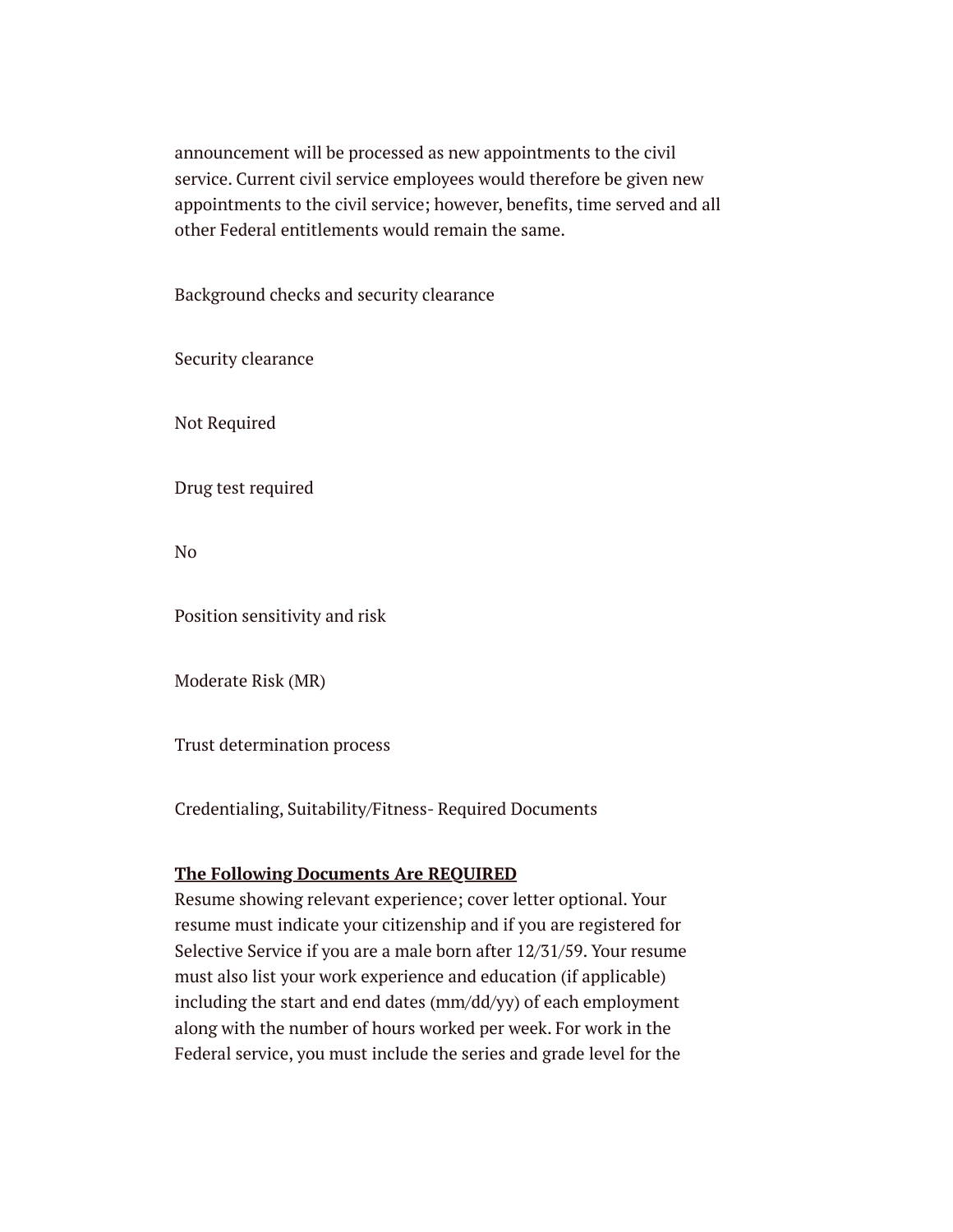announcement will be processed as new appointments to the civil service. Current civil service employees would therefore be given new appointments to the civil service; however, benefits, time served and all other Federal entitlements would remain the same.

Background checks and security clearance

Security clearance

Not Required

Drug test required

No

Position sensitivity and risk

Moderate Risk (MR)

Trust determination process

Credentialing, Suitability/Fitness- Required Documents

### **The Following Documents Are REQUIRED**

Resume showing relevant experience; cover letter optional. Your resume must indicate your citizenship and if you are registered for Selective Service if you are a male born after 12/31/59. Your resume must also list your work experience and education (if applicable) including the start and end dates (mm/dd/yy) of each employment along with the number of hours worked per week. For work in the Federal service, you must include the series and grade level for the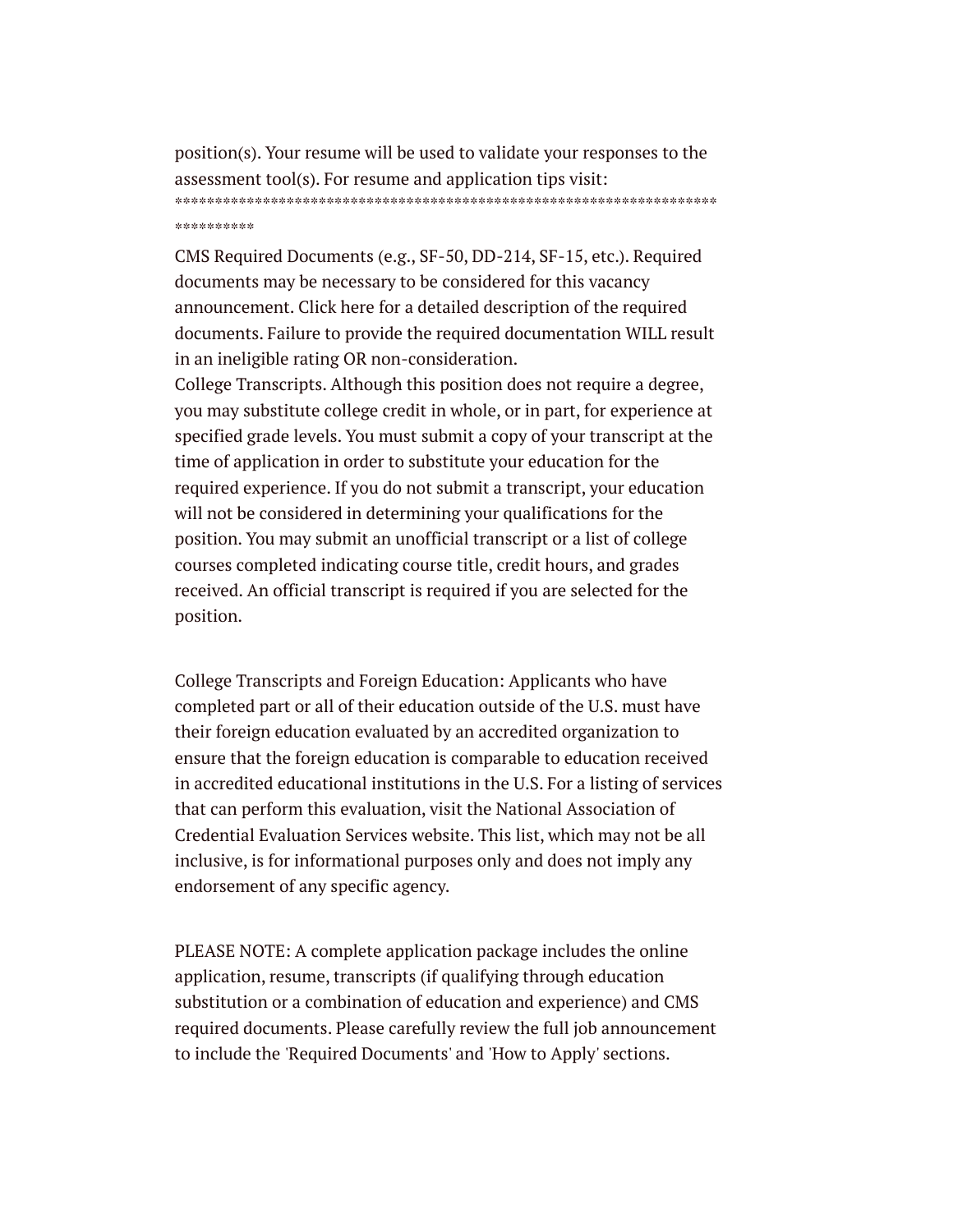position(s). Your resume will be used to validate your responses to the assessment tool(s). For resume and application tips visit: \*\*\*\*\*\*\*\*\*\*\*\*\*\*\*\*\*\*\*\*\*\*\*\*\*\*\*\*\*\*\*\*\*\*\*\*\*\*\*\*\*\*\*\*\*\*\*\*\*\*\*\*\*\*\*\*\*\*\*\*\*\*\*\*\*\*\*\* \*\*\*\*\*\*\*\*\*\*

CMS Required Documents (e.g., SF-50, DD-214, SF-15, etc.). Required documents may be necessary to be considered for this vacancy announcement. Click here for a detailed description of the required documents. Failure to provide the required documentation WILL result in an ineligible rating OR non-consideration.

College Transcripts. Although this position does not require a degree, you may substitute college credit in whole, or in part, for experience at specified grade levels. You must submit a copy of your transcript at the time of application in order to substitute your education for the required experience. If you do not submit a transcript, your education will not be considered in determining your qualifications for the position. You may submit an unofficial transcript or a list of college courses completed indicating course title, credit hours, and grades received. An official transcript is required if you are selected for the position.

College Transcripts and Foreign Education: Applicants who have completed part or all of their education outside of the U.S. must have their foreign education evaluated by an accredited organization to ensure that the foreign education is comparable to education received in accredited educational institutions in the U.S. For a listing of services that can perform this evaluation, visit the National Association of Credential Evaluation Services website. This list, which may not be all inclusive, is for informational purposes only and does not imply any endorsement of any specific agency.

PLEASE NOTE: A complete application package includes the online application, resume, transcripts (if qualifying through education substitution or a combination of education and experience) and CMS required documents. Please carefully review the full job announcement to include the 'Required Documents' and 'How to Apply' sections.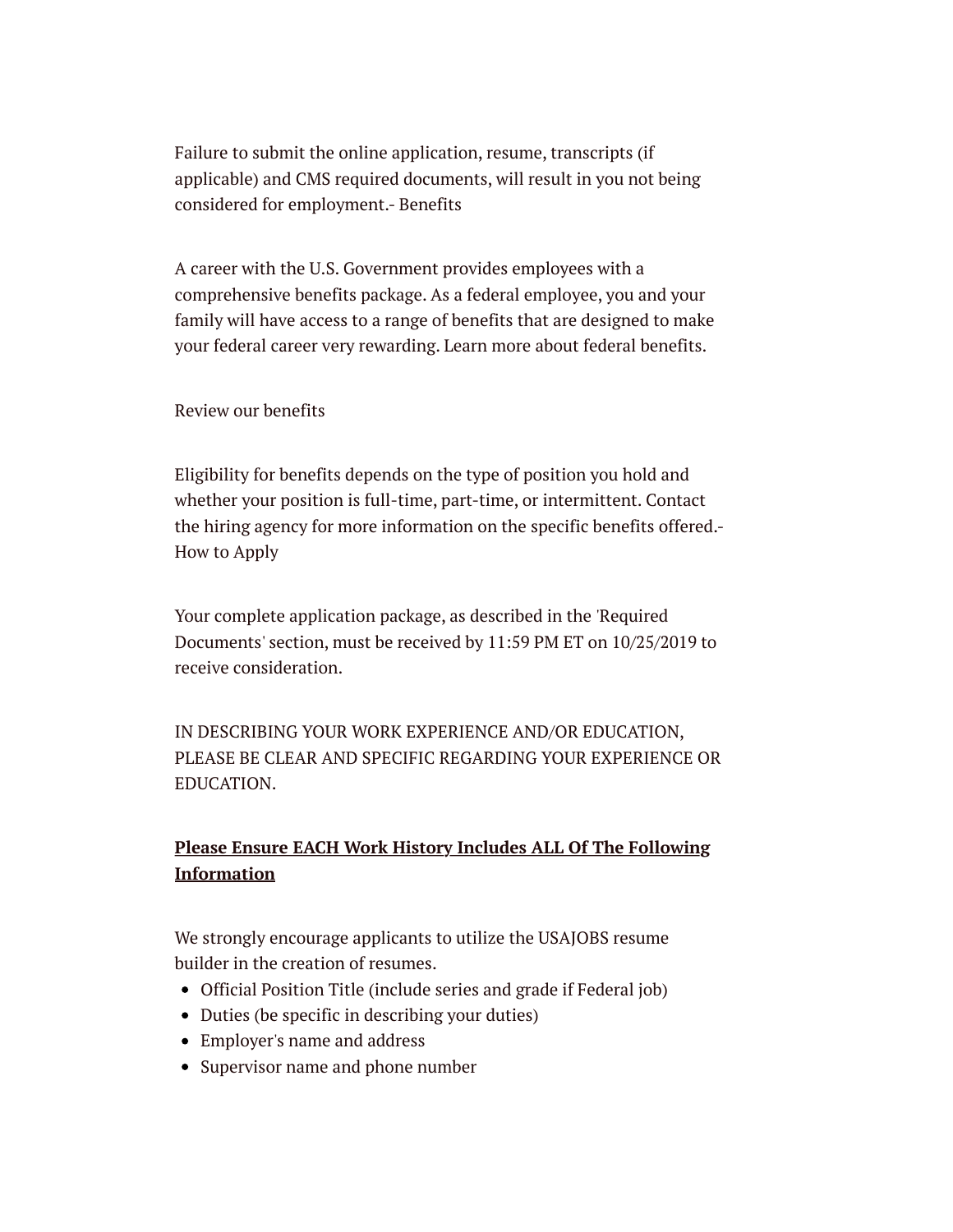Failure to submit the online application, resume, transcripts (if applicable) and CMS required documents, will result in you not being considered for employment.- Benefits

A career with the U.S. Government provides employees with a comprehensive benefits package. As a federal employee, you and your family will have access to a range of benefits that are designed to make your federal career very rewarding. Learn more about federal benefits.

Review our benefits

Eligibility for benefits depends on the type of position you hold and whether your position is full-time, part-time, or intermittent. Contact the hiring agency for more information on the specific benefits offered.- How to Apply

Your complete application package, as described in the 'Required Documents' section, must be received by 11:59 PM ET on 10/25/2019 to receive consideration.

IN DESCRIBING YOUR WORK EXPERIENCE AND/OR EDUCATION, PLEASE BE CLEAR AND SPECIFIC REGARDING YOUR EXPERIENCE OR EDUCATION.

### **Please Ensure EACH Work History Includes ALL Of The Following Information**

We strongly encourage applicants to utilize the USAJOBS resume builder in the creation of resumes.

- Official Position Title (include series and grade if Federal job)
- Duties (be specific in describing your duties)
- Employer's name and address
- Supervisor name and phone number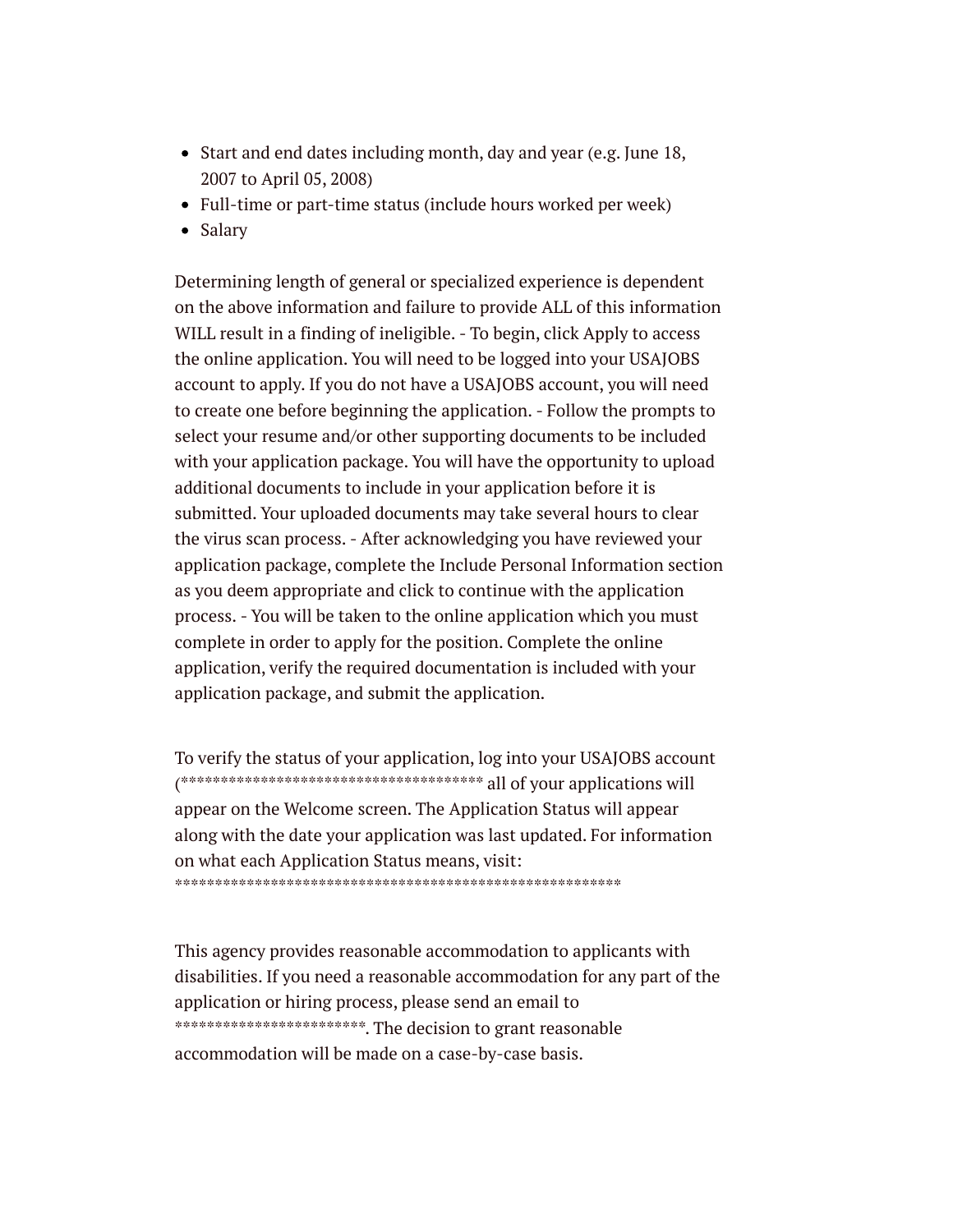- Start and end dates including month, day and year (e.g. June 18, 2007 to April 05, 2008)
- Full-time or part-time status (include hours worked per week)
- Salary

Determining length of general or specialized experience is dependent on the above information and failure to provide ALL of this information WILL result in a finding of ineligible. - To begin, click Apply to access the online application. You will need to be logged into your USAJOBS account to apply. If you do not have a USAJOBS account, you will need to create one before beginning the application. - Follow the prompts to select your resume and/or other supporting documents to be included with your application package. You will have the opportunity to upload additional documents to include in your application before it is submitted. Your uploaded documents may take several hours to clear the virus scan process. - After acknowledging you have reviewed your application package, complete the Include Personal Information section as you deem appropriate and click to continue with the application process. - You will be taken to the online application which you must complete in order to apply for the position. Complete the online application, verify the required documentation is included with your application package, and submit the application.

To verify the status of your application, log into your USAJOBS account (\*\*\*\*\*\*\*\*\*\*\*\*\*\*\*\*\*\*\*\*\*\*\*\*\*\*\*\*\*\*\*\*\*\*\*\*\*\* all of your applications will appear on the Welcome screen. The Application Status will appear along with the date your application was last updated. For information on what each Application Status means, visit: \*\*\*\*\*\*\*\*\*\*\*\*\*\*\*\*\*\*\*\*\*\*\*\*\*\*\*\*\*\*\*\*\*\*\*\*\*\*\*\*\*\*\*\*\*\*\*\*\*\*\*\*\*\*\*\*

This agency provides reasonable accommodation to applicants with disabilities. If you need a reasonable accommodation for any part of the application or hiring process, please send an email to \*\*\*\*\*\*\*\*\*\*\*\*\*\*\*\*\*\*\*\*\*\*\*\*\*\*\*. The decision to grant reasonable accommodation will be made on a case-by-case basis.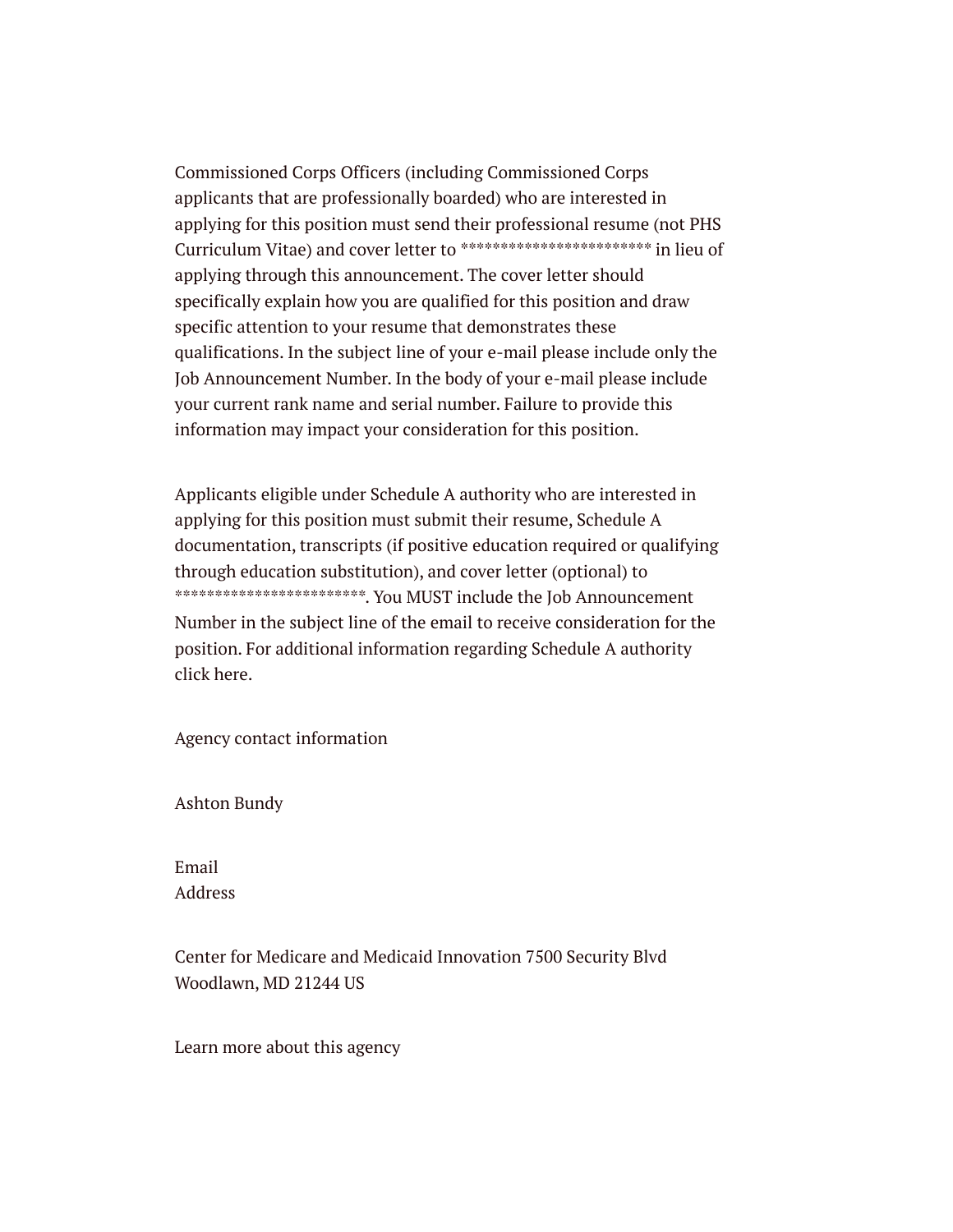Commissioned Corps Officers (including Commissioned Corps applicants that are professionally boarded) who are interested in applying for this position must send their professional resume (not PHS Curriculum Vitae) and cover letter to \*\*\*\*\*\*\*\*\*\*\*\*\*\*\*\*\*\*\*\*\*\*\*\* in lieu of applying through this announcement. The cover letter should specifically explain how you are qualified for this position and draw specific attention to your resume that demonstrates these qualifications. In the subject line of your e-mail please include only the Job Announcement Number. In the body of your e-mail please include your current rank name and serial number. Failure to provide this information may impact your consideration for this position.

Applicants eligible under Schedule A authority who are interested in applying for this position must submit their resume, Schedule A documentation, transcripts (if positive education required or qualifying through education substitution), and cover letter (optional) to \*\*\*\*\*\*\*\*\*\*\*\*\*\*\*\*\*\*\*\*\*\*\*\*\*\*\*\*\*. You MUST include the Job Announcement Number in the subject line of the email to receive consideration for the position. For additional information regarding Schedule A authority click here.

Agency contact information

Ashton Bundy

Email Address

Center for Medicare and Medicaid Innovation 7500 Security Blvd Woodlawn, MD 21244 US

Learn more about this agency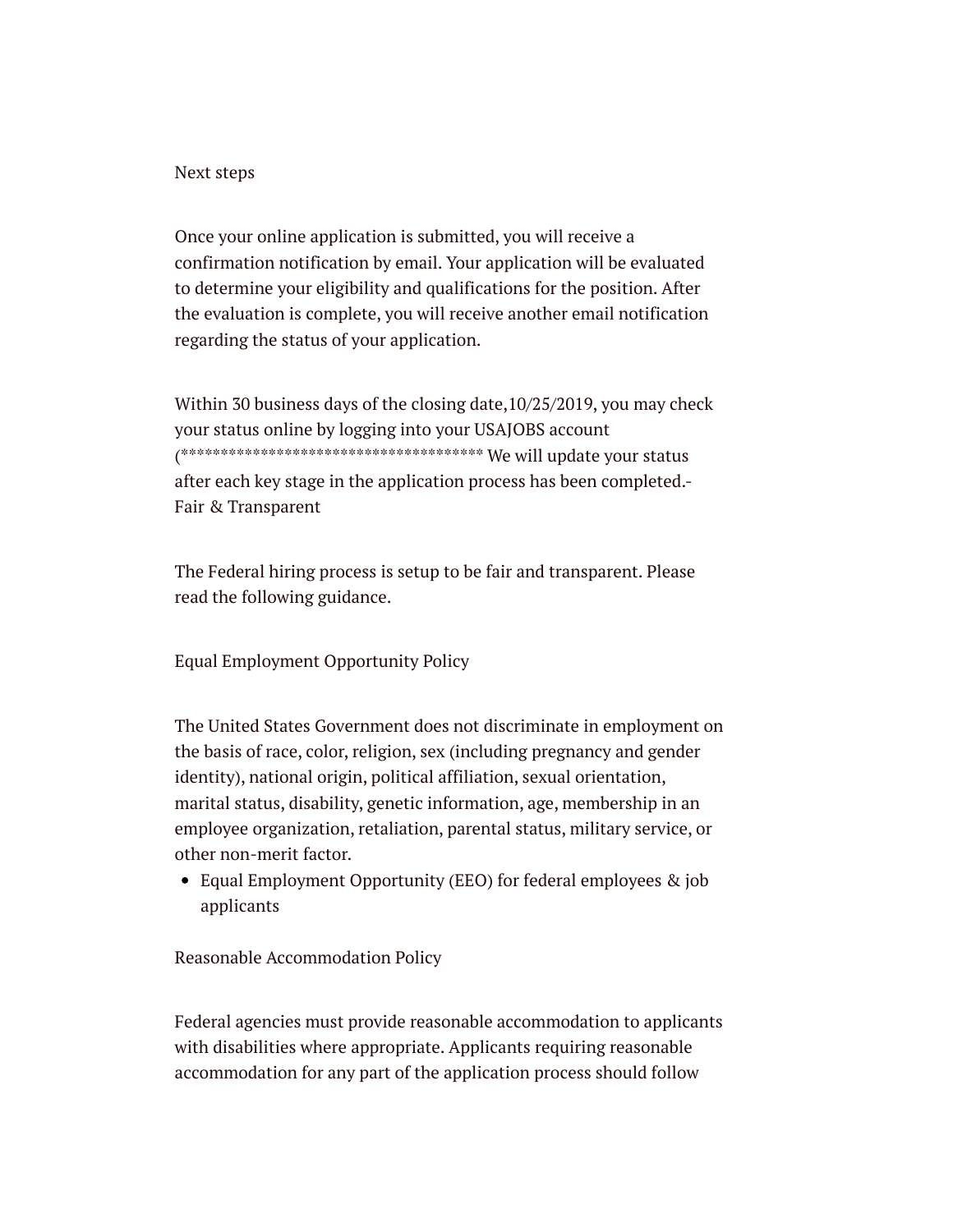#### Next steps

Once your online application is submitted, you will receive a confirmation notification by email. Your application will be evaluated to determine your eligibility and qualifications for the position. After the evaluation is complete, you will receive another email notification regarding the status of your application.

Within 30 business days of the closing date,10/25/2019, you may check your status online by logging into your USAJOBS account (\*\*\*\*\*\*\*\*\*\*\*\*\*\*\*\*\*\*\*\*\*\*\*\*\*\*\*\*\*\*\*\*\*\*\*\*\*\* We will update your status after each key stage in the application process has been completed.- Fair & Transparent

The Federal hiring process is setup to be fair and transparent. Please read the following guidance.

Equal Employment Opportunity Policy

The United States Government does not discriminate in employment on the basis of race, color, religion, sex (including pregnancy and gender identity), national origin, political affiliation, sexual orientation, marital status, disability, genetic information, age, membership in an employee organization, retaliation, parental status, military service, or other non-merit factor.

Equal Employment Opportunity (EEO) for federal employees & job applicants

Reasonable Accommodation Policy

Federal agencies must provide reasonable accommodation to applicants with disabilities where appropriate. Applicants requiring reasonable accommodation for any part of the application process should follow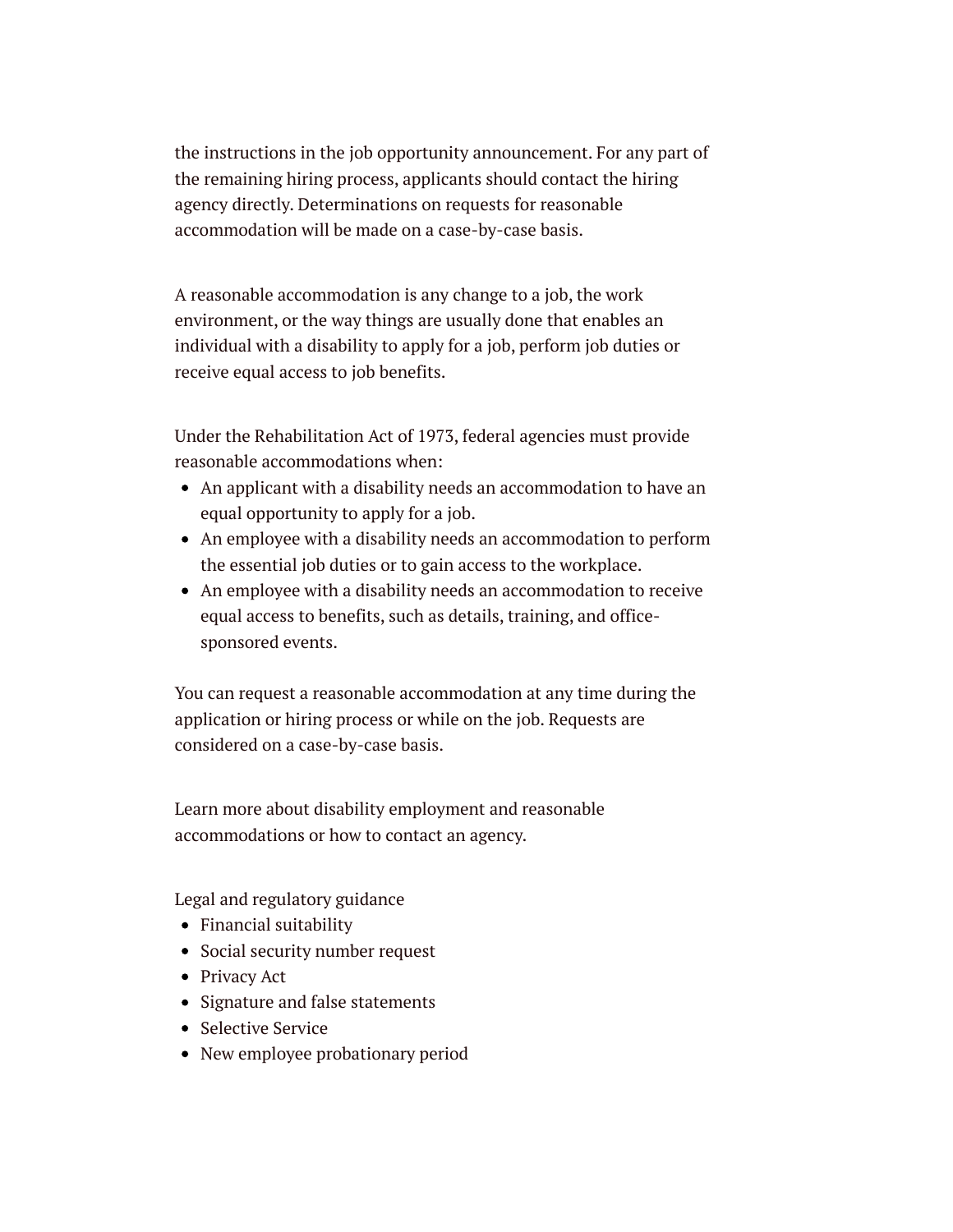the instructions in the job opportunity announcement. For any part of the remaining hiring process, applicants should contact the hiring agency directly. Determinations on requests for reasonable accommodation will be made on a case-by-case basis.

A reasonable accommodation is any change to a job, the work environment, or the way things are usually done that enables an individual with a disability to apply for a job, perform job duties or receive equal access to job benefits.

Under the Rehabilitation Act of 1973, federal agencies must provide reasonable accommodations when:

- An applicant with a disability needs an accommodation to have an equal opportunity to apply for a job.
- An employee with a disability needs an accommodation to perform the essential job duties or to gain access to the workplace.
- An employee with a disability needs an accommodation to receive equal access to benefits, such as details, training, and officesponsored events.

You can request a reasonable accommodation at any time during the application or hiring process or while on the job. Requests are considered on a case-by-case basis.

Learn more about disability employment and reasonable accommodations or how to contact an agency.

Legal and regulatory guidance

- Financial suitability
- Social security number request
- Privacy Act
- Signature and false statements
- Selective Service
- New employee probationary period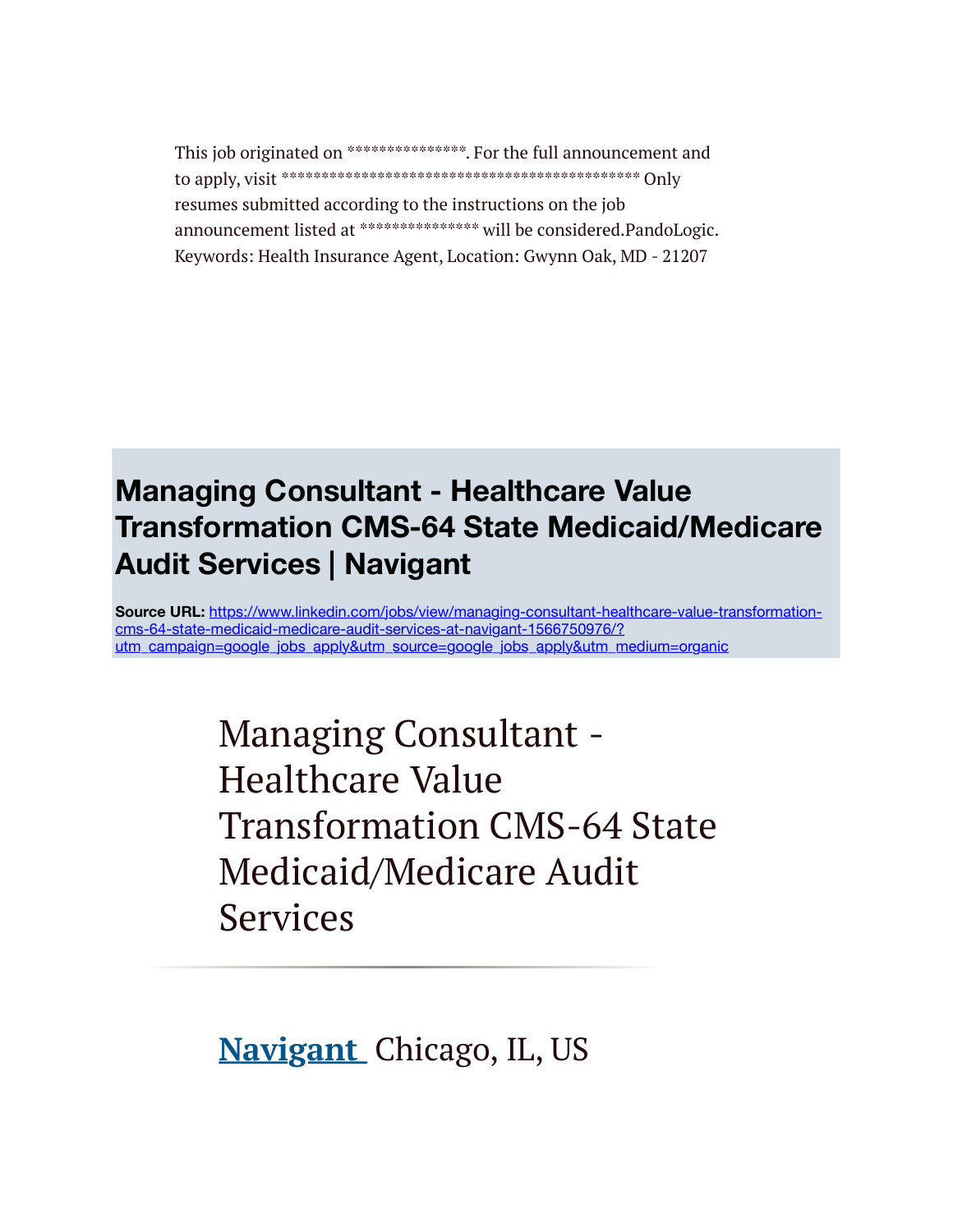This job originated on \*\*\*\*\*\*\*\*\*\*\*\*\*\*\*\*\*\*. For the full announcement and to apply, visit \*\*\*\*\*\*\*\*\*\*\*\*\*\*\*\*\*\*\*\*\*\*\*\*\*\*\*\*\*\*\*\*\*\*\*\*\*\*\*\*\*\*\*\*\* Only resumes submitted according to the instructions on the job announcement listed at \*\*\*\*\*\*\*\*\*\*\*\*\*\*\*\* will be considered.PandoLogic. Keywords: Health Insurance Agent, Location: Gwynn Oak, MD - 21207

## **Managing Consultant - Healthcare Value Transformation CMS-64 State Medicaid/Medicare Audit Services | Navigant**

**Source URL:** [https://www.linkedin.com/jobs/view/managing-consultant-healthcare-value-transformation](https://www.linkedin.com/jobs/view/managing-consultant-healthcare-value-transformation-cms-64-state-medicaid-medicare-audit-services-at-navigant-1566750976/?utm_campaign=google_jobs_apply&utm_source=google_jobs_apply&utm_medium=organic)cms-64-state-medicaid-medicare-audit-services-at-navigant-1566750976/? utm\_campaign=google\_jobs\_apply&utm\_source=google\_jobs\_apply&utm\_medium=organic

> Managing Consultant - Healthcare Value Transformation CMS-64 State Medicaid/Medicare Audit Services

**[Navigant](https://www.linkedin.com/company/navigant/life/)** Chicago, IL, US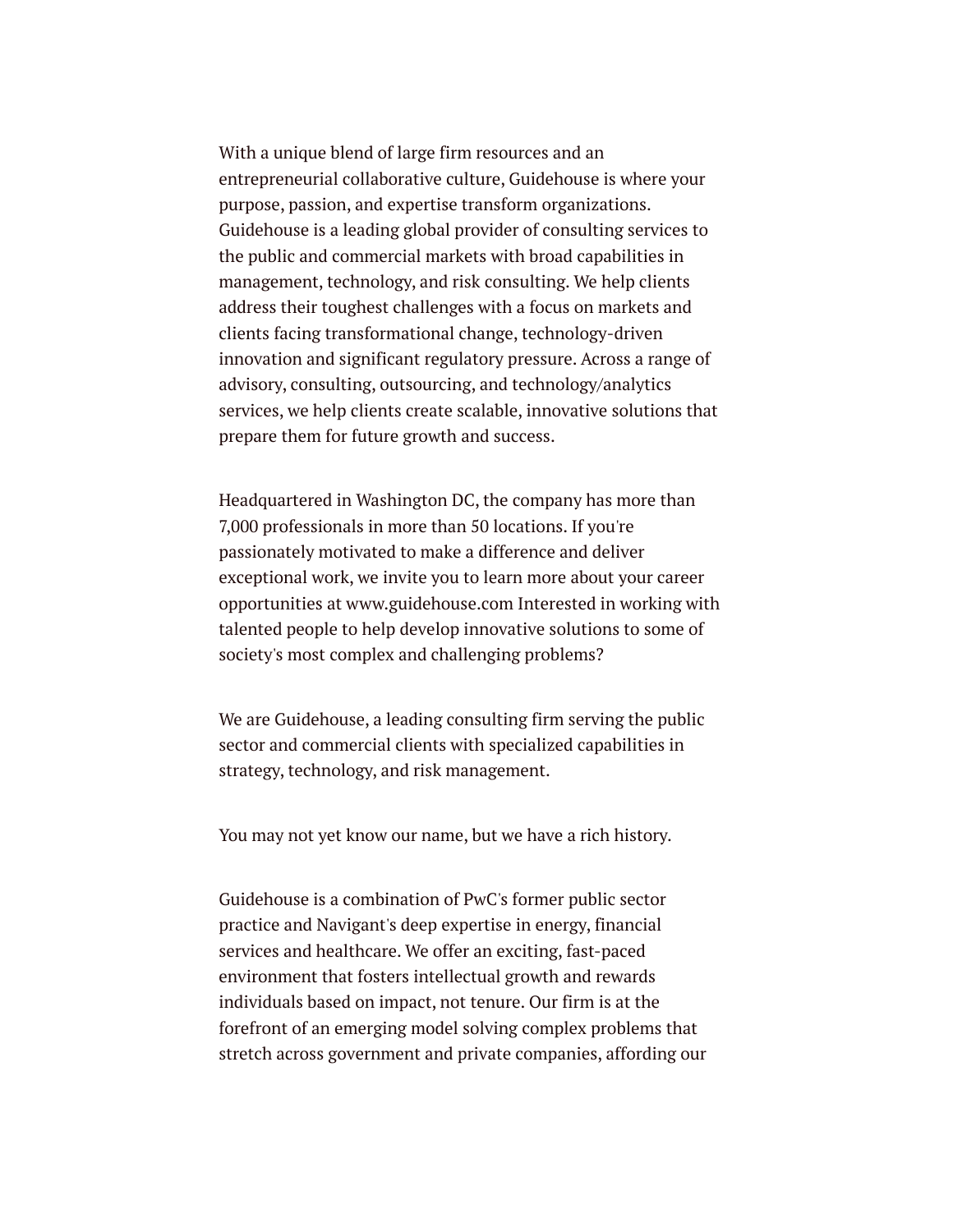With a unique blend of large firm resources and an entrepreneurial collaborative culture, Guidehouse is where your purpose, passion, and expertise transform organizations. Guidehouse is a leading global provider of consulting services to the public and commercial markets with broad capabilities in management, technology, and risk consulting. We help clients address their toughest challenges with a focus on markets and clients facing transformational change, technology-driven innovation and significant regulatory pressure. Across a range of advisory, consulting, outsourcing, and technology/analytics services, we help clients create scalable, innovative solutions that prepare them for future growth and success.

Headquartered in Washington DC, the company has more than 7,000 professionals in more than 50 locations. If you're passionately motivated to make a difference and deliver exceptional work, we invite you to learn more about your career opportunities at www.guidehouse.com Interested in working with talented people to help develop innovative solutions to some of society's most complex and challenging problems?

We are Guidehouse, a leading consulting firm serving the public sector and commercial clients with specialized capabilities in strategy, technology, and risk management.

You may not yet know our name, but we have a rich history.

Guidehouse is a combination of PwC's former public sector practice and Navigant's deep expertise in energy, financial services and healthcare. We offer an exciting, fast-paced environment that fosters intellectual growth and rewards individuals based on impact, not tenure. Our firm is at the forefront of an emerging model solving complex problems that stretch across government and private companies, affording our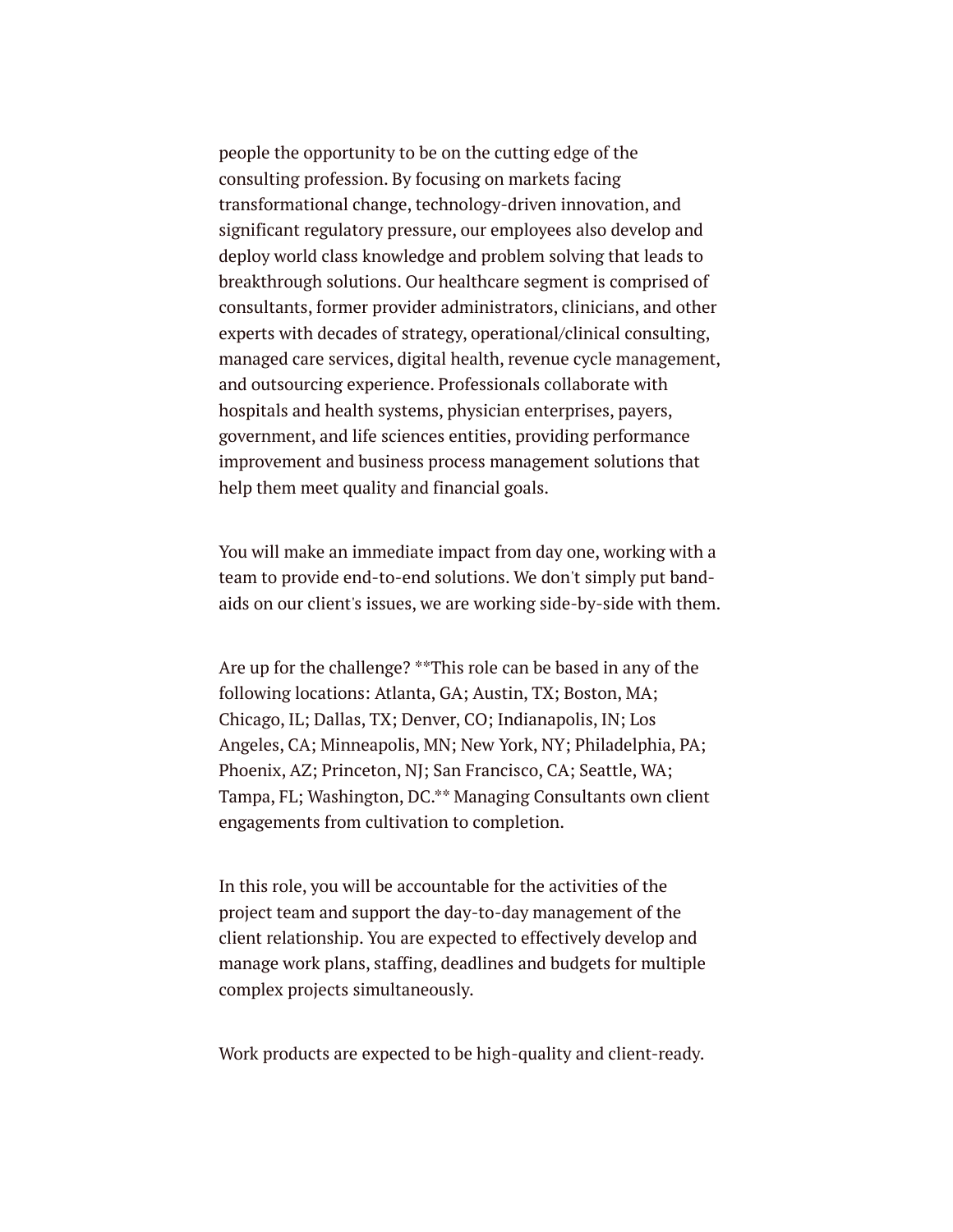people the opportunity to be on the cutting edge of the consulting profession. By focusing on markets facing transformational change, technology-driven innovation, and significant regulatory pressure, our employees also develop and deploy world class knowledge and problem solving that leads to breakthrough solutions. Our healthcare segment is comprised of consultants, former provider administrators, clinicians, and other experts with decades of strategy, operational/clinical consulting, managed care services, digital health, revenue cycle management, and outsourcing experience. Professionals collaborate with hospitals and health systems, physician enterprises, payers, government, and life sciences entities, providing performance improvement and business process management solutions that help them meet quality and financial goals.

You will make an immediate impact from day one, working with a team to provide end-to-end solutions. We don't simply put bandaids on our client's issues, we are working side-by-side with them.

Are up for the challenge? \*\*This role can be based in any of the following locations: Atlanta, GA; Austin, TX; Boston, MA; Chicago, IL; Dallas, TX; Denver, CO; Indianapolis, IN; Los Angeles, CA; Minneapolis, MN; New York, NY; Philadelphia, PA; Phoenix, AZ; Princeton, NJ; San Francisco, CA; Seattle, WA; Tampa, FL; Washington, DC.\*\* Managing Consultants own client engagements from cultivation to completion.

In this role, you will be accountable for the activities of the project team and support the day-to-day management of the client relationship. You are expected to effectively develop and manage work plans, staffing, deadlines and budgets for multiple complex projects simultaneously.

Work products are expected to be high-quality and client-ready.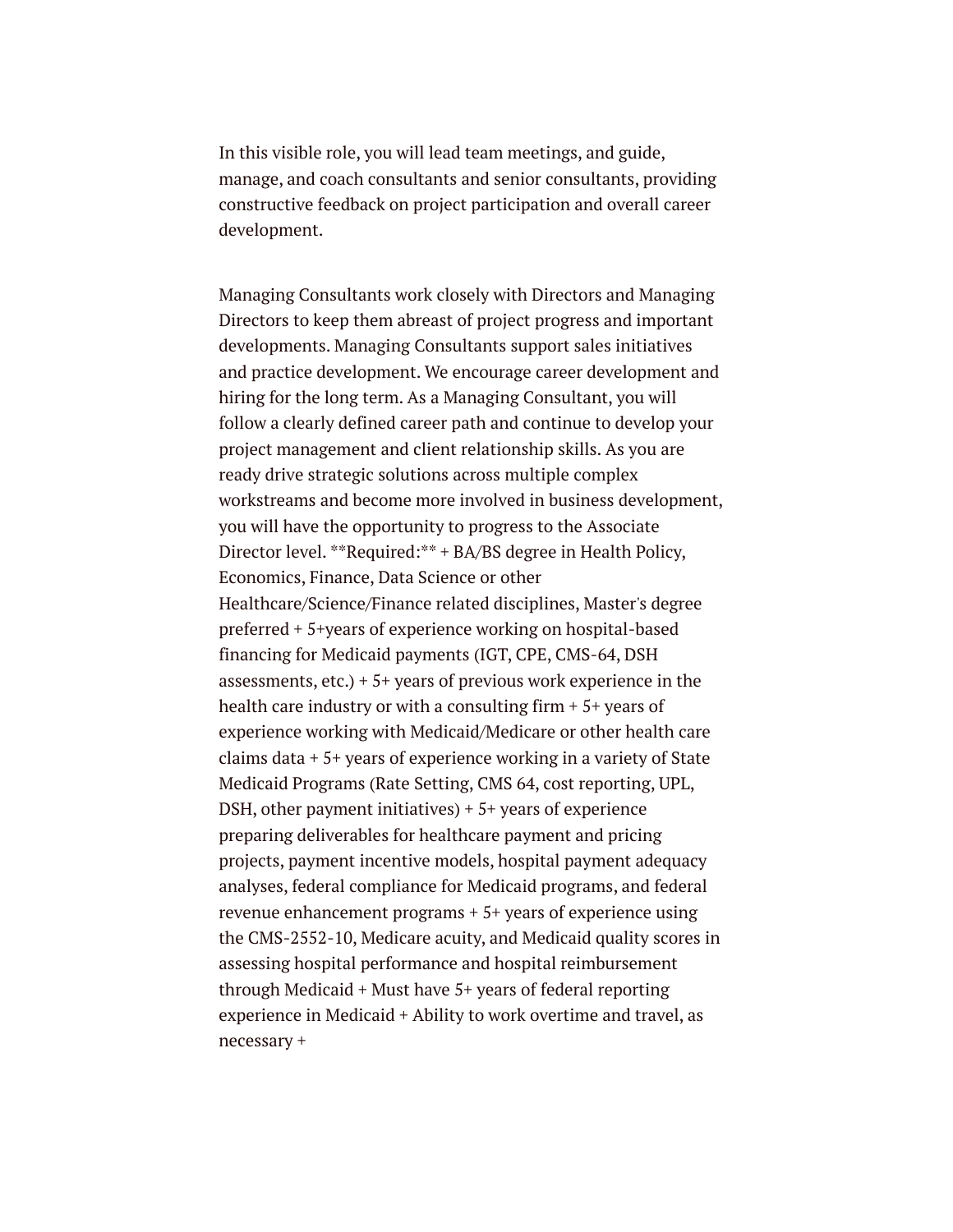In this visible role, you will lead team meetings, and guide, manage, and coach consultants and senior consultants, providing constructive feedback on project participation and overall career development.

Managing Consultants work closely with Directors and Managing Directors to keep them abreast of project progress and important developments. Managing Consultants support sales initiatives and practice development. We encourage career development and hiring for the long term. As a Managing Consultant, you will follow a clearly defined career path and continue to develop your project management and client relationship skills. As you are ready drive strategic solutions across multiple complex workstreams and become more involved in business development, you will have the opportunity to progress to the Associate Director level. \*\*Required:\*\* + BA/BS degree in Health Policy, Economics, Finance, Data Science or other Healthcare/Science/Finance related disciplines, Master's degree preferred + 5+years of experience working on hospital-based financing for Medicaid payments (IGT, CPE, CMS-64, DSH assessments,  $etc.$ ) +  $5+$  years of previous work experience in the health care industry or with a consulting firm  $+5+$  years of experience working with Medicaid/Medicare or other health care claims data + 5+ years of experience working in a variety of State Medicaid Programs (Rate Setting, CMS 64, cost reporting, UPL, DSH, other payment initiatives) + 5+ years of experience preparing deliverables for healthcare payment and pricing projects, payment incentive models, hospital payment adequacy analyses, federal compliance for Medicaid programs, and federal revenue enhancement programs + 5+ years of experience using the CMS-2552-10, Medicare acuity, and Medicaid quality scores in assessing hospital performance and hospital reimbursement through Medicaid + Must have 5+ years of federal reporting experience in Medicaid + Ability to work overtime and travel, as necessary +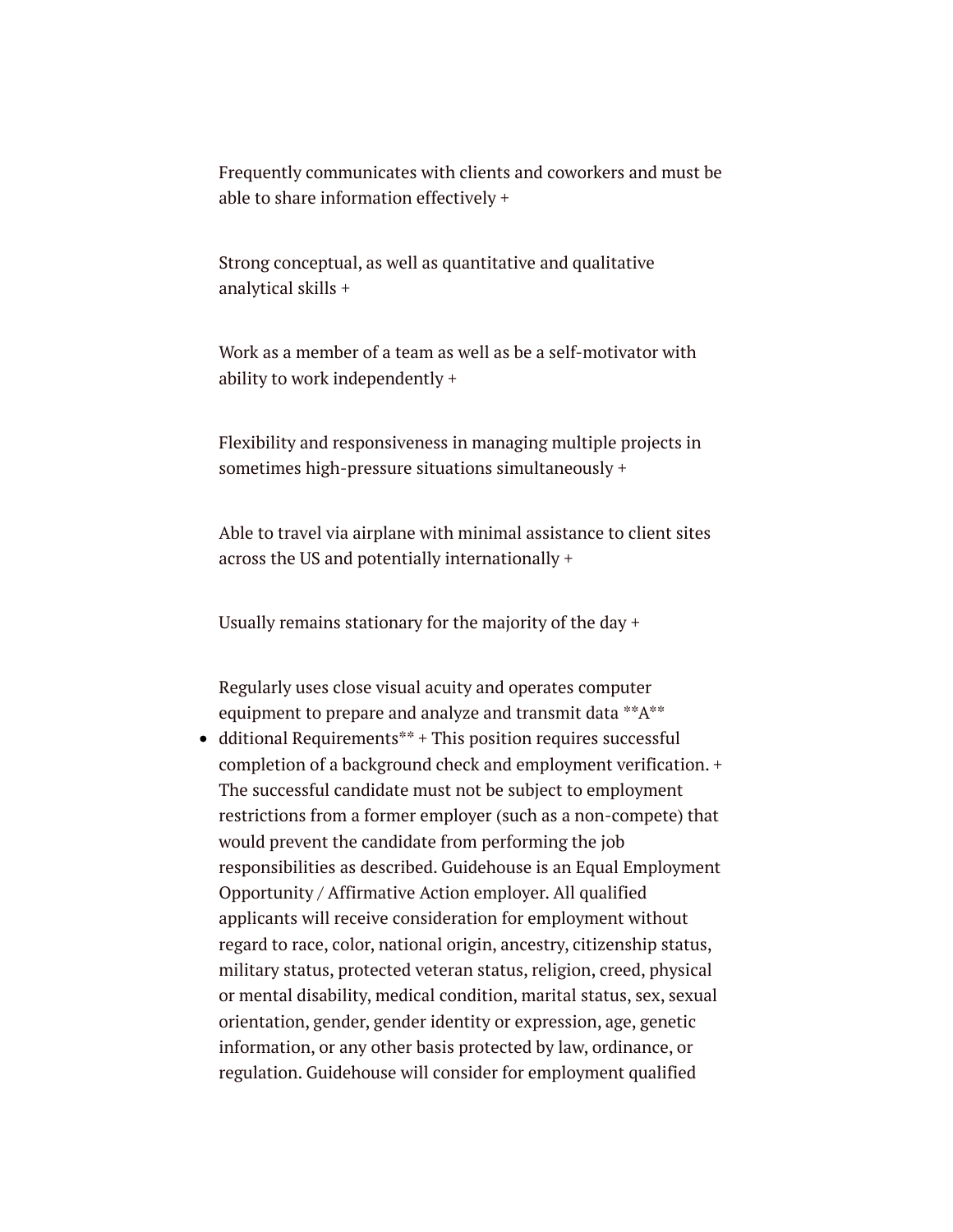Frequently communicates with clients and coworkers and must be able to share information effectively +

Strong conceptual, as well as quantitative and qualitative analytical skills +

Work as a member of a team as well as be a self-motivator with ability to work independently +

Flexibility and responsiveness in managing multiple projects in sometimes high-pressure situations simultaneously +

Able to travel via airplane with minimal assistance to client sites across the US and potentially internationally +

Usually remains stationary for the majority of the day +

Regularly uses close visual acuity and operates computer equipment to prepare and analyze and transmit data \*\*A\*\*

• dditional Requirements\*\* + This position requires successful completion of a background check and employment verification. + The successful candidate must not be subject to employment restrictions from a former employer (such as a non-compete) that would prevent the candidate from performing the job responsibilities as described. Guidehouse is an Equal Employment Opportunity / Affirmative Action employer. All qualified applicants will receive consideration for employment without regard to race, color, national origin, ancestry, citizenship status, military status, protected veteran status, religion, creed, physical or mental disability, medical condition, marital status, sex, sexual orientation, gender, gender identity or expression, age, genetic information, or any other basis protected by law, ordinance, or regulation. Guidehouse will consider for employment qualified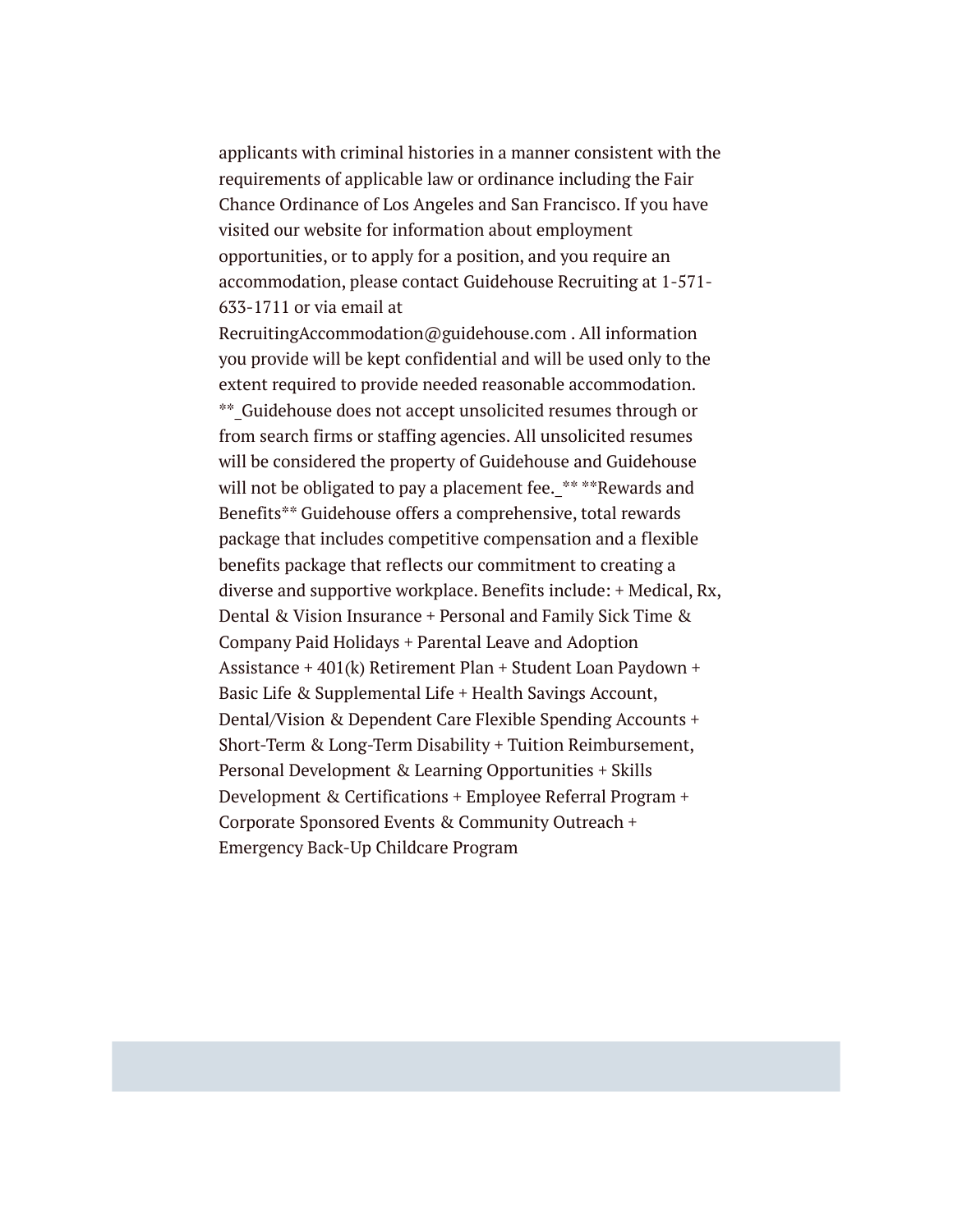applicants with criminal histories in a manner consistent with the requirements of applicable law or ordinance including the Fair Chance Ordinance of Los Angeles and San Francisco. If you have visited our website for information about employment opportunities, or to apply for a position, and you require an accommodation, please contact Guidehouse Recruiting at 1-571- 633-1711 or via email at

RecruitingAccommodation@guidehouse.com . All information you provide will be kept confidential and will be used only to the extent required to provide needed reasonable accommodation. \*\*\_Guidehouse does not accept unsolicited resumes through or from search firms or staffing agencies. All unsolicited resumes will be considered the property of Guidehouse and Guidehouse will not be obligated to pay a placement fee. \*\* \*\*Rewards and Benefits\*\* Guidehouse offers a comprehensive, total rewards package that includes competitive compensation and a flexible benefits package that reflects our commitment to creating a diverse and supportive workplace. Benefits include: + Medical, Rx, Dental & Vision Insurance + Personal and Family Sick Time & Company Paid Holidays + Parental Leave and Adoption Assistance + 401(k) Retirement Plan + Student Loan Paydown + Basic Life & Supplemental Life + Health Savings Account, Dental/Vision & Dependent Care Flexible Spending Accounts + Short-Term & Long-Term Disability + Tuition Reimbursement, Personal Development & Learning Opportunities + Skills Development & Certifications + Employee Referral Program + Corporate Sponsored Events & Community Outreach + Emergency Back-Up Childcare Program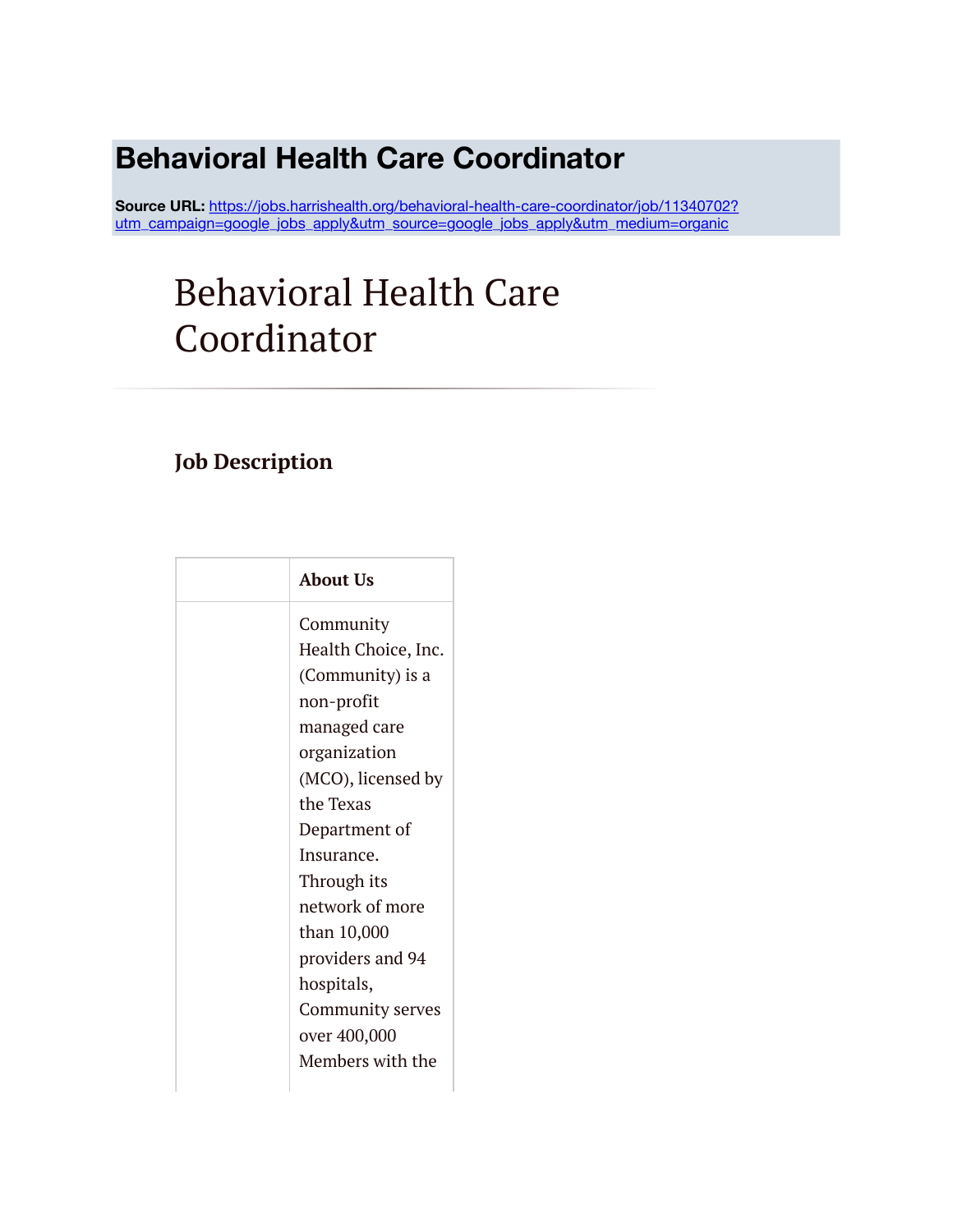# **Behavioral Health Care Coordinator**

Source URL: https://jobs.harrishealth.org/behavioral-health-care-coordinator/job/11340702? [utm\\_campaign=google\\_jobs\\_apply&utm\\_source=google\\_jobs\\_apply&utm\\_medium=organic](https://jobs.harrishealth.org/behavioral-health-care-coordinator/job/11340702?utm_campaign=google_jobs_apply&utm_source=google_jobs_apply&utm_medium=organic)

# Behavioral Health Care Coordinator

### **Job Description**

| <b>About Us</b>     |
|---------------------|
| Community           |
| Health Choice, Inc. |
| (Community) is a    |
| non-profit          |
| managed care        |
| organization        |
| (MCO), licensed by  |
| the Texas           |
| Department of       |
| Insurance.          |
| Through its         |
| network of more     |
| than 10,000         |
| providers and 94    |
| hospitals,          |
| Community serves    |
| over 400,000        |
| Members with the    |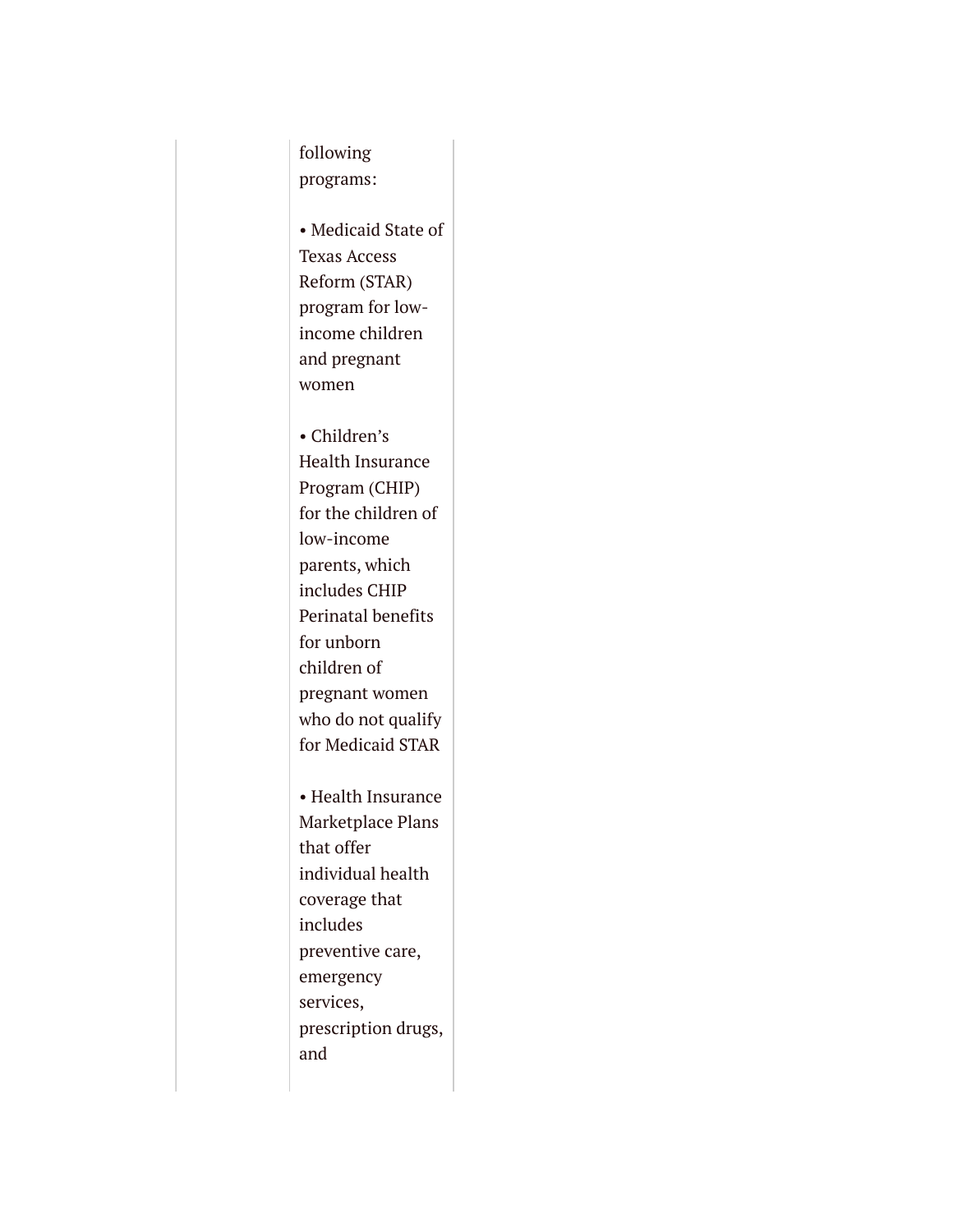following programs:

• Medicaid State of Texas Access Reform (STAR) program for lowincome children and pregnant women

• Children's Health Insurance Program (CHIP) for the children of low-income parents, which includes CHIP Perinatal benefits for unborn children of pregnant women who do not qualify for Medicaid STAR

• Health Insurance Marketplace Plans that offer individual health coverage that includes preventive care, emergency services, prescription drugs, and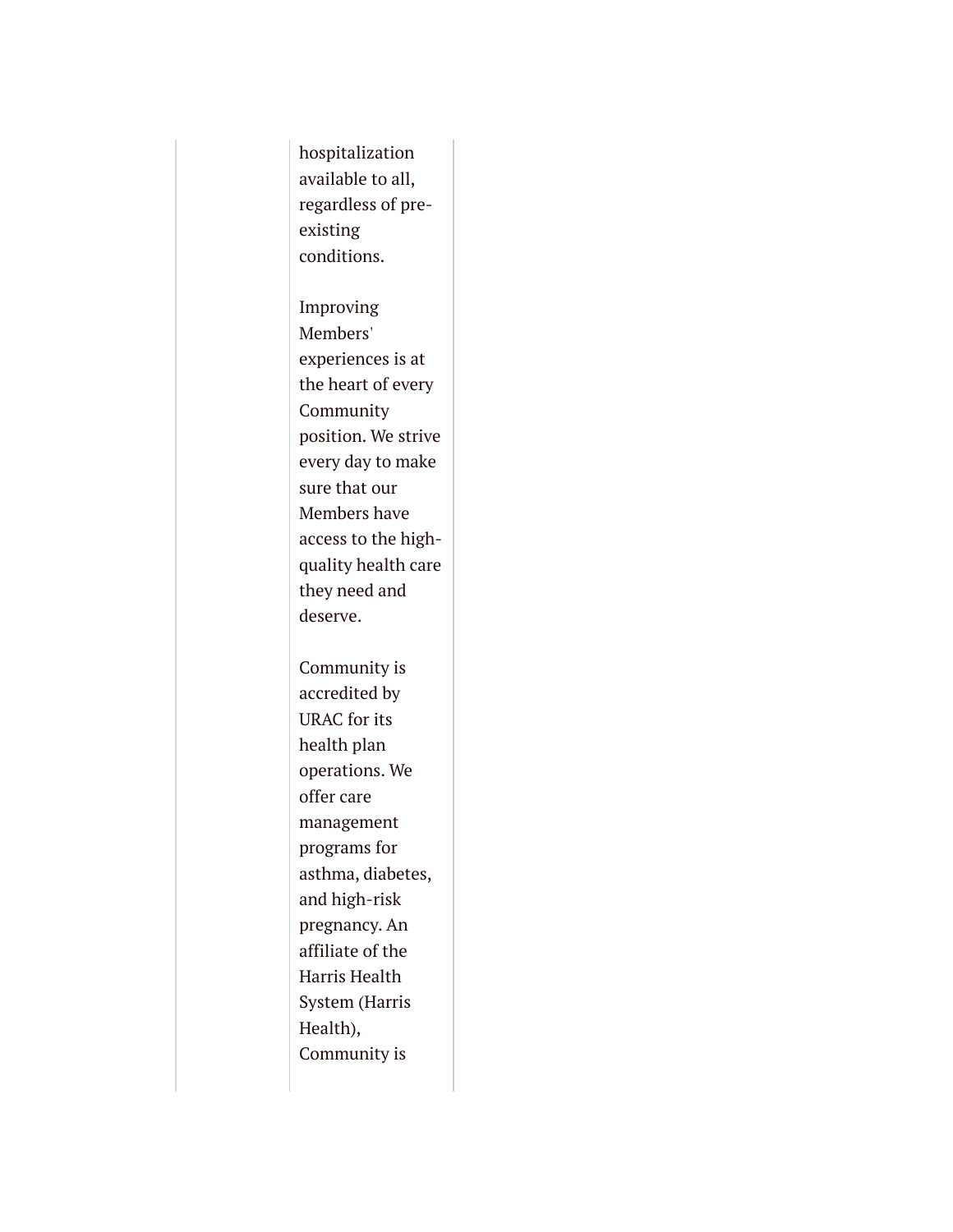hospitalization available to all, regardless of preexisting conditions.

Improving Members' experiences is at the heart of every Community position. We strive every day to make sure that our Members have access to the highquality health care they need and deserve.

Community is accredited by URAC for its health plan operations. We offer care management programs for asthma, diabetes, and high-risk pregnancy. An affiliate of the Harris Health System (Harris Health), Community is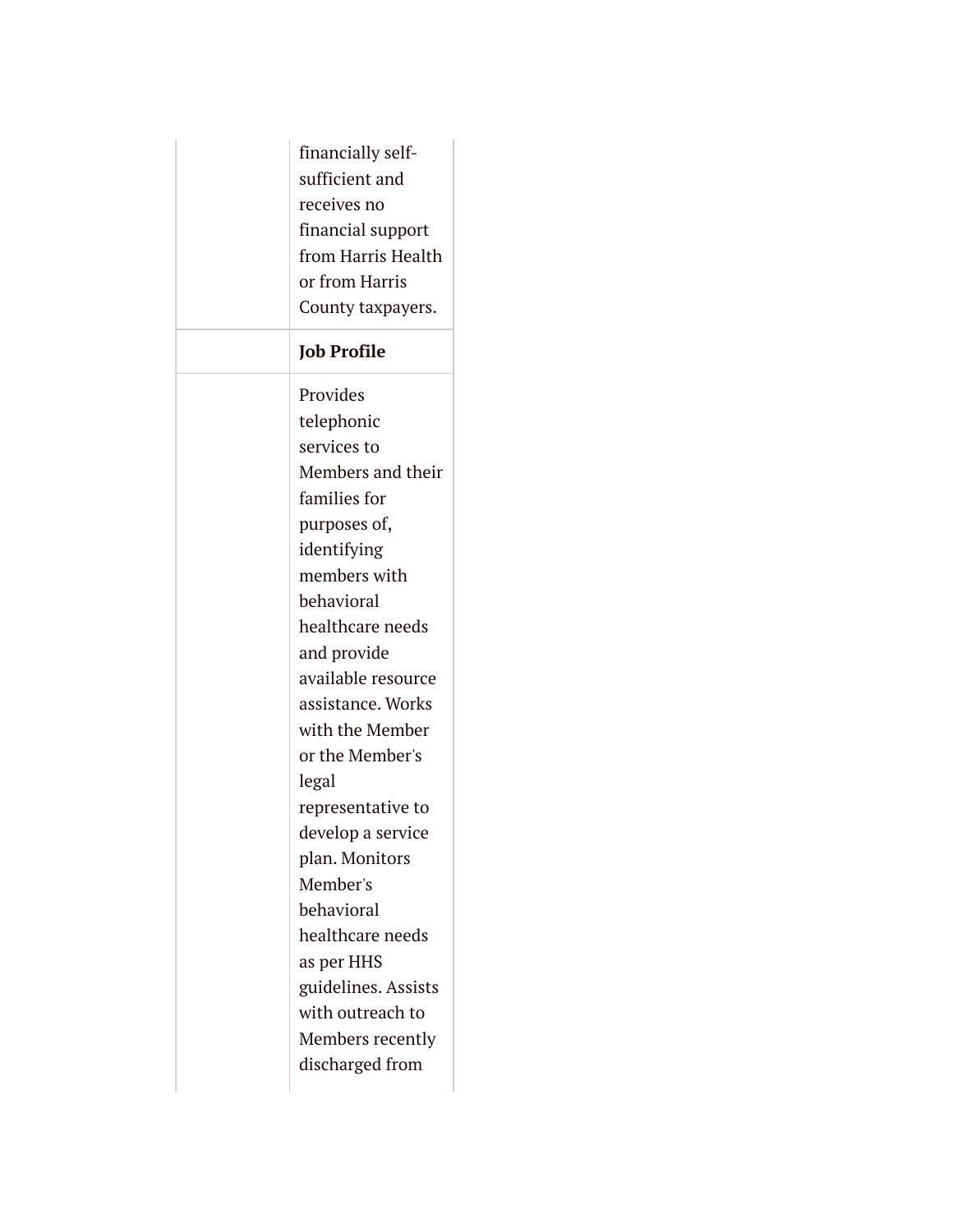| financially self-<br>sufficient and<br>receives no<br>financial support<br>from Harris Health<br>or from Harris<br>County taxpayers. |
|--------------------------------------------------------------------------------------------------------------------------------------|
| <b>Job Profile</b>                                                                                                                   |
| Provides                                                                                                                             |
| telephonic                                                                                                                           |
| services to                                                                                                                          |
| Members and their                                                                                                                    |
| families for                                                                                                                         |
| purposes of,                                                                                                                         |
| identifying                                                                                                                          |
| members with                                                                                                                         |
| behavioral                                                                                                                           |
| healthcare needs                                                                                                                     |
| and provide                                                                                                                          |
| available resource                                                                                                                   |
| assistance. Works                                                                                                                    |
| with the Member<br>or the Member's                                                                                                   |
|                                                                                                                                      |
| legal<br>representative to                                                                                                           |
| develop a service                                                                                                                    |
| plan. Monitors                                                                                                                       |
| Member's                                                                                                                             |
| behavioral                                                                                                                           |
| healthcare needs                                                                                                                     |
| as per HHS                                                                                                                           |
| guidelines. Assists                                                                                                                  |
| with outreach to                                                                                                                     |
| Members recently                                                                                                                     |
| discharged from                                                                                                                      |
|                                                                                                                                      |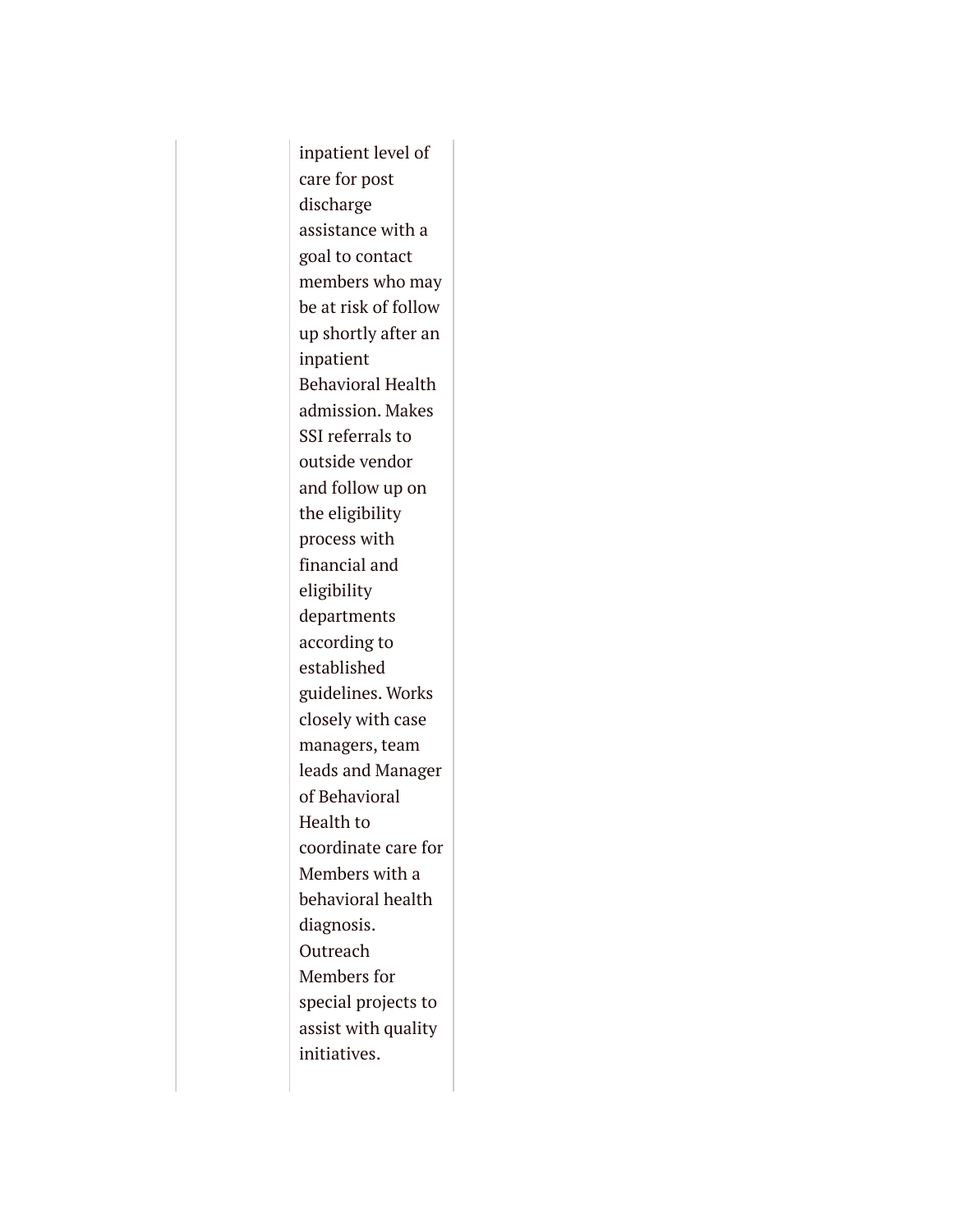inpatient level of care for post discharge assistance with a goal to contact members who may be at risk of follow up shortly after an inpatient Behavioral Health admission. Makes SSI referrals to outside vendor and follow up on the eligibility process with financial and eligibility departments according to established guidelines. Works closely with case managers, team leads and Manager of Behavioral Health to coordinate care for Members with a behavioral health diagnosis. Outreach Members for special projects to assist with quality initiatives.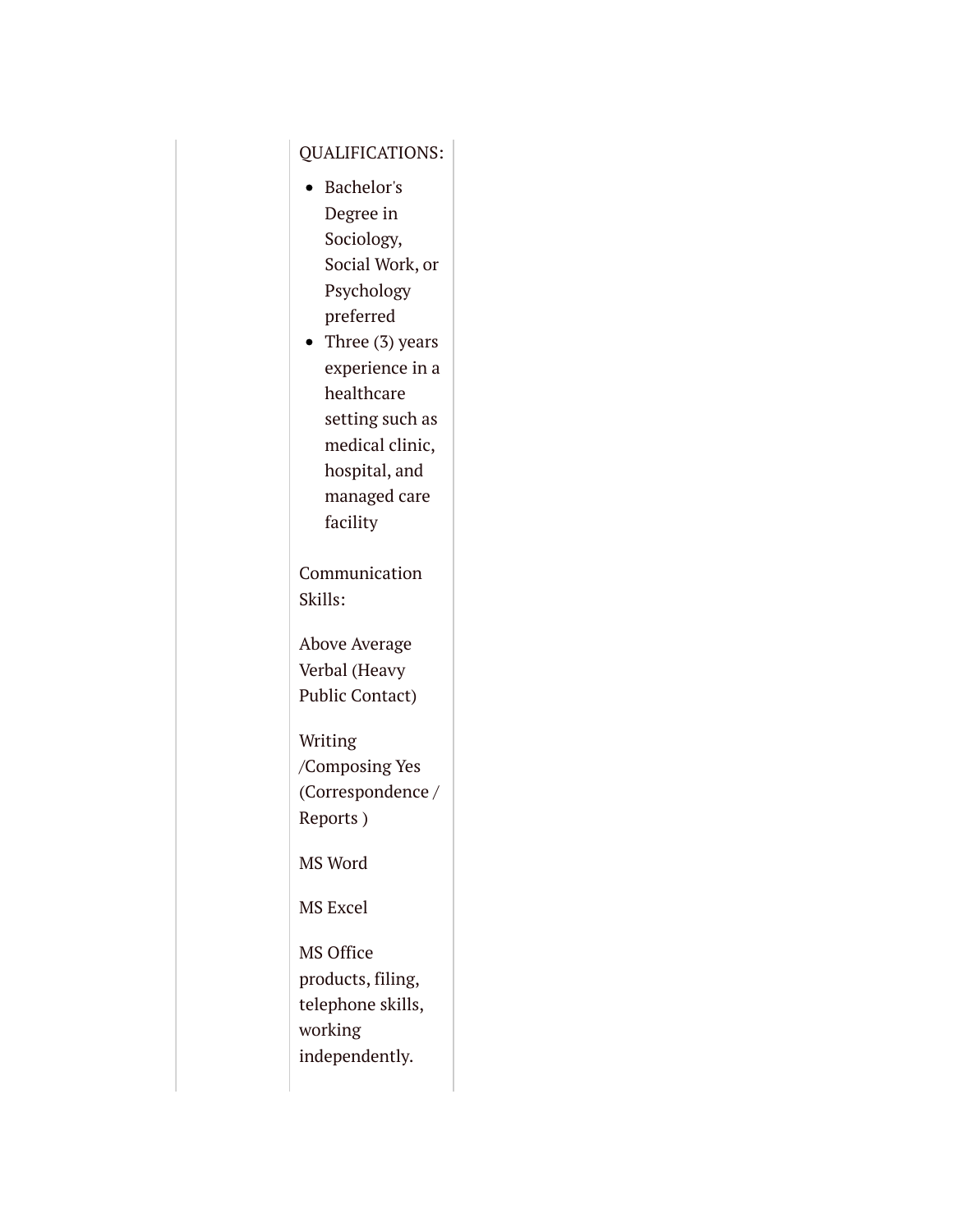### QUALIFICATIONS:

- Bachelor's Degree in Sociology, Social Work, or Psychology preferred
- Three  $(3)$  years experience in a healthcare setting such as medical clinic, hospital, and managed care facility

Communication Skills:

Above Average Verbal (Heavy Public Contact)

Writing /Composing Yes (Correspondence / Reports )

MS Word

MS Excel

MS Office products, filing, telephone skills, working independently.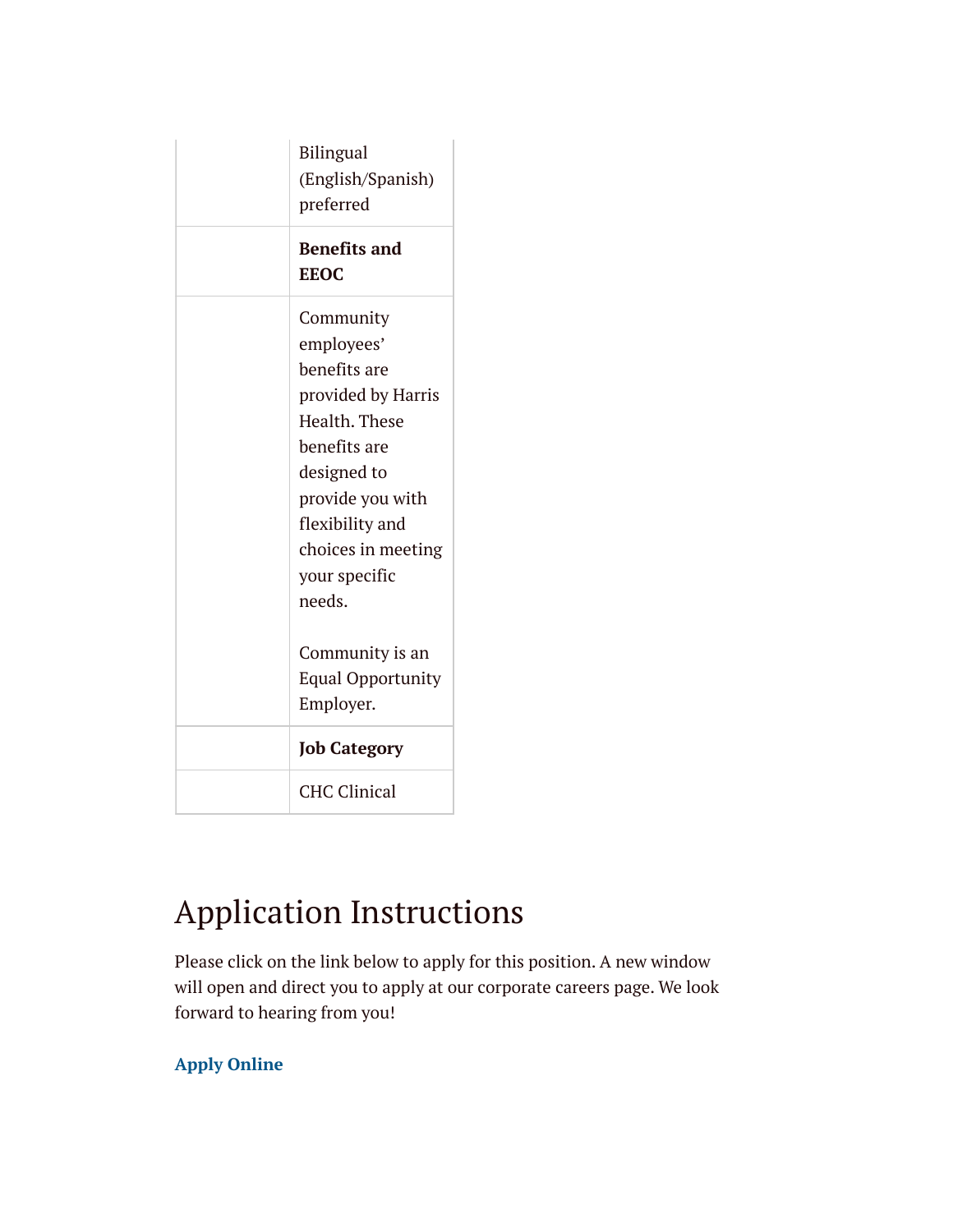| <b>Bilingual</b><br>(English/Spanish)<br>preferred                                                                                                                                                    |
|-------------------------------------------------------------------------------------------------------------------------------------------------------------------------------------------------------|
| <b>Benefits and</b><br><b>EEOC</b>                                                                                                                                                                    |
| Community<br>employees'<br>benefits are<br>provided by Harris<br>Health. These<br>benefits are<br>designed to<br>provide you with<br>flexibility and<br>choices in meeting<br>your specific<br>needs. |
| Community is an<br><b>Equal Opportunity</b><br>Employer.                                                                                                                                              |
| <b>Job Category</b>                                                                                                                                                                                   |
| <b>CHC Clinical</b>                                                                                                                                                                                   |

# Application Instructions

Please click on the link below to apply for this position. A new window will open and direct you to apply at our corporate careers page. We look forward to hearing from you!

### **[Apply Online](https://recruiting.harrishealth.org/psc/hrext/EMPLOYEE/HRMS/c/HRS_HRAM.HRS_CE.GBL?Page=HRS_CE_JOB_DTL&Action=A&SiteId=1&PostingSeq=1&JobOpeningId=146663)**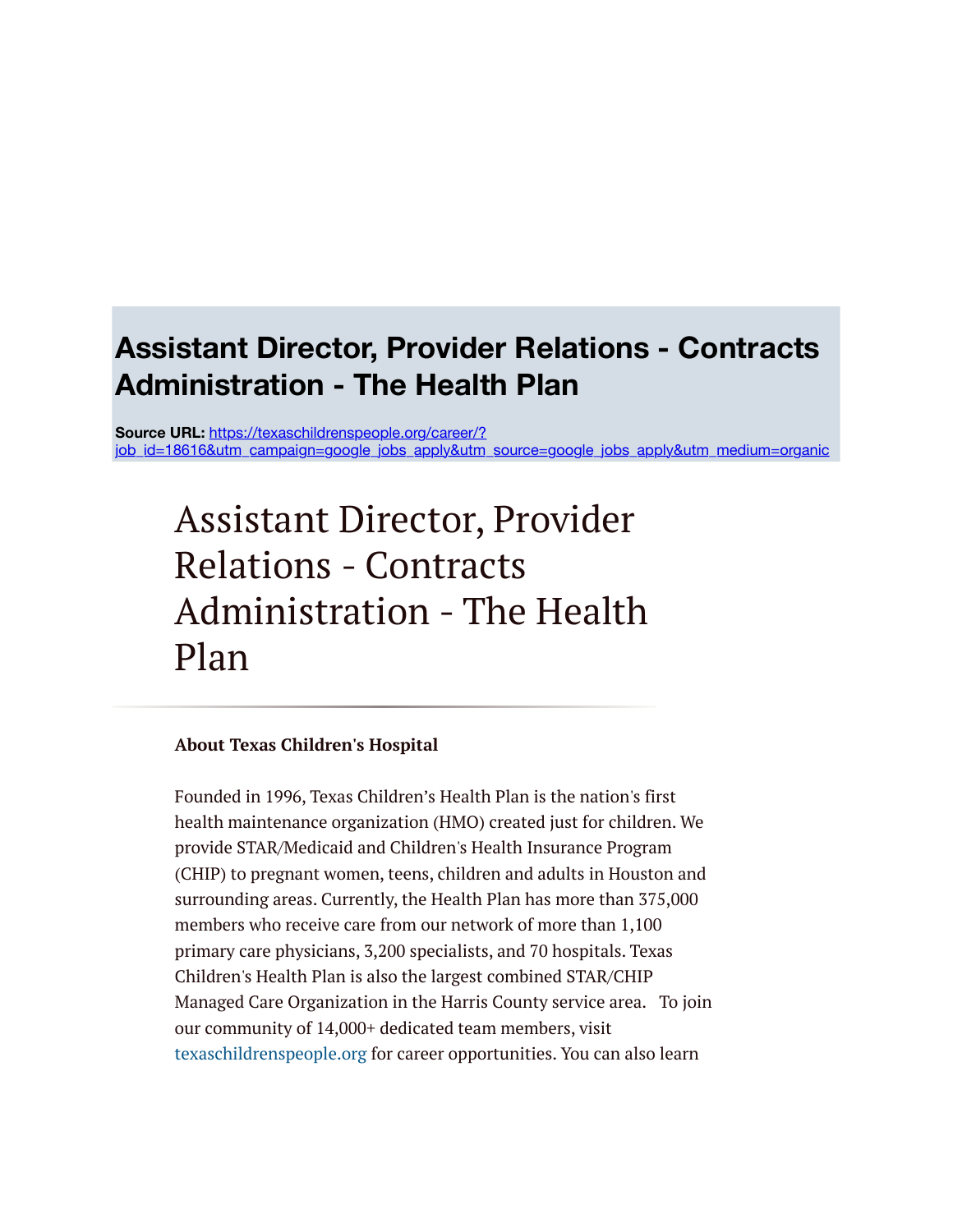# **Assistant Director, Provider Relations - Contracts Administration - The Health Plan**

**Source URL:** https://texaschildrenspeople.org/career/? [job\\_id=18616&utm\\_campaign=google\\_jobs\\_apply&utm\\_source=google\\_jobs\\_apply&utm\\_medium=organic](https://texaschildrenspeople.org/career/?job_id=18616&utm_campaign=google_jobs_apply&utm_source=google_jobs_apply&utm_medium=organic)

# Assistant Director, Provider Relations - Contracts Administration - The Health Plan

### **About Texas Children's Hospital**

Founded in 1996, Texas Children's Health Plan is the nation's first health maintenance organization (HMO) created just for children. We provide STAR/Medicaid and Children's Health Insurance Program (CHIP) to pregnant women, teens, children and adults in Houston and surrounding areas. Currently, the Health Plan has more than 375,000 members who receive care from our network of more than 1,100 primary care physicians, 3,200 specialists, and 70 hospitals. Texas Children's Health Plan is also the largest combined STAR/CHIP Managed Care Organization in the Harris County service area. To join our community of 14,000+ dedicated team members, visit [texaschildrenspeople.org](http://texaschildrenspeople.org/) for career opportunities. You can also learn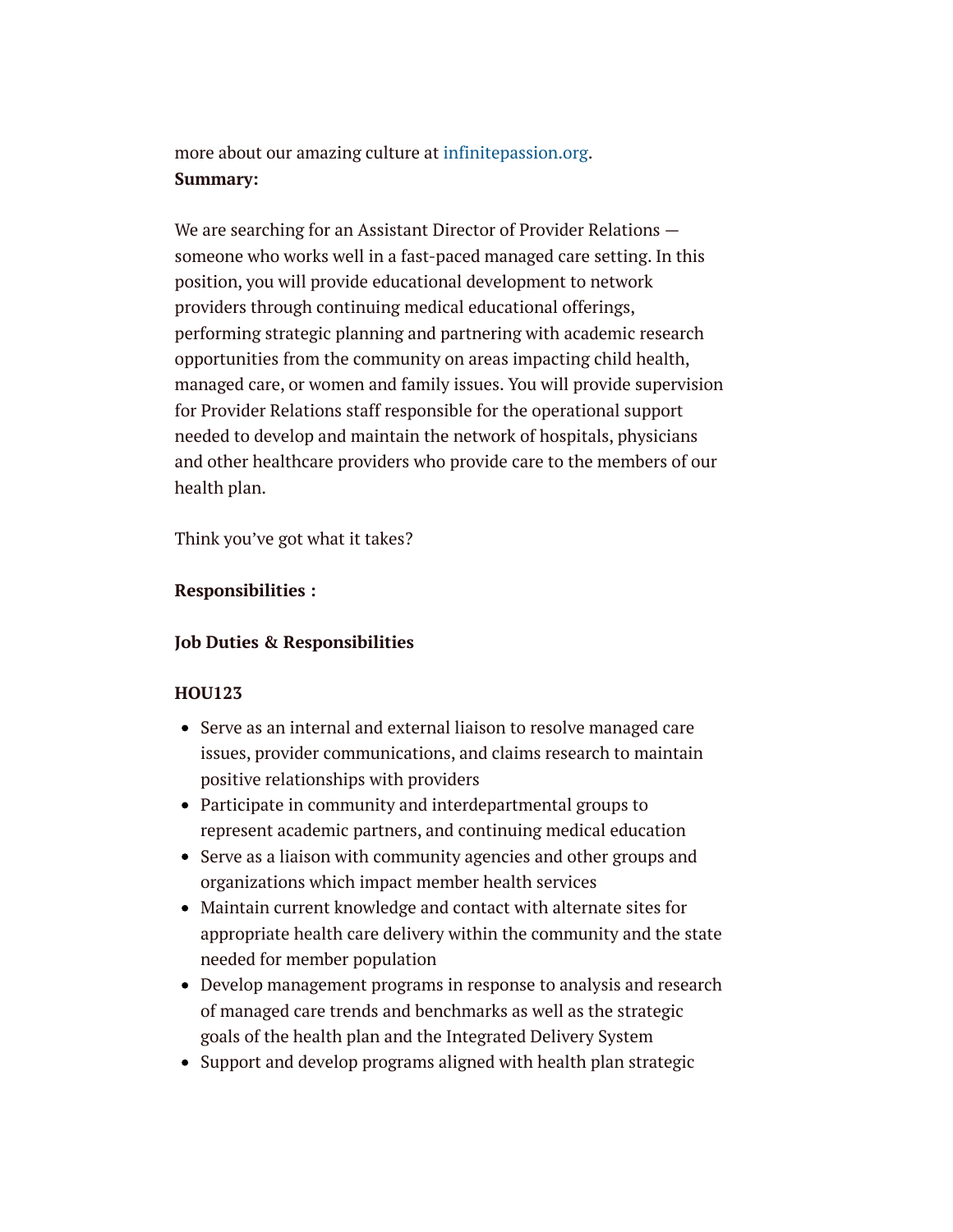more about our amazing culture at [infinitepassion.org.](http://infinitepassion.org/) **Summary:**

We are searching for an Assistant Director of Provider Relations someone who works well in a fast-paced managed care setting. In this position, you will provide educational development to network providers through continuing medical educational offerings, performing strategic planning and partnering with academic research opportunities from the community on areas impacting child health, managed care, or women and family issues. You will provide supervision for Provider Relations staff responsible for the operational support needed to develop and maintain the network of hospitals, physicians and other healthcare providers who provide care to the members of our health plan.

Think you've got what it takes?

### **Responsibilities :**

### **Job Duties & Responsibilities**

### **HOU123**

- Serve as an internal and external liaison to resolve managed care issues, provider communications, and claims research to maintain positive relationships with providers
- Participate in community and interdepartmental groups to represent academic partners, and continuing medical education
- Serve as a liaison with community agencies and other groups and organizations which impact member health services
- Maintain current knowledge and contact with alternate sites for appropriate health care delivery within the community and the state needed for member population
- Develop management programs in response to analysis and research of managed care trends and benchmarks as well as the strategic goals of the health plan and the Integrated Delivery System
- Support and develop programs aligned with health plan strategic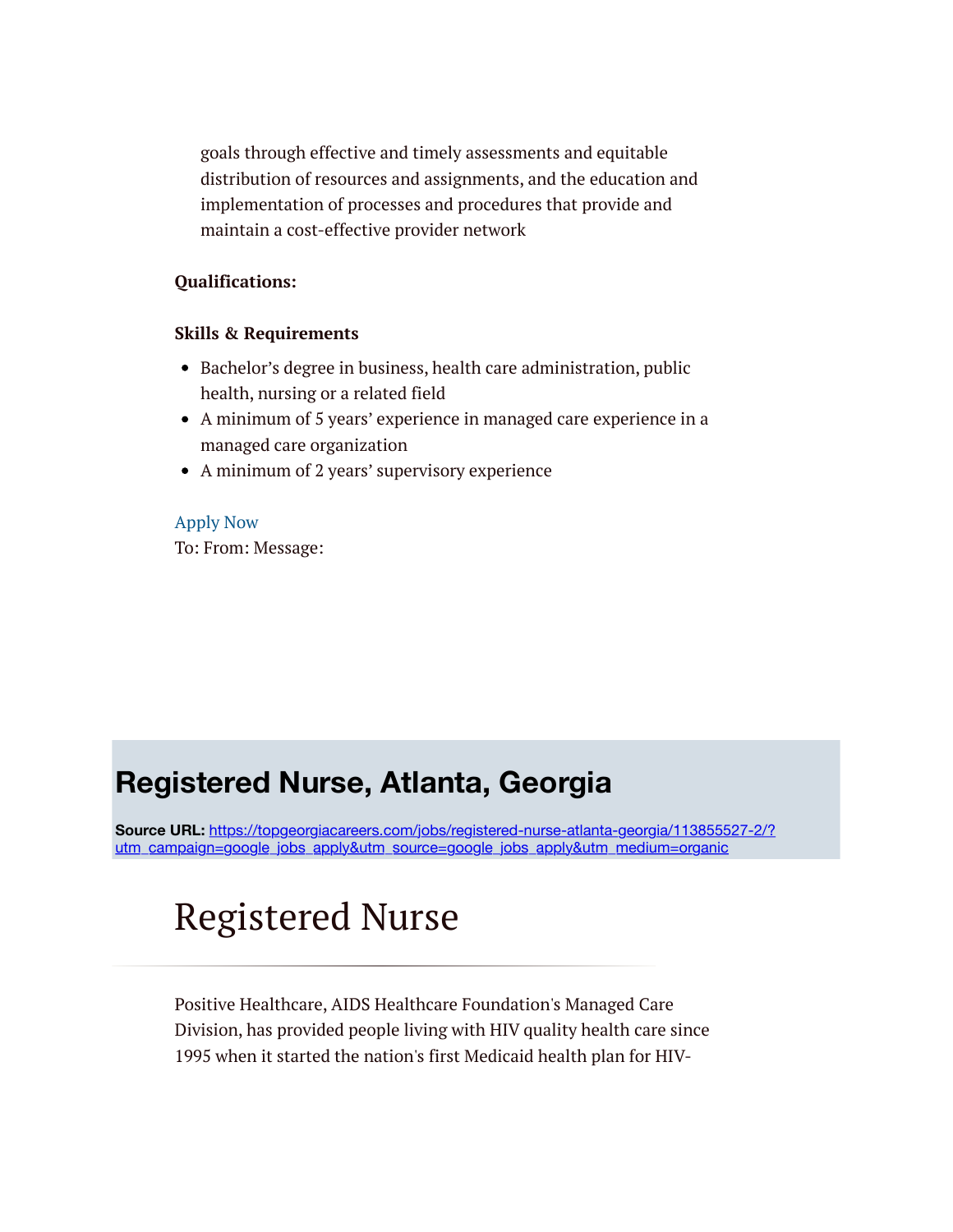goals through effective and timely assessments and equitable distribution of resources and assignments, and the education and implementation of processes and procedures that provide and maintain a cost-effective provider network

### **Qualifications:**

### **Skills & Requirements**

- Bachelor's degree in business, health care administration, public health, nursing or a related field
- A minimum of 5 years' experience in managed care experience in a managed care organization
- A minimum of 2 years' supervisory experience

[Apply Now](https://careers-texaschildrens.icims.com/jobs/18616/job) To: From: Message:

### **Registered Nurse, Atlanta, Georgia**

**Source URL:** https://topgeorgiacareers.com/jobs/registered-nurse-atlanta-georgia/113855527-2/? [utm\\_campaign=google\\_jobs\\_apply&utm\\_source=google\\_jobs\\_apply&utm\\_medium=organic](https://topgeorgiacareers.com/jobs/registered-nurse-atlanta-georgia/113855527-2/?utm_campaign=google_jobs_apply&utm_source=google_jobs_apply&utm_medium=organic)

# Registered Nurse

Positive Healthcare, AIDS Healthcare Foundation's Managed Care Division, has provided people living with HIV quality health care since 1995 when it started the nation's first Medicaid health plan for HIV-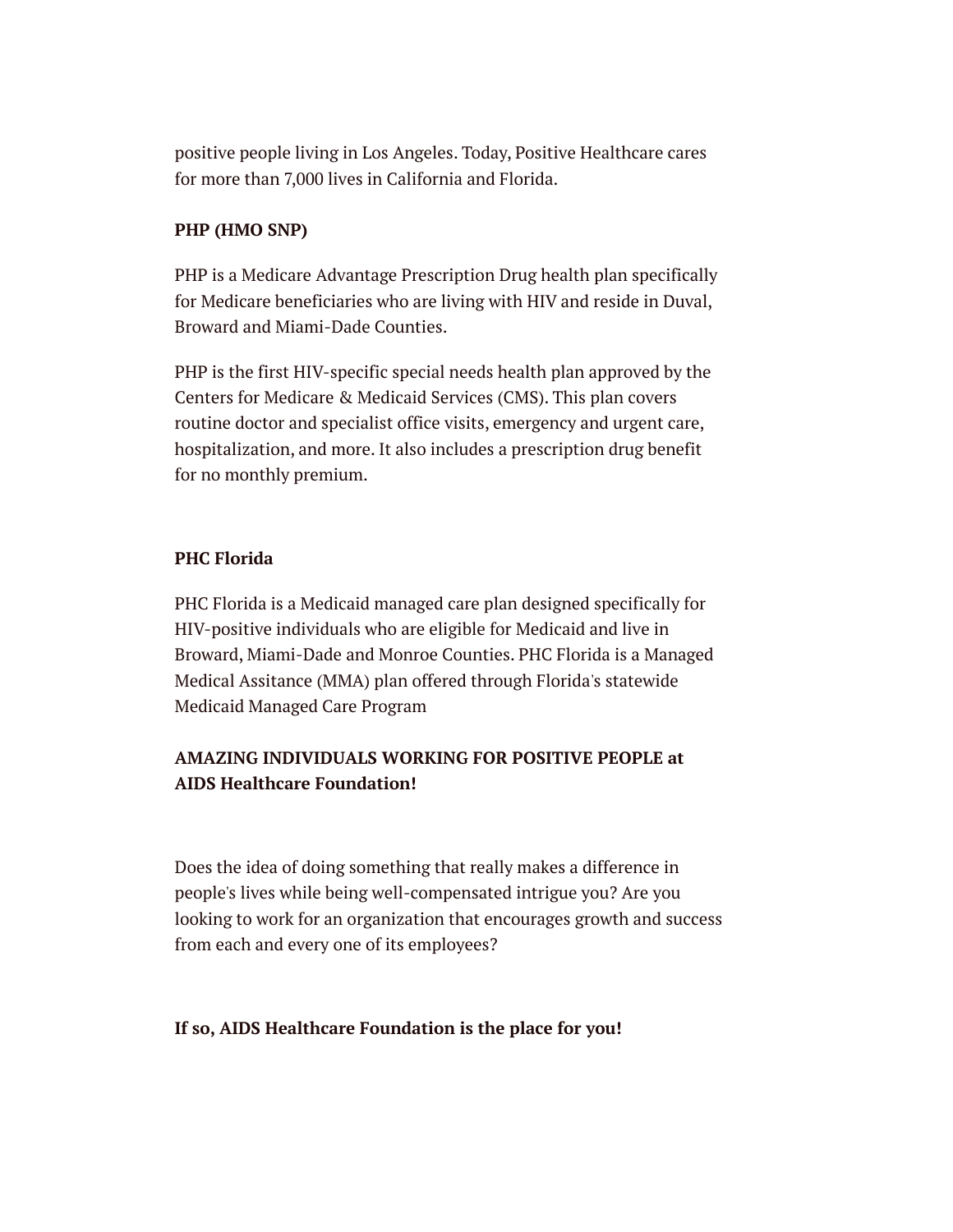positive people living in Los Angeles. Today, Positive Healthcare cares for more than 7,000 lives in California and Florida.

### **PHP (HMO SNP)**

PHP is a Medicare Advantage Prescription Drug health plan specifically for Medicare beneficiaries who are living with HIV and reside in Duval, Broward and Miami-Dade Counties.

PHP is the first HIV-specific special needs health plan approved by the Centers for Medicare & Medicaid Services (CMS). This plan covers routine doctor and specialist office visits, emergency and urgent care, hospitalization, and more. It also includes a prescription drug benefit for no monthly premium.

### **PHC Florida**

PHC Florida is a Medicaid managed care plan designed specifically for HIV-positive individuals who are eligible for Medicaid and live in Broward, Miami-Dade and Monroe Counties. PHC Florida is a Managed Medical Assitance (MMA) plan offered through Florida's statewide Medicaid Managed Care Program

### **AMAZING INDIVIDUALS WORKING FOR POSITIVE PEOPLE at AIDS Healthcare Foundation!**

Does the idea of doing something that really makes a difference in people's lives while being well-compensated intrigue you? Are you looking to work for an organization that encourages growth and success from each and every one of its employees?

### **If so, AIDS Healthcare Foundation is the place for you!**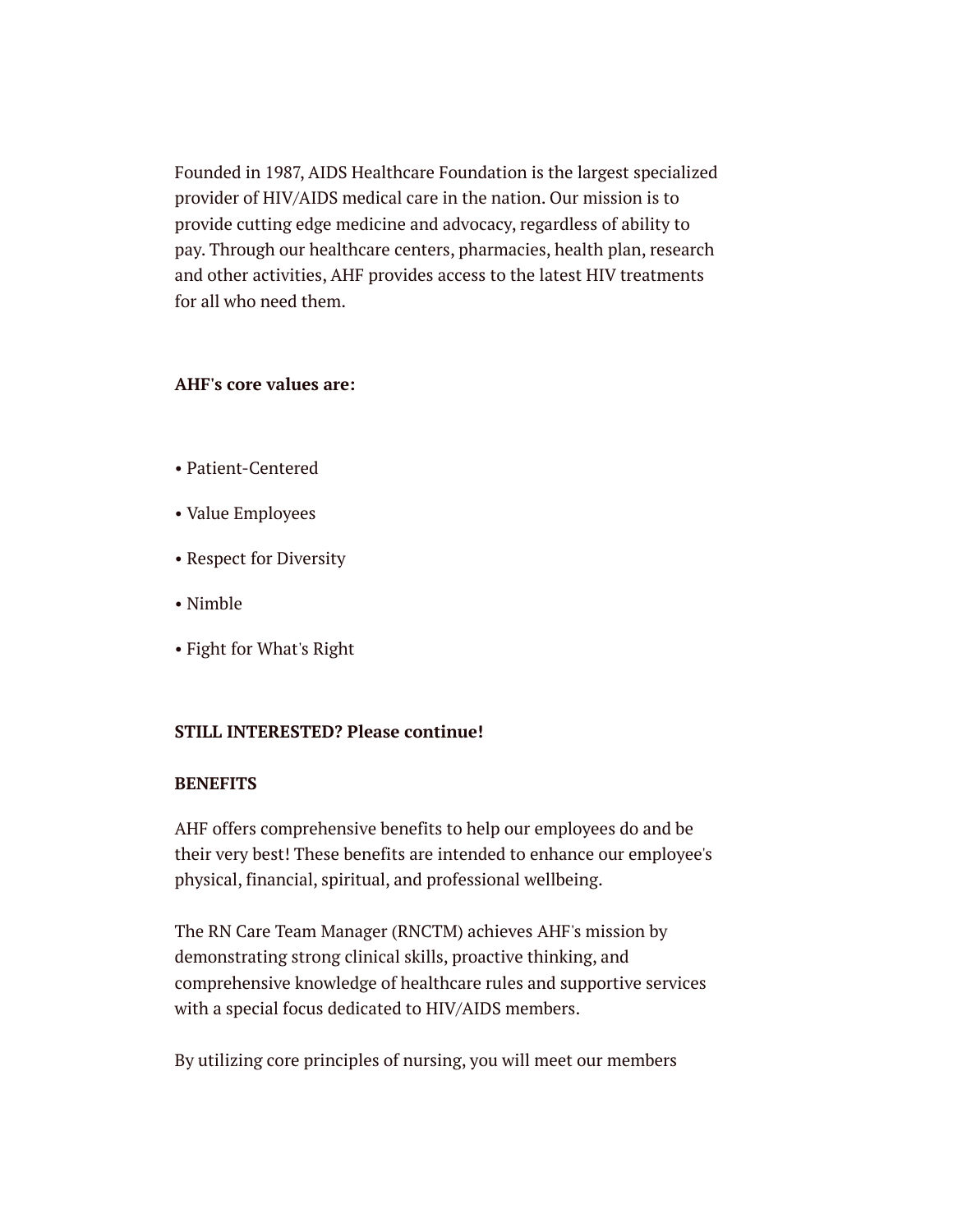Founded in 1987, AIDS Healthcare Foundation is the largest specialized provider of HIV/AIDS medical care in the nation. Our mission is to provide cutting edge medicine and advocacy, regardless of ability to pay. Through our healthcare centers, pharmacies, health plan, research and other activities, AHF provides access to the latest HIV treatments for all who need them.

### **AHF's core values are:**

- Patient-Centered
- Value Employees
- Respect for Diversity
- Nimble
- Fight for What's Right

### **STILL INTERESTED? Please continue!**

### **BENEFITS**

AHF offers comprehensive benefits to help our employees do and be their very best! These benefits are intended to enhance our employee's physical, financial, spiritual, and professional wellbeing.

The RN Care Team Manager (RNCTM) achieves AHF's mission by demonstrating strong clinical skills, proactive thinking, and comprehensive knowledge of healthcare rules and supportive services with a special focus dedicated to HIV/AIDS members.

By utilizing core principles of nursing, you will meet our members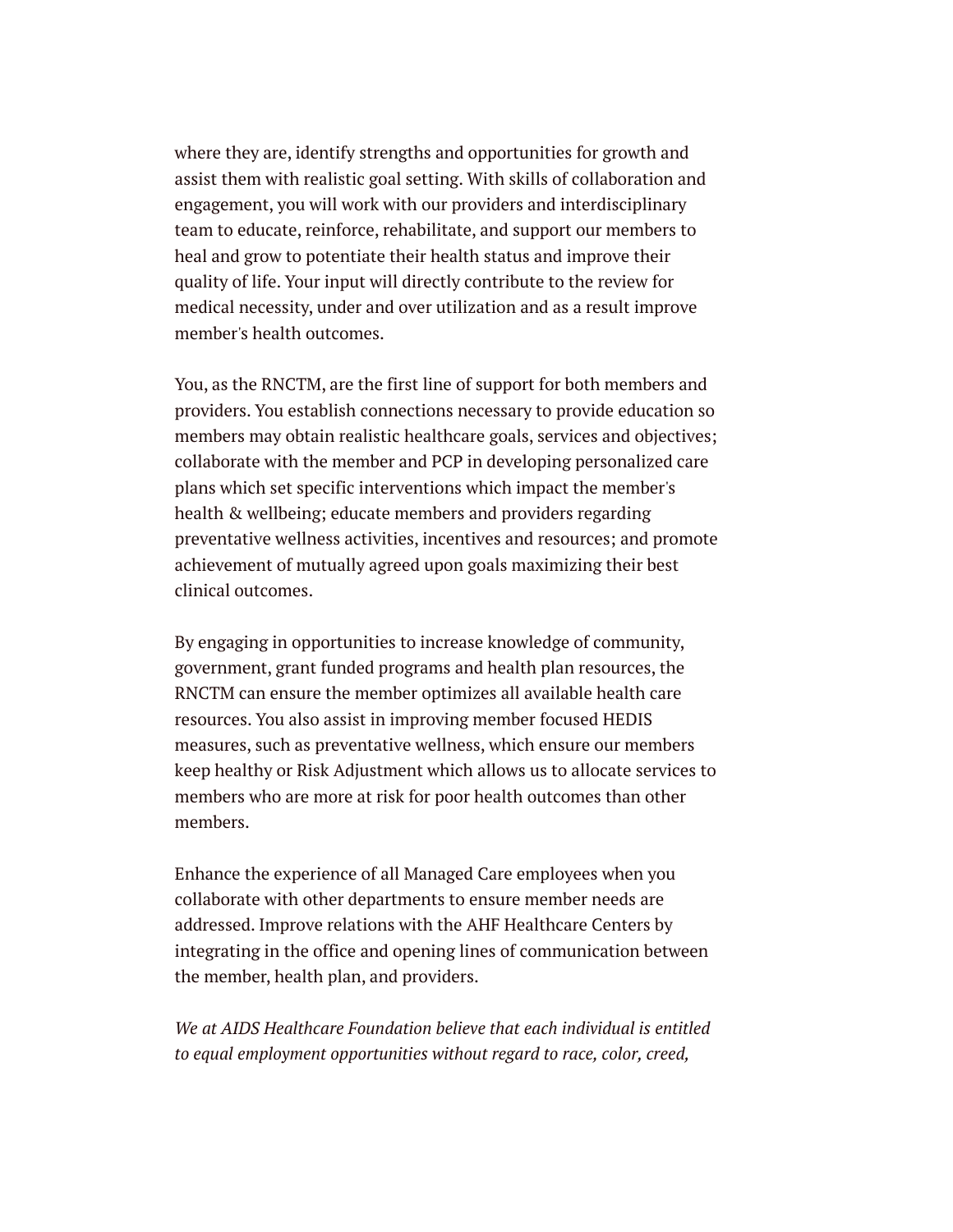where they are, identify strengths and opportunities for growth and assist them with realistic goal setting. With skills of collaboration and engagement, you will work with our providers and interdisciplinary team to educate, reinforce, rehabilitate, and support our members to heal and grow to potentiate their health status and improve their quality of life. Your input will directly contribute to the review for medical necessity, under and over utilization and as a result improve member's health outcomes.

You, as the RNCTM, are the first line of support for both members and providers. You establish connections necessary to provide education so members may obtain realistic healthcare goals, services and objectives; collaborate with the member and PCP in developing personalized care plans which set specific interventions which impact the member's health & wellbeing; educate members and providers regarding preventative wellness activities, incentives and resources; and promote achievement of mutually agreed upon goals maximizing their best clinical outcomes.

By engaging in opportunities to increase knowledge of community, government, grant funded programs and health plan resources, the RNCTM can ensure the member optimizes all available health care resources. You also assist in improving member focused HEDIS measures, such as preventative wellness, which ensure our members keep healthy or Risk Adjustment which allows us to allocate services to members who are more at risk for poor health outcomes than other members.

Enhance the experience of all Managed Care employees when you collaborate with other departments to ensure member needs are addressed. Improve relations with the AHF Healthcare Centers by integrating in the office and opening lines of communication between the member, health plan, and providers.

*We at AIDS Healthcare Foundation believe that each individual is entitled to equal employment opportunities without regard to race, color, creed,*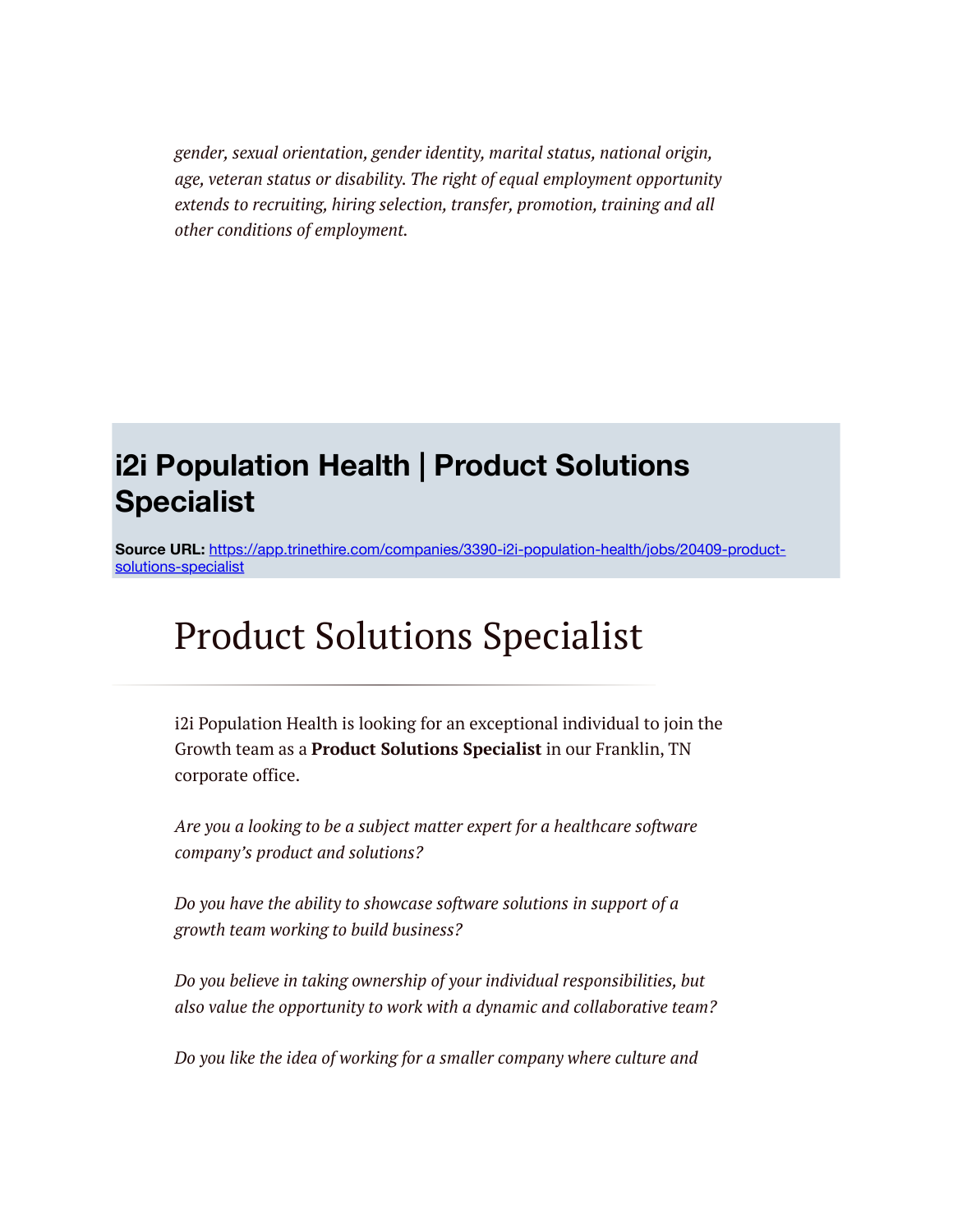*gender, sexual orientation, gender identity, marital status, national origin, age, veteran status or disability. The right of equal employment opportunity extends to recruiting, hiring selection, transfer, promotion, training and all other conditions of employment.*

### **i2i Population Health | Product Solutions Specialist**

**Source URL:** [https://app.trinethire.com/companies/3390-i2i-population-health/jobs/20409-product](https://app.trinethire.com/companies/3390-i2i-population-health/jobs/20409-product-solutions-specialist)solutions-specialist

# Product Solutions Specialist

i2i Population Health is looking for an exceptional individual to join the Growth team as a **Product Solutions Specialist** in our Franklin, TN corporate office.

*Are you a looking to be a subject matter expert for a healthcare software company's product and solutions?*

*Do you have the ability to showcase software solutions in support of a growth team working to build business?*

*Do you believe in taking ownership of your individual responsibilities, but also value the opportunity to work with a dynamic and collaborative team?*

*Do you like the idea of working for a smaller company where culture and*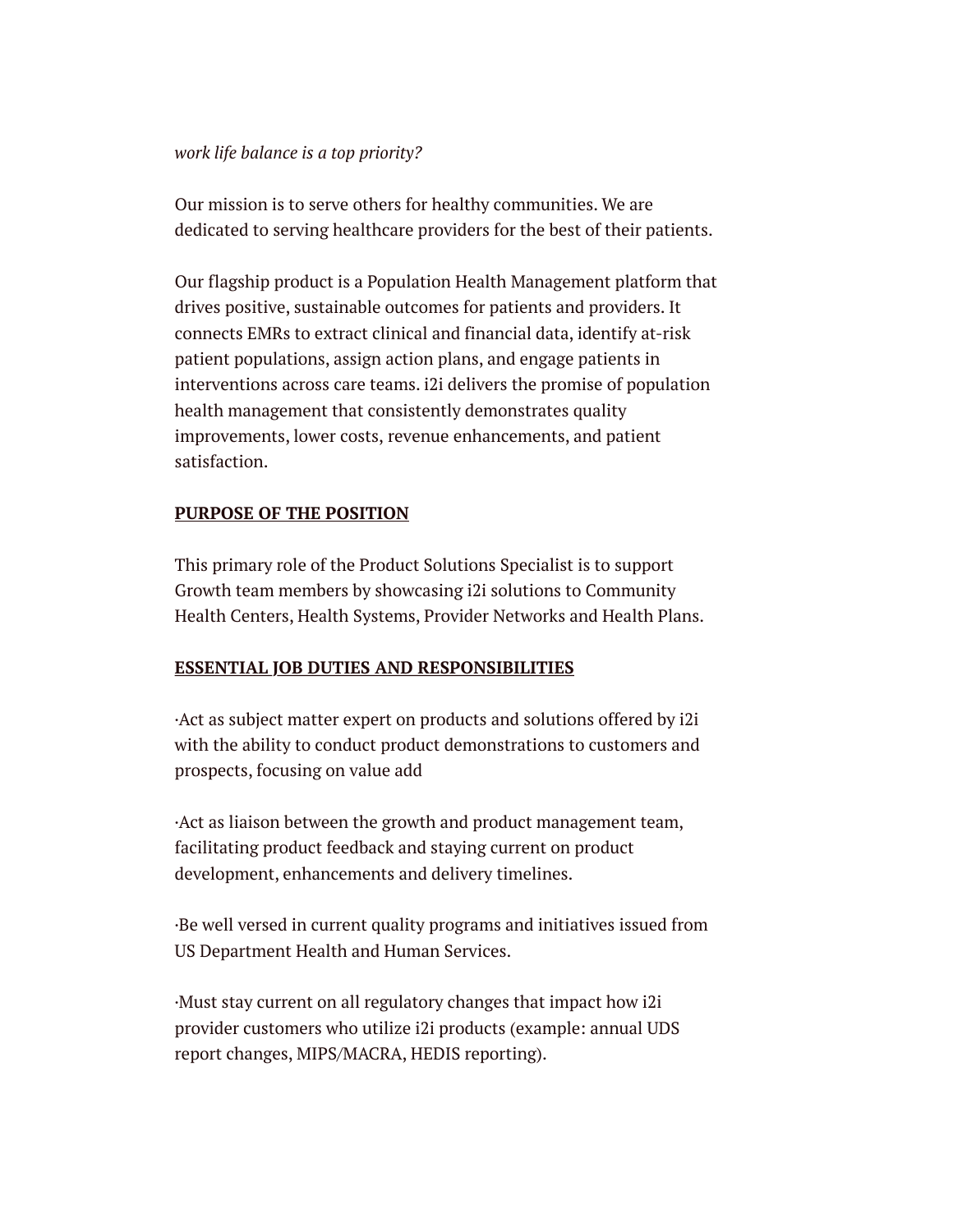#### *work life balance is a top priority?*

Our mission is to serve others for healthy communities. We are dedicated to serving healthcare providers for the best of their patients.

Our flagship product is a Population Health Management platform that drives positive, sustainable outcomes for patients and providers. It connects EMRs to extract clinical and financial data, identify at-risk patient populations, assign action plans, and engage patients in interventions across care teams. i2i delivers the promise of population health management that consistently demonstrates quality improvements, lower costs, revenue enhancements, and patient satisfaction.

### **PURPOSE OF THE POSITION**

This primary role of the Product Solutions Specialist is to support Growth team members by showcasing i2i solutions to Community Health Centers, Health Systems, Provider Networks and Health Plans.

### **ESSENTIAL JOB DUTIES AND RESPONSIBILITIES**

·Act as subject matter expert on products and solutions offered by i2i with the ability to conduct product demonstrations to customers and prospects, focusing on value add

·Act as liaison between the growth and product management team, facilitating product feedback and staying current on product development, enhancements and delivery timelines.

·Be well versed in current quality programs and initiatives issued from US Department Health and Human Services.

·Must stay current on all regulatory changes that impact how i2i provider customers who utilize i2i products (example: annual UDS report changes, MIPS/MACRA, HEDIS reporting).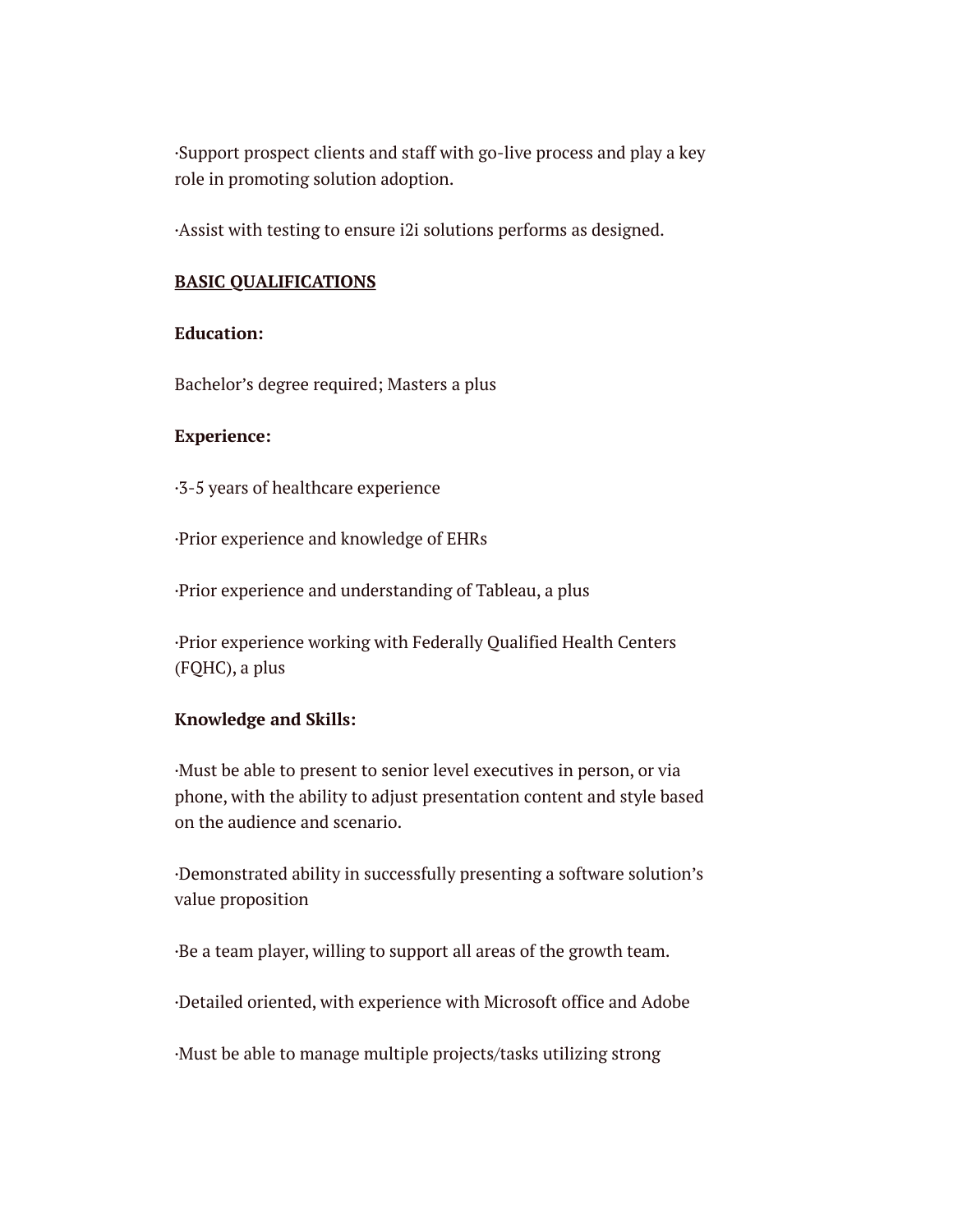·Support prospect clients and staff with go-live process and play a key role in promoting solution adoption.

·Assist with testing to ensure i2i solutions performs as designed.

### **BASIC QUALIFICATIONS**

### **Education:**

Bachelor's degree required; Masters a plus

### **Experience:**

·3-5 years of healthcare experience

·Prior experience and knowledge of EHRs

·Prior experience and understanding of Tableau, a plus

·Prior experience working with Federally Qualified Health Centers (FQHC), a plus

### **Knowledge and Skills:**

·Must be able to present to senior level executives in person, or via phone, with the ability to adjust presentation content and style based on the audience and scenario.

·Demonstrated ability in successfully presenting a software solution's value proposition

·Be a team player, willing to support all areas of the growth team.

·Detailed oriented, with experience with Microsoft office and Adobe

·Must be able to manage multiple projects/tasks utilizing strong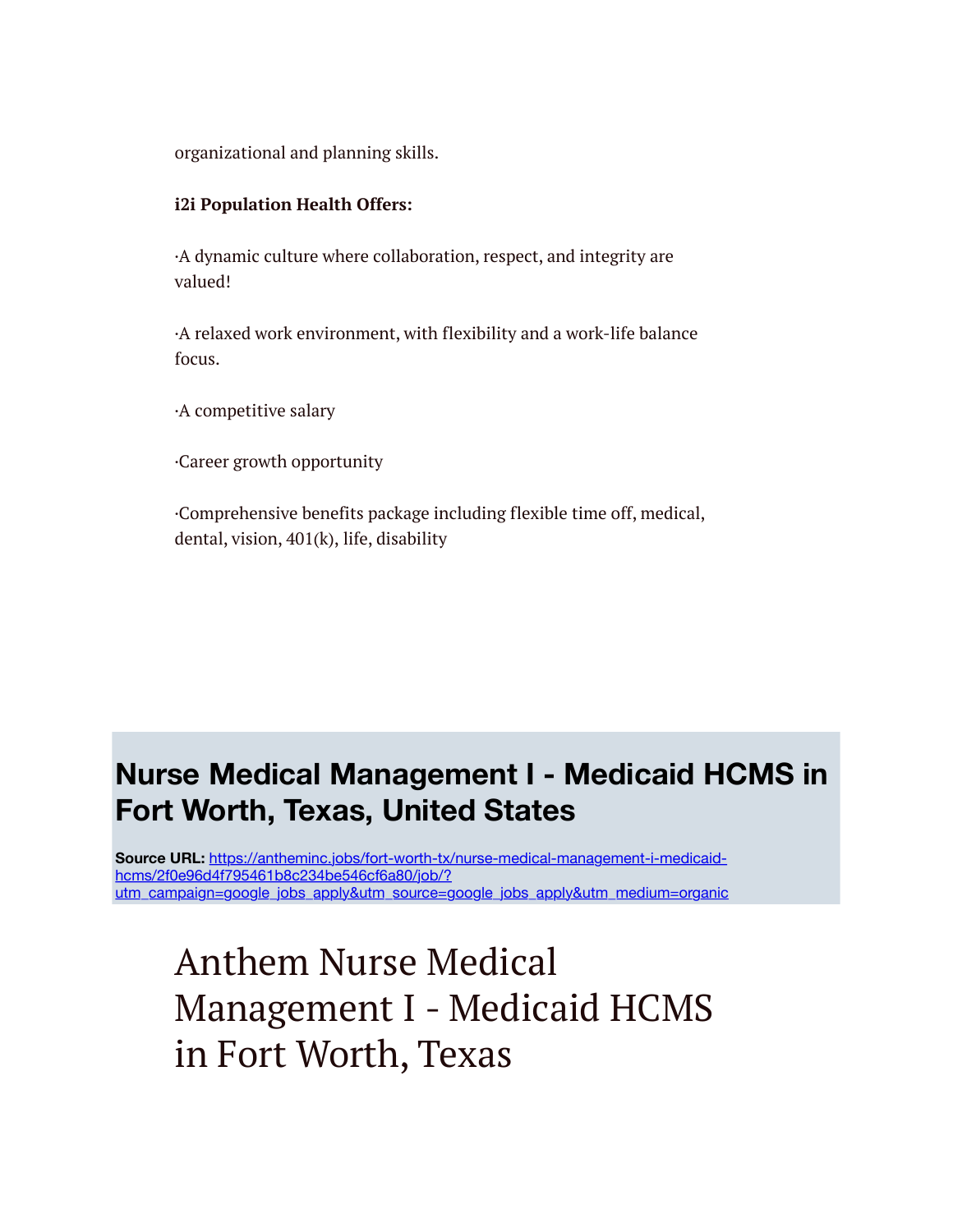organizational and planning skills.

### **i2i Population Health Offers:**

·A dynamic culture where collaboration, respect, and integrity are valued!

·A relaxed work environment, with flexibility and a work-life balance focus.

·A competitive salary

·Career growth opportunity

·Comprehensive benefits package including flexible time off, medical, dental, vision, 401(k), life, disability

### **Nurse Medical Management I - Medicaid HCMS in Fort Worth, Texas, United States**

**Source URL:** https://antheminc.jobs/fort-worth-tx/nurse-medical-management-i-medicaidhcms/2f0e96d4f795461b8c234be546cf6a80/job/? [utm\\_campaign=google\\_jobs\\_apply&utm\\_source=google\\_jobs\\_apply&utm\\_medium=organic](https://antheminc.jobs/fort-worth-tx/nurse-medical-management-i-medicaid-hcms/2f0e96d4f795461b8c234be546cf6a80/job/?utm_campaign=google_jobs_apply&utm_source=google_jobs_apply&utm_medium=organic)

Anthem Nurse Medical Management I - Medicaid HCMS in Fort Worth, Texas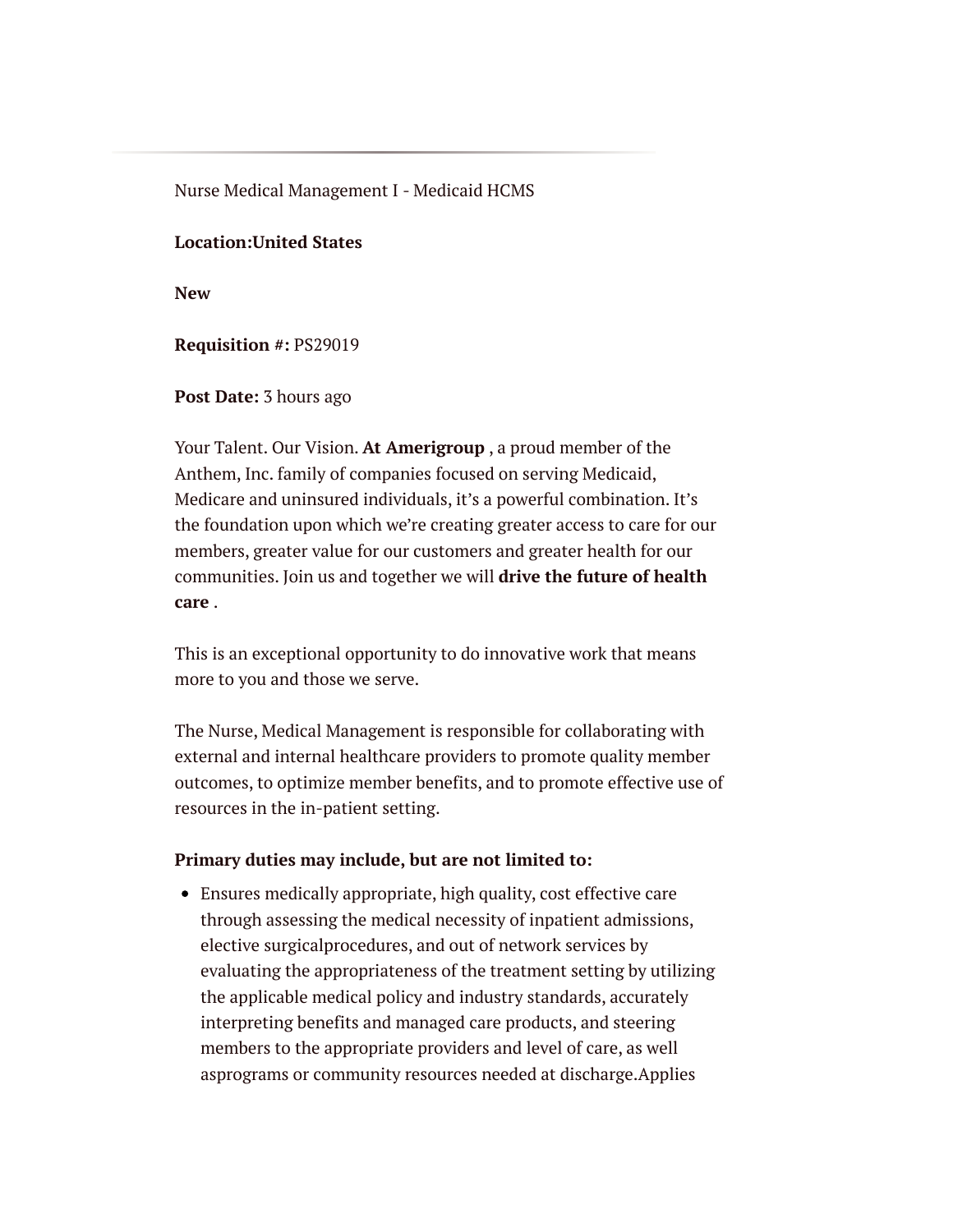Nurse Medical Management I - Medicaid HCMS

### **Location:United States**

**New**

**Requisition #:** PS29019

**Post Date:** 3 hours ago

Your Talent. Our Vision. **At Amerigroup** , a proud member of the Anthem, Inc. family of companies focused on serving Medicaid, Medicare and uninsured individuals, it's a powerful combination. It's the foundation upon which we're creating greater access to care for our members, greater value for our customers and greater health for our communities. Join us and together we will **drive the future of health care** .

This is an exceptional opportunity to do innovative work that means more to you and those we serve.

The Nurse, Medical Management is responsible for collaborating with external and internal healthcare providers to promote quality member outcomes, to optimize member benefits, and to promote effective use of resources in the in-patient setting.

### **Primary duties may include, but are not limited to:**

Ensures medically appropriate, high quality, cost effective care through assessing the medical necessity of inpatient admissions, elective surgicalprocedures, and out of network services by evaluating the appropriateness of the treatment setting by utilizing the applicable medical policy and industry standards, accurately interpreting benefits and managed care products, and steering members to the appropriate providers and level of care, as well asprograms or community resources needed at discharge.Applies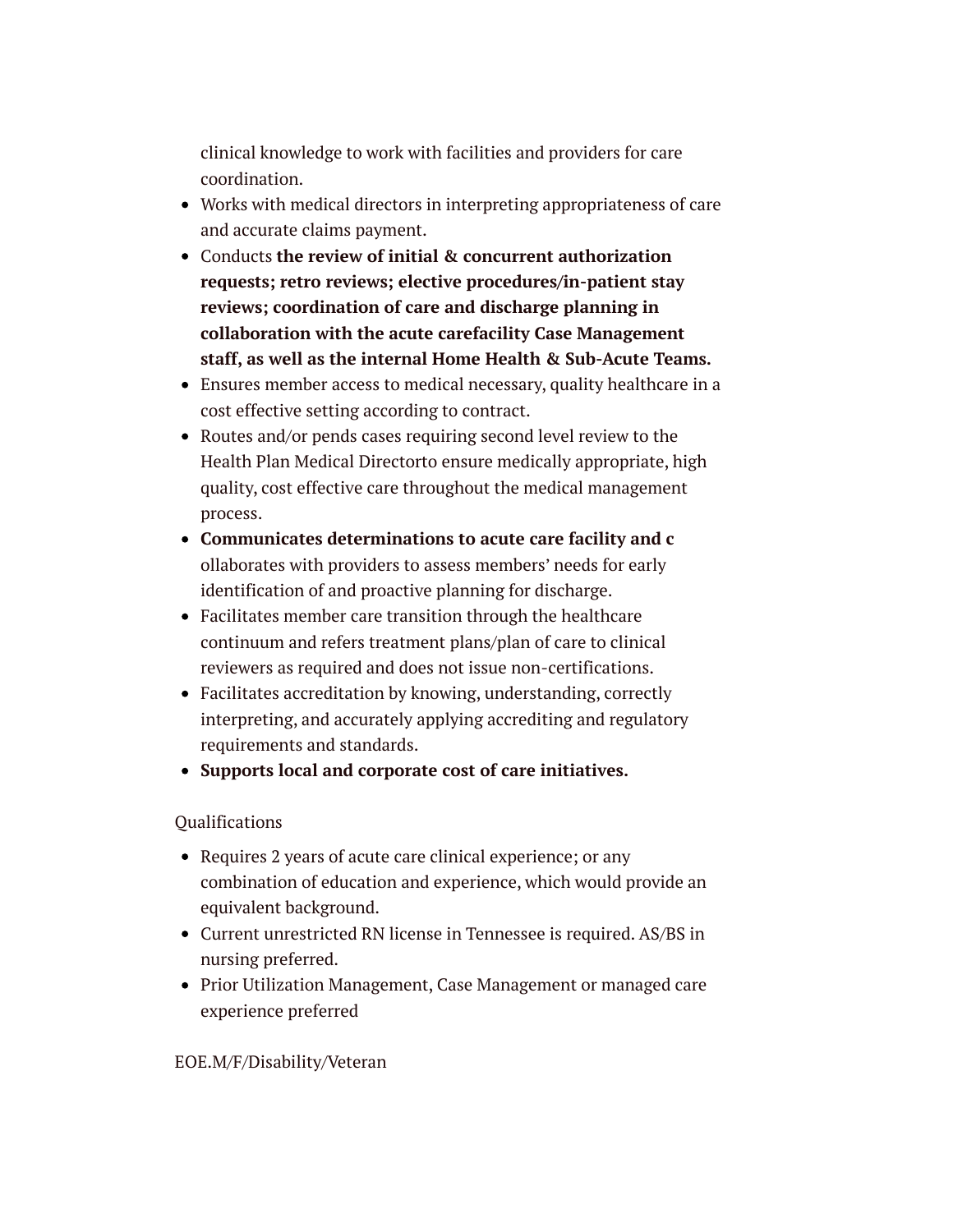clinical knowledge to work with facilities and providers for care coordination.

- Works with medical directors in interpreting appropriateness of care and accurate claims payment.
- Conducts **the review of initial & concurrent authorization requests; retro reviews; elective procedures/in-patient stay reviews; coordination of care and discharge planning in collaboration with the acute carefacility Case Management staff, as well as the internal Home Health & Sub-Acute Teams.**
- Ensures member access to medical necessary, quality healthcare in a cost effective setting according to contract.
- Routes and/or pends cases requiring second level review to the Health Plan Medical Directorto ensure medically appropriate, high quality, cost effective care throughout the medical management process.
- **Communicates determinations to acute care facility and c** ollaborates with providers to assess members' needs for early identification of and proactive planning for discharge.
- Facilitates member care transition through the healthcare continuum and refers treatment plans/plan of care to clinical reviewers as required and does not issue non-certifications.
- Facilitates accreditation by knowing, understanding, correctly interpreting, and accurately applying accrediting and regulatory requirements and standards.
- **Supports local and corporate cost of care initiatives.**

### **Oualifications**

- Requires 2 years of acute care clinical experience; or any combination of education and experience, which would provide an equivalent background.
- Current unrestricted RN license in Tennessee is required. AS/BS in nursing preferred.
- Prior Utilization Management, Case Management or managed care experience preferred

### EOE.M/F/Disability/Veteran